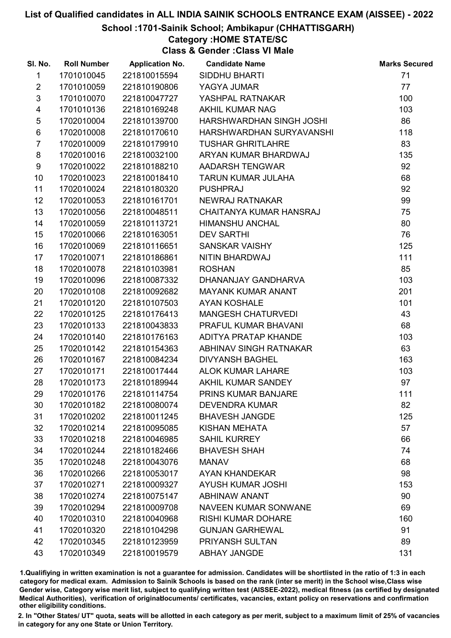#### School :1701-Sainik School; Ambikapur (CHHATTISGARH)

# Category :HOME STATE/SC

Class & Gender :Class VI Male

| SI. No.                 | <b>Roll Number</b> | <b>Application No.</b> | <b>Candidate Name</b>       | <b>Marks Secured</b> |
|-------------------------|--------------------|------------------------|-----------------------------|----------------------|
| $\mathbf{1}$            | 1701010045         | 221810015594           | <b>SIDDHU BHARTI</b>        | 71                   |
| $\overline{2}$          | 1701010059         | 221810190806           | YAGYA JUMAR                 | 77                   |
| $\mathfrak{S}$          | 1701010070         | 221810047727           | YASHPAL RATNAKAR            | 100                  |
| $\overline{\mathbf{4}}$ | 1701010136         | 221810169248           | <b>AKHIL KUMAR NAG</b>      | 103                  |
| $\sqrt{5}$              | 1702010004         | 221810139700           | HARSHWARDHAN SINGH JOSHI    | 86                   |
| $\,6$                   | 1702010008         | 221810170610           | HARSHWARDHAN SURYAVANSHI    | 118                  |
| $\overline{7}$          | 1702010009         | 221810179910           | <b>TUSHAR GHRITLAHRE</b>    | 83                   |
| 8                       | 1702010016         | 221810032100           | ARYAN KUMAR BHARDWAJ        | 135                  |
| 9                       | 1702010022         | 221810188210           | AADARSH TENGWAR             | 92                   |
| 10                      | 1702010023         | 221810018410           | TARUN KUMAR JULAHA          | 68                   |
| 11                      | 1702010024         | 221810180320           | <b>PUSHPRAJ</b>             | 92                   |
| 12                      | 1702010053         | 221810161701           | NEWRAJ RATNAKAR             | 99                   |
| 13                      | 1702010056         | 221810048511           | CHAITANYA KUMAR HANSRAJ     | 75                   |
| 14                      | 1702010059         | 221810113721           | <b>HIMANSHU ANCHAL</b>      | 80                   |
| 15                      | 1702010066         | 221810163051           | <b>DEV SARTHI</b>           | 76                   |
| 16                      | 1702010069         | 221810116651           | SANSKAR VAISHY              | 125                  |
| 17                      | 1702010071         | 221810186861           | NITIN BHARDWAJ              | 111                  |
| 18                      | 1702010078         | 221810103981           | <b>ROSHAN</b>               | 85                   |
| 19                      | 1702010096         | 221810087332           | DHANANJAY GANDHARVA         | 103                  |
| 20                      | 1702010108         | 221810092682           | <b>MAYANK KUMAR ANANT</b>   | 201                  |
| 21                      | 1702010120         | 221810107503           | <b>AYAN KOSHALE</b>         | 101                  |
| 22                      | 1702010125         | 221810176413           | <b>MANGESH CHATURVEDI</b>   | 43                   |
| 23                      | 1702010133         | 221810043833           | PRAFUL KUMAR BHAVANI        | 68                   |
| 24                      | 1702010140         | 221810176163           | ADITYA PRATAP KHANDE        | 103                  |
| 25                      | 1702010142         | 221810154363           | ABHINAV SINGH RATNAKAR      | 63                   |
| 26                      | 1702010167         | 221810084234           | <b>DIVYANSH BAGHEL</b>      | 163                  |
| 27                      | 1702010171         | 221810017444           | <b>ALOK KUMAR LAHARE</b>    | 103                  |
| 28                      | 1702010173         | 221810189944           | AKHIL KUMAR SANDEY          | 97                   |
| 29                      | 1702010176         | 221810114754           | PRINS KUMAR BANJARE         | 111                  |
| 30                      | 1702010182         | 221810080074           | <b>DEVENDRA KUMAR</b>       | 82                   |
| 31                      | 1702010202         | 221810011245           | <b>BHAVESH JANGDE</b>       | 125                  |
| 32                      | 1702010214         | 221810095085           | <b>KISHAN MEHATA</b>        | 57                   |
| 33                      | 1702010218         | 221810046985           | <b>SAHIL KURREY</b>         | 66                   |
| 34                      | 1702010244         | 221810182466           | <b>BHAVESH SHAH</b>         | 74                   |
| 35                      | 1702010248         | 221810043076           | <b>MANAV</b>                | 68                   |
| 36                      | 1702010266         | 221810053017           | AYAN KHANDEKAR              | 98                   |
| 37                      | 1702010271         | 221810009327           | <b>AYUSH KUMAR JOSHI</b>    | 153                  |
| 38                      | 1702010274         | 221810075147           | <b>ABHINAW ANANT</b>        | 90                   |
| 39                      | 1702010294         | 221810009708           | <b>NAVEEN KUMAR SONWANE</b> | 69                   |
| 40                      | 1702010310         | 221810040968           | <b>RISHI KUMAR DOHARE</b>   | 160                  |
| 41                      | 1702010320         | 221810104298           | <b>GUNJAN GARHEWAL</b>      | 91                   |
| 42                      | 1702010345         | 221810123959           | PRIYANSH SULTAN             | 89                   |
| 43                      | 1702010349         | 221810019579           | <b>ABHAY JANGDE</b>         | 131                  |

1.Qualifiying in written examination is not a guarantee for admission. Candidates will be shortlisted in the ratio of 1:3 in each category for medical exam. Admission to Sainik Schools is based on the rank (inter se merit) in the School wise,Class wise Gender wise, Category wise merit list, subject to qualifying written test (AISSEE-2022), medical fitness (as certified by designated Medical Authorities), verification of originablocuments/ certificates, vacancies, extant policy on reservations and confirmation other eligibility conditions.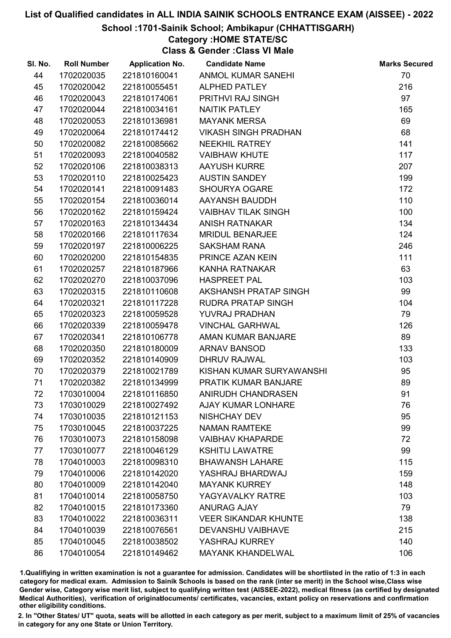#### School :1701-Sainik School; Ambikapur (CHHATTISGARH)

# Category :HOME STATE/SC

Class & Gender :Class VI Male

| SI. No. | <b>Roll Number</b> | <b>Application No.</b> | <b>Candidate Name</b>       | <b>Marks Secured</b> |
|---------|--------------------|------------------------|-----------------------------|----------------------|
| 44      | 1702020035         | 221810160041           | <b>ANMOL KUMAR SANEHI</b>   | 70                   |
| 45      | 1702020042         | 221810055451           | <b>ALPHED PATLEY</b>        | 216                  |
| 46      | 1702020043         | 221810174061           | <b>PRITHVI RAJ SINGH</b>    | 97                   |
| 47      | 1702020044         | 221810034161           | <b>NAITIK PATLEY</b>        | 165                  |
| 48      | 1702020053         | 221810136981           | <b>MAYANK MERSA</b>         | 69                   |
| 49      | 1702020064         | 221810174412           | <b>VIKASH SINGH PRADHAN</b> | 68                   |
| 50      | 1702020082         | 221810085662           | <b>NEEKHIL RATREY</b>       | 141                  |
| 51      | 1702020093         | 221810040582           | <b>VAIBHAW KHUTE</b>        | 117                  |
| 52      | 1702020106         | 221810038313           | <b>AAYUSH KURRE</b>         | 207                  |
| 53      | 1702020110         | 221810025423           | <b>AUSTIN SANDEY</b>        | 199                  |
| 54      | 1702020141         | 221810091483           | <b>SHOURYA OGARE</b>        | 172                  |
| 55      | 1702020154         | 221810036014           | AAYANSH BAUDDH              | 110                  |
| 56      | 1702020162         | 221810159424           | <b>VAIBHAV TILAK SINGH</b>  | 100                  |
| 57      | 1702020163         | 221810134434           | <b>ANISH RATNAKAR</b>       | 134                  |
| 58      | 1702020166         | 221810117634           | <b>MRIDUL BENARJEE</b>      | 124                  |
| 59      | 1702020197         | 221810006225           | <b>SAKSHAM RANA</b>         | 246                  |
| 60      | 1702020200         | 221810154835           | PRINCE AZAN KEIN            | 111                  |
| 61      | 1702020257         | 221810187966           | <b>KANHA RATNAKAR</b>       | 63                   |
| 62      | 1702020270         | 221810037096           | <b>HASPREET PAL</b>         | 103                  |
| 63      | 1702020315         | 221810110608           | AKSHANSH PRATAP SINGH       | 99                   |
| 64      | 1702020321         | 221810117228           | <b>RUDRA PRATAP SINGH</b>   | 104                  |
| 65      | 1702020323         | 221810059528           | YUVRAJ PRADHAN              | 79                   |
| 66      | 1702020339         | 221810059478           | <b>VINCHAL GARHWAL</b>      | 126                  |
| 67      | 1702020341         | 221810106778           | AMAN KUMAR BANJARE          | 89                   |
| 68      | 1702020350         | 221810180009           | <b>ARNAV BANSOD</b>         | 133                  |
| 69      | 1702020352         | 221810140909           | <b>DHRUV RAJWAL</b>         | 103                  |
| 70      | 1702020379         | 221810021789           | KISHAN KUMAR SURYAWANSHI    | 95                   |
| 71      | 1702020382         | 221810134999           | PRATIK KUMAR BANJARE        | 89                   |
| 72      | 1703010004         | 221810116850           | ANIRUDH CHANDRASEN          | 91                   |
| 73      | 1703010029         | 221810027492           | <b>AJAY KUMAR LONHARE</b>   | 76                   |
| 74      | 1703010035         | 221810121153           | <b>NISHCHAY DEV</b>         | 95                   |
| 75      | 1703010045         | 221810037225           | <b>NAMAN RAMTEKE</b>        | 99                   |
| 76      | 1703010073         | 221810158098           | <b>VAIBHAV KHAPARDE</b>     | 72                   |
| 77      | 1703010077         | 221810046129           | <b>KSHITIJ LAWATRE</b>      | 99                   |
| 78      | 1704010003         | 221810098310           | <b>BHAWANSH LAHARE</b>      | 115                  |
| 79      | 1704010006         | 221810142020           | YASHRAJ BHARDWAJ            | 159                  |
| 80      | 1704010009         | 221810142040           | <b>MAYANK KURREY</b>        | 148                  |
| 81      | 1704010014         | 221810058750           | YAGYAVALKY RATRE            | 103                  |
| 82      | 1704010015         | 221810173360           | <b>ANURAG AJAY</b>          | 79                   |
| 83      | 1704010022         | 221810036311           | <b>VEER SIKANDAR KHUNTE</b> | 138                  |
| 84      | 1704010039         | 221810076561           | <b>DEVANSHU VAIBHAVE</b>    | 215                  |
| 85      | 1704010045         | 221810038502           | YASHRAJ KURREY              | 140                  |
| 86      | 1704010054         | 221810149462           | <b>MAYANK KHANDELWAL</b>    | 106                  |

1.Qualifiying in written examination is not a guarantee for admission. Candidates will be shortlisted in the ratio of 1:3 in each category for medical exam. Admission to Sainik Schools is based on the rank (inter se merit) in the School wise,Class wise Gender wise, Category wise merit list, subject to qualifying written test (AISSEE-2022), medical fitness (as certified by designated Medical Authorities), verification of originablocuments/ certificates, vacancies, extant policy on reservations and confirmation other eligibility conditions.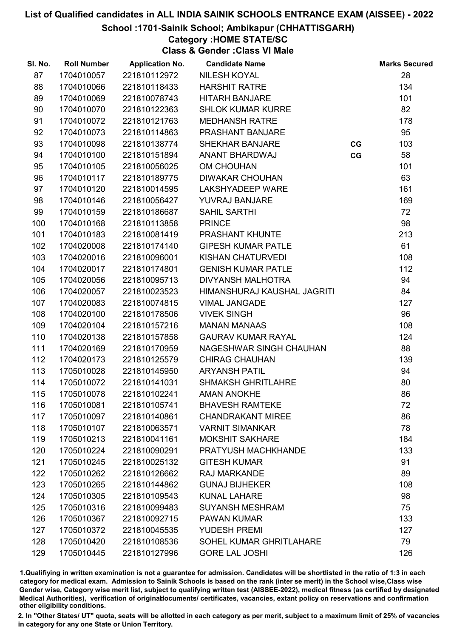#### School :1701-Sainik School; Ambikapur (CHHATTISGARH)

# Category :HOME STATE/SC

Class & Gender :Class VI Male

| SI. No. | <b>Roll Number</b> | <b>Application No.</b> | <b>Candidate Name</b>       |    | <b>Marks Secured</b> |
|---------|--------------------|------------------------|-----------------------------|----|----------------------|
| 87      | 1704010057         | 221810112972           | <b>NILESH KOYAL</b>         |    | 28                   |
| 88      | 1704010066         | 221810118433           | <b>HARSHIT RATRE</b>        |    | 134                  |
| 89      | 1704010069         | 221810078743           | <b>HITARH BANJARE</b>       |    | 101                  |
| 90      | 1704010070         | 221810122363           | <b>SHLOK KUMAR KURRE</b>    |    | 82                   |
| 91      | 1704010072         | 221810121763           | <b>MEDHANSH RATRE</b>       |    | 178                  |
| 92      | 1704010073         | 221810114863           | PRASHANT BANJARE            |    | 95                   |
| 93      | 1704010098         | 221810138774           | <b>SHEKHAR BANJARE</b>      | CG | 103                  |
| 94      | 1704010100         | 221810151894           | ANANT BHARDWAJ              | CG | 58                   |
| 95      | 1704010105         | 221810056025           | <b>OM CHOUHAN</b>           |    | 101                  |
| 96      | 1704010117         | 221810189775           | <b>DIWAKAR CHOUHAN</b>      |    | 63                   |
| 97      | 1704010120         | 221810014595           | LAKSHYADEEP WARE            |    | 161                  |
| 98      | 1704010146         | 221810056427           | YUVRAJ BANJARE              |    | 169                  |
| 99      | 1704010159         | 221810186687           | <b>SAHIL SARTHI</b>         |    | 72                   |
| 100     | 1704010168         | 221810113858           | <b>PRINCE</b>               |    | 98                   |
| 101     | 1704010183         | 221810081419           | PRASHANT KHUNTE             |    | 213                  |
| 102     | 1704020008         | 221810174140           | <b>GIPESH KUMAR PATLE</b>   |    | 61                   |
| 103     | 1704020016         | 221810096001           | KISHAN CHATURVEDI           |    | 108                  |
| 104     | 1704020017         | 221810174801           | <b>GENISH KUMAR PATLE</b>   |    | 112                  |
| 105     | 1704020056         | 221810095713           | DIVYANSH MALHOTRA           |    | 94                   |
| 106     | 1704020057         | 221810023523           | HIMANSHURAJ KAUSHAL JAGRITI |    | 84                   |
| 107     | 1704020083         | 221810074815           | <b>VIMAL JANGADE</b>        |    | 127                  |
| 108     | 1704020100         | 221810178506           | <b>VIVEK SINGH</b>          |    | 96                   |
| 109     | 1704020104         | 221810157216           | <b>MANAN MANAAS</b>         |    | 108                  |
| 110     | 1704020138         | 221810157858           | <b>GAURAV KUMAR RAYAL</b>   |    | 124                  |
| 111     | 1704020169         | 221810170959           | NAGESHWAR SINGH CHAUHAN     |    | 88                   |
| 112     | 1704020173         | 221810125579           | <b>CHIRAG CHAUHAN</b>       |    | 139                  |
| 113     | 1705010028         | 221810145950           | <b>ARYANSH PATIL</b>        |    | 94                   |
| 114     | 1705010072         | 221810141031           | <b>SHMAKSH GHRITLAHRE</b>   |    | 80                   |
| 115     | 1705010078         | 221810102241           | <b>AMAN ANOKHE</b>          |    | 86                   |
| 116     | 1705010081         | 221810105741           | <b>BHAVESH RAMTEKE</b>      |    | 72                   |
| 117     | 1705010097         | 221810140861           | <b>CHANDRAKANT MIREE</b>    |    | 86                   |
| 118     | 1705010107         | 221810063571           | <b>VARNIT SIMANKAR</b>      |    | 78                   |
| 119     | 1705010213         | 221810041161           | <b>MOKSHIT SAKHARE</b>      |    | 184                  |
| 120     | 1705010224         | 221810090291           | PRATYUSH MACHKHANDE         |    | 133                  |
| 121     | 1705010245         | 221810025132           | <b>GITESH KUMAR</b>         |    | 91                   |
| 122     | 1705010262         | 221810126662           | <b>RAJ MARKANDE</b>         |    | 89                   |
| 123     | 1705010265         | 221810144862           | <b>GUNAJ BIJHEKER</b>       |    | 108                  |
| 124     | 1705010305         | 221810109543           | <b>KUNAL LAHARE</b>         |    | 98                   |
| 125     | 1705010316         | 221810099483           | <b>SUYANSH MESHRAM</b>      |    | 75                   |
| 126     | 1705010367         | 221810092715           | <b>PAWAN KUMAR</b>          |    | 133                  |
| 127     | 1705010372         | 221810045535           | <b>YUDESH PREMI</b>         |    | 127                  |
| 128     | 1705010420         | 221810108536           | SOHEL KUMAR GHRITLAHARE     |    | 79                   |
| 129     | 1705010445         | 221810127996           | <b>GORE LAL JOSHI</b>       |    | 126                  |

1.Qualifiying in written examination is not a guarantee for admission. Candidates will be shortlisted in the ratio of 1:3 in each category for medical exam. Admission to Sainik Schools is based on the rank (inter se merit) in the School wise,Class wise Gender wise, Category wise merit list, subject to qualifying written test (AISSEE-2022), medical fitness (as certified by designated Medical Authorities), verification of originablocuments/ certificates, vacancies, extant policy on reservations and confirmation other eligibility conditions.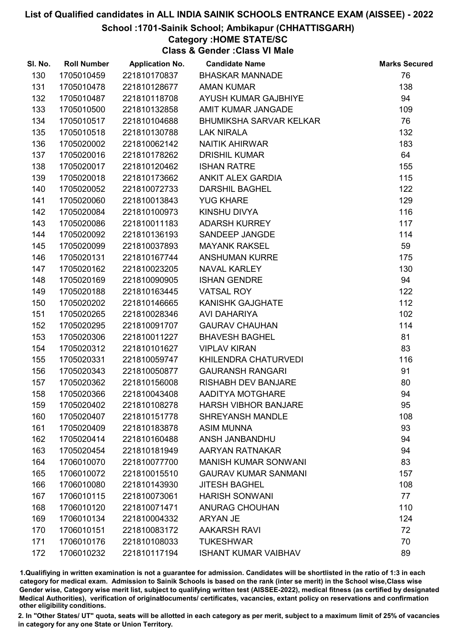#### School :1701-Sainik School; Ambikapur (CHHATTISGARH)

# Category :HOME STATE/SC

Class & Gender :Class VI Male

| SI. No. | <b>Roll Number</b> | <b>Application No.</b> | <b>Candidate Name</b>          | <b>Marks Secured</b> |
|---------|--------------------|------------------------|--------------------------------|----------------------|
| 130     | 1705010459         | 221810170837           | <b>BHASKAR MANNADE</b>         | 76                   |
| 131     | 1705010478         | 221810128677           | <b>AMAN KUMAR</b>              | 138                  |
| 132     | 1705010487         | 221810118708           | AYUSH KUMAR GAJBHIYE           | 94                   |
| 133     | 1705010500         | 221810132858           | AMIT KUMAR JANGADE             | 109                  |
| 134     | 1705010517         | 221810104688           | <b>BHUMIKSHA SARVAR KELKAR</b> | 76                   |
| 135     | 1705010518         | 221810130788           | <b>LAK NIRALA</b>              | 132                  |
| 136     | 1705020002         | 221810062142           | <b>NAITIK AHIRWAR</b>          | 183                  |
| 137     | 1705020016         | 221810178262           | <b>DRISHIL KUMAR</b>           | 64                   |
| 138     | 1705020017         | 221810120462           | <b>ISHAN RATRE</b>             | 155                  |
| 139     | 1705020018         | 221810173662           | ANKIT ALEX GARDIA              | 115                  |
| 140     | 1705020052         | 221810072733           | <b>DARSHIL BAGHEL</b>          | 122                  |
| 141     | 1705020060         | 221810013843           | <b>YUG KHARE</b>               | 129                  |
| 142     | 1705020084         | 221810100973           | KINSHU DIVYA                   | 116                  |
| 143     | 1705020086         | 221810011183           | <b>ADARSH KURREY</b>           | 117                  |
| 144     | 1705020092         | 221810136193           | SANDEEP JANGDE                 | 114                  |
| 145     | 1705020099         | 221810037893           | <b>MAYANK RAKSEL</b>           | 59                   |
| 146     | 1705020131         | 221810167744           | <b>ANSHUMAN KURRE</b>          | 175                  |
| 147     | 1705020162         | 221810023205           | <b>NAVAL KARLEY</b>            | 130                  |
| 148     | 1705020169         | 221810090905           | <b>ISHAN GENDRE</b>            | 94                   |
| 149     | 1705020188         | 221810163445           | <b>VATSAL ROY</b>              | 122                  |
| 150     | 1705020202         | 221810146665           | <b>KANISHK GAJGHATE</b>        | 112                  |
| 151     | 1705020265         | 221810028346           | <b>AVI DAHARIYA</b>            | 102                  |
| 152     | 1705020295         | 221810091707           | <b>GAURAV CHAUHAN</b>          | 114                  |
| 153     | 1705020306         | 221810011227           | <b>BHAVESH BAGHEL</b>          | 81                   |
| 154     | 1705020312         | 221810101627           | <b>VIPLAV KIRAN</b>            | 83                   |
| 155     | 1705020331         | 221810059747           | KHILENDRA CHATURVEDI           | 116                  |
| 156     | 1705020343         | 221810050877           | <b>GAURANSH RANGARI</b>        | 91                   |
| 157     | 1705020362         | 221810156008           | <b>RISHABH DEV BANJARE</b>     | 80                   |
| 158     | 1705020366         | 221810043408           | AADITYA MOTGHARE               | 94                   |
| 159     | 1705020402         | 221810108278           | <b>HARSH VIBHOR BANJARE</b>    | 95                   |
| 160     | 1705020407         | 221810151778           | <b>SHREYANSH MANDLE</b>        | 108                  |
| 161     | 1705020409         | 221810183878           | <b>ASIM MUNNA</b>              | 93                   |
| 162     | 1705020414         | 221810160488           | ANSH JANBANDHU                 | 94                   |
| 163     | 1705020454         | 221810181949           | AARYAN RATNAKAR                | 94                   |
| 164     | 1706010070         | 221810077700           | <b>MANISH KUMAR SONWANI</b>    | 83                   |
| 165     | 1706010072         | 221810015510           | <b>GAURAV KUMAR SANMANI</b>    | 157                  |
| 166     | 1706010080         | 221810143930           | <b>JITESH BAGHEL</b>           | 108                  |
| 167     | 1706010115         | 221810073061           | <b>HARISH SONWANI</b>          | 77                   |
| 168     | 1706010120         | 221810071471           | <b>ANURAG CHOUHAN</b>          | 110                  |
| 169     | 1706010134         | 221810004332           | <b>ARYAN JE</b>                | 124                  |
| 170     | 1706010151         | 221810083172           | <b>AAKARSH RAVI</b>            | 72                   |
| 171     | 1706010176         | 221810108033           | <b>TUKESHWAR</b>               | 70                   |
| 172     | 1706010232         | 221810117194           | <b>ISHANT KUMAR VAIBHAV</b>    | 89                   |

1.Qualifiying in written examination is not a guarantee for admission. Candidates will be shortlisted in the ratio of 1:3 in each category for medical exam. Admission to Sainik Schools is based on the rank (inter se merit) in the School wise,Class wise Gender wise, Category wise merit list, subject to qualifying written test (AISSEE-2022), medical fitness (as certified by designated Medical Authorities), verification of originablocuments/ certificates, vacancies, extant policy on reservations and confirmation other eligibility conditions.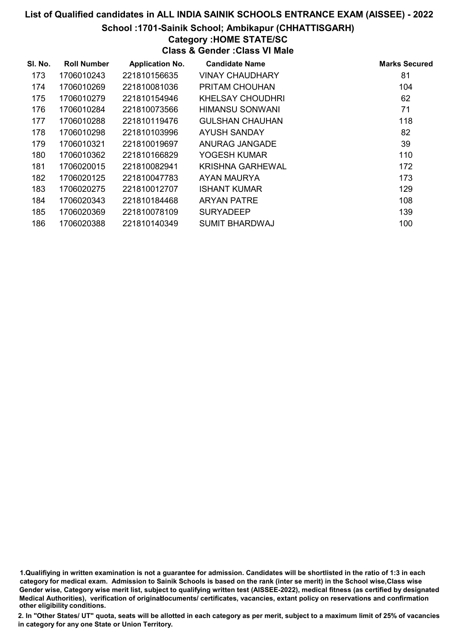#### School :1701-Sainik School; Ambikapur (CHHATTISGARH)

# Category :HOME STATE/SC

Class & Gender :Class VI Male

| SI. No. | <b>Roll Number</b> | <b>Application No.</b> | <b>Candidate Name</b>   | <b>Marks Secured</b> |
|---------|--------------------|------------------------|-------------------------|----------------------|
| 173     | 1706010243         | 221810156635           | <b>VINAY CHAUDHARY</b>  | 81                   |
| 174     | 1706010269         | 221810081036           | <b>PRITAM CHOUHAN</b>   | 104                  |
| 175     | 1706010279         | 221810154946           | KHELSAY CHOUDHRI        | 62                   |
| 176     | 1706010284         | 221810073566           | HIMANSU SONWANI         | 71                   |
| 177     | 1706010288         | 221810119476           | <b>GULSHAN CHAUHAN</b>  | 118                  |
| 178     | 1706010298         | 221810103996           | AYUSH SANDAY            | 82                   |
| 179     | 1706010321         | 221810019697           | ANURAG JANGADE          | 39                   |
| 180     | 1706010362         | 221810166829           | YOGESH KUMAR            | 110                  |
| 181     | 1706020015         | 221810082941           | <b>KRISHNA GARHEWAL</b> | 172                  |
| 182     | 1706020125         | 221810047783           | AYAN MAURYA             | 173                  |
| 183     | 1706020275         | 221810012707           | <b>ISHANT KUMAR</b>     | 129                  |
| 184     | 1706020343         | 221810184468           | <b>ARYAN PATRE</b>      | 108                  |
| 185     | 1706020369         | 221810078109           | <b>SURYADEEP</b>        | 139                  |
| 186     | 1706020388         | 221810140349           | <b>SUMIT BHARDWAJ</b>   | 100                  |

1.Qualifiying in written examination is not a guarantee for admission. Candidates will be shortlisted in the ratio of 1:3 in each category for medical exam. Admission to Sainik Schools is based on the rank (inter se merit) in the School wise,Class wise Gender wise, Category wise merit list, subject to qualifying written test (AISSEE-2022), medical fitness (as certified by designated Medical Authorities), verification of originablocuments/ certificates, vacancies, extant policy on reservations and confirmation other eligibility conditions.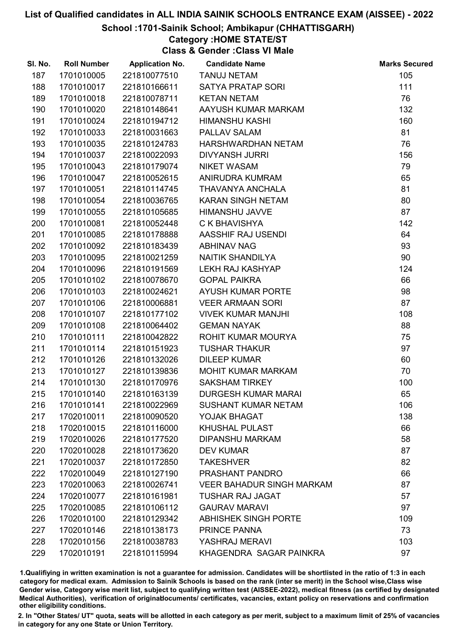#### School :1701-Sainik School; Ambikapur (CHHATTISGARH)

## Category :HOME STATE/ST

Class & Gender :Class VI Male

| SI. No. | <b>Roll Number</b> | <b>Application No.</b> | <b>Candidate Name</b>            | <b>Marks Secured</b> |
|---------|--------------------|------------------------|----------------------------------|----------------------|
| 187     | 1701010005         | 221810077510           | <b>TANUJ NETAM</b>               | 105                  |
| 188     | 1701010017         | 221810166611           | <b>SATYA PRATAP SORI</b>         | 111                  |
| 189     | 1701010018         | 221810078711           | <b>KETAN NETAM</b>               | 76                   |
| 190     | 1701010020         | 221810148641           | AAYUSH KUMAR MARKAM              | 132                  |
| 191     | 1701010024         | 221810194712           | <b>HIMANSHU KASHI</b>            | 160                  |
| 192     | 1701010033         | 221810031663           | PALLAV SALAM                     | 81                   |
| 193     | 1701010035         | 221810124783           | HARSHWARDHAN NETAM               | 76                   |
| 194     | 1701010037         | 221810022093           | <b>DIVYANSH JURRI</b>            | 156                  |
| 195     | 1701010043         | 221810179074           | <b>NIKET WASAM</b>               | 79                   |
| 196     | 1701010047         | 221810052615           | ANIRUDRA KUMRAM                  | 65                   |
| 197     | 1701010051         | 221810114745           | THAVANYA ANCHALA                 | 81                   |
| 198     | 1701010054         | 221810036765           | KARAN SINGH NETAM                | 80                   |
| 199     | 1701010055         | 221810105685           | <b>HIMANSHU JAVVE</b>            | 87                   |
| 200     | 1701010081         | 221810052448           | C K BHAVISHYA                    | 142                  |
| 201     | 1701010085         | 221810178888           | AASSHIF RAJ USENDI               | 64                   |
| 202     | 1701010092         | 221810183439           | <b>ABHINAV NAG</b>               | 93                   |
| 203     | 1701010095         | 221810021259           | NAITIK SHANDILYA                 | 90                   |
| 204     | 1701010096         | 221810191569           | LEKH RAJ KASHYAP                 | 124                  |
| 205     | 1701010102         | 221810078670           | <b>GOPAL PAIKRA</b>              | 66                   |
| 206     | 1701010103         | 221810024621           | <b>AYUSH KUMAR PORTE</b>         | 98                   |
| 207     | 1701010106         | 221810006881           | <b>VEER ARMAAN SORI</b>          | 87                   |
| 208     | 1701010107         | 221810177102           | <b>VIVEK KUMAR MANJHI</b>        | 108                  |
| 209     | 1701010108         | 221810064402           | <b>GEMAN NAYAK</b>               | 88                   |
| 210     | 1701010111         | 221810042822           | ROHIT KUMAR MOURYA               | 75                   |
| 211     | 1701010114         | 221810151923           | <b>TUSHAR THAKUR</b>             | 97                   |
| 212     | 1701010126         | 221810132026           | <b>DILEEP KUMAR</b>              | 60                   |
| 213     | 1701010127         | 221810139836           | MOHIT KUMAR MARKAM               | 70                   |
| 214     | 1701010130         | 221810170976           | <b>SAKSHAM TIRKEY</b>            | 100                  |
| 215     | 1701010140         | 221810163139           | <b>DURGESH KUMAR MARAI</b>       | 65                   |
| 216     | 1701010141         | 221810022969           | <b>SUSHANT KUMAR NETAM</b>       | 106                  |
| 217     | 1702010011         | 221810090520           | YOJAK BHAGAT                     | 138                  |
| 218     | 1702010015         | 221810116000           | <b>KHUSHAL PULAST</b>            | 66                   |
| 219     | 1702010026         | 221810177520           | <b>DIPANSHU MARKAM</b>           | 58                   |
| 220     | 1702010028         | 221810173620           | <b>DEV KUMAR</b>                 | 87                   |
| 221     | 1702010037         | 221810172850           | <b>TAKESHVER</b>                 | 82                   |
| 222     | 1702010049         | 221810127190           | PRASHANT PANDRO                  | 66                   |
| 223     | 1702010063         | 221810026741           | <b>VEER BAHADUR SINGH MARKAM</b> | 87                   |
| 224     | 1702010077         | 221810161981           | <b>TUSHAR RAJ JAGAT</b>          | 57                   |
| 225     | 1702010085         | 221810106112           | <b>GAURAV MARAVI</b>             | 97                   |
| 226     | 1702010100         | 221810129342           | <b>ABHISHEK SINGH PORTE</b>      | 109                  |
| 227     | 1702010146         | 221810138173           | PRINCE PANNA                     | 73                   |
| 228     | 1702010156         | 221810038783           | YASHRAJ MERAVI                   | 103                  |
| 229     | 1702010191         | 221810115994           | KHAGENDRA SAGAR PAINKRA          | 97                   |

1.Qualifiying in written examination is not a guarantee for admission. Candidates will be shortlisted in the ratio of 1:3 in each category for medical exam. Admission to Sainik Schools is based on the rank (inter se merit) in the School wise,Class wise Gender wise, Category wise merit list, subject to qualifying written test (AISSEE-2022), medical fitness (as certified by designated Medical Authorities), verification of originablocuments/ certificates, vacancies, extant policy on reservations and confirmation other eligibility conditions.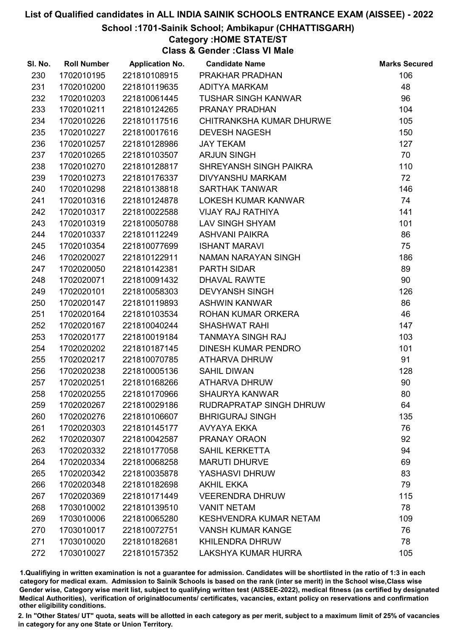#### School :1701-Sainik School; Ambikapur (CHHATTISGARH)

## Category :HOME STATE/ST

Class & Gender :Class VI Male

| SI. No. | <b>Roll Number</b> | <b>Application No.</b> | <b>Candidate Name</b>         | <b>Marks Secured</b> |
|---------|--------------------|------------------------|-------------------------------|----------------------|
| 230     | 1702010195         | 221810108915           | PRAKHAR PRADHAN               | 106                  |
| 231     | 1702010200         | 221810119635           | <b>ADITYA MARKAM</b>          | 48                   |
| 232     | 1702010203         | 221810061445           | <b>TUSHAR SINGH KANWAR</b>    | 96                   |
| 233     | 1702010211         | 221810124265           | PRANAY PRADHAN                | 104                  |
| 234     | 1702010226         | 221810117516           | CHITRANKSHA KUMAR DHURWE      | 105                  |
| 235     | 1702010227         | 221810017616           | <b>DEVESH NAGESH</b>          | 150                  |
| 236     | 1702010257         | 221810128986           | <b>JAY TEKAM</b>              | 127                  |
| 237     | 1702010265         | 221810103507           | <b>ARJUN SINGH</b>            | 70                   |
| 238     | 1702010270         | 221810128817           | SHREYANSH SINGH PAIKRA        | 110                  |
| 239     | 1702010273         | 221810176337           | <b>DIVYANSHU MARKAM</b>       | 72                   |
| 240     | 1702010298         | 221810138818           | <b>SARTHAK TANWAR</b>         | 146                  |
| 241     | 1702010316         | 221810124878           | LOKESH KUMAR KANWAR           | 74                   |
| 242     | 1702010317         | 221810022588           | <b>VIJAY RAJ RATHIYA</b>      | 141                  |
| 243     | 1702010319         | 221810050788           | <b>LAV SINGH SHYAM</b>        | 101                  |
| 244     | 1702010337         | 221810112249           | <b>ASHVANI PAIKRA</b>         | 86                   |
| 245     | 1702010354         | 221810077699           | <b>ISHANT MARAVI</b>          | 75                   |
| 246     | 1702020027         | 221810122911           | NAMAN NARAYAN SINGH           | 186                  |
| 247     | 1702020050         | 221810142381           | <b>PARTH SIDAR</b>            | 89                   |
| 248     | 1702020071         | 221810091432           | <b>DHAVAL RAWTE</b>           | 90                   |
| 249     | 1702020101         | 221810058303           | <b>DEVYANSH SINGH</b>         | 126                  |
| 250     | 1702020147         | 221810119893           | <b>ASHWIN KANWAR</b>          | 86                   |
| 251     | 1702020164         | 221810103534           | ROHAN KUMAR ORKERA            | 46                   |
| 252     | 1702020167         | 221810040244           | <b>SHASHWAT RAHI</b>          | 147                  |
| 253     | 1702020177         | 221810019184           | <b>TANMAYA SINGH RAJ</b>      | 103                  |
| 254     | 1702020202         | 221810187145           | <b>DINESH KUMAR PENDRO</b>    | 101                  |
| 255     | 1702020217         | 221810070785           | <b>ATHARVA DHRUW</b>          | 91                   |
| 256     | 1702020238         | 221810005136           | <b>SAHIL DIWAN</b>            | 128                  |
| 257     | 1702020251         | 221810168266           | ATHARVA DHRUW                 | 90                   |
| 258     | 1702020255         | 221810170966           | <b>SHAURYA KANWAR</b>         | 80                   |
| 259     | 1702020267         | 221810029186           | RUDRAPRATAP SINGH DHRUW       | 64                   |
| 260     | 1702020276         | 221810106607           | <b>BHRIGURAJ SINGH</b>        | 135                  |
| 261     | 1702020303         | 221810145177           | <b>AVYAYA EKKA</b>            | 76                   |
| 262     | 1702020307         | 221810042587           | PRANAY ORAON                  | 92                   |
| 263     | 1702020332         | 221810177058           | <b>SAHIL KERKETTA</b>         | 94                   |
| 264     | 1702020334         | 221810068258           | <b>MARUTI DHURVE</b>          | 69                   |
| 265     | 1702020342         | 221810035878           | YASHASVI DHRUW                | 83                   |
| 266     | 1702020348         | 221810182698           | <b>AKHIL EKKA</b>             | 79                   |
| 267     | 1702020369         | 221810171449           | <b>VEERENDRA DHRUW</b>        | 115                  |
| 268     | 1703010002         | 221810139510           | <b>VANIT NETAM</b>            | 78                   |
| 269     | 1703010006         | 221810065280           | <b>KESHVENDRA KUMAR NETAM</b> | 109                  |
| 270     | 1703010017         | 221810072751           | <b>VANSH KUMAR KANGE</b>      | 76                   |
| 271     | 1703010020         | 221810182681           | <b>KHILENDRA DHRUW</b>        | 78                   |
| 272     | 1703010027         | 221810157352           | LAKSHYA KUMAR HURRA           | 105                  |

1.Qualifiying in written examination is not a guarantee for admission. Candidates will be shortlisted in the ratio of 1:3 in each category for medical exam. Admission to Sainik Schools is based on the rank (inter se merit) in the School wise,Class wise Gender wise, Category wise merit list, subject to qualifying written test (AISSEE-2022), medical fitness (as certified by designated Medical Authorities), verification of originablocuments/ certificates, vacancies, extant policy on reservations and confirmation other eligibility conditions.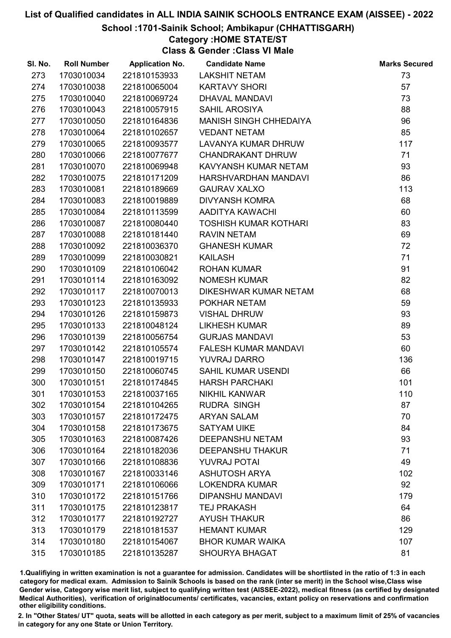#### School :1701-Sainik School; Ambikapur (CHHATTISGARH)

## Category :HOME STATE/ST

Class & Gender :Class VI Male

| SI. No. | <b>Roll Number</b> | <b>Application No.</b> | <b>Candidate Name</b>        | <b>Marks Secured</b> |
|---------|--------------------|------------------------|------------------------------|----------------------|
| 273     | 1703010034         | 221810153933           | <b>LAKSHIT NETAM</b>         | 73                   |
| 274     | 1703010038         | 221810065004           | <b>KARTAVY SHORI</b>         | 57                   |
| 275     | 1703010040         | 221810069724           | DHAVAL MANDAVI               | 73                   |
| 276     | 1703010043         | 221810057915           | <b>SAHIL AROSIYA</b>         | 88                   |
| 277     | 1703010050         | 221810164836           | MANISH SINGH CHHEDAIYA       | 96                   |
| 278     | 1703010064         | 221810102657           | <b>VEDANT NETAM</b>          | 85                   |
| 279     | 1703010065         | 221810093577           | LAVANYA KUMAR DHRUW          | 117                  |
| 280     | 1703010066         | 221810077677           | <b>CHANDRAKANT DHRUW</b>     | 71                   |
| 281     | 1703010070         | 221810069948           | KAVYANSH KUMAR NETAM         | 93                   |
| 282     | 1703010075         | 221810171209           | HARSHVARDHAN MANDAVI         | 86                   |
| 283     | 1703010081         | 221810189669           | <b>GAURAV XALXO</b>          | 113                  |
| 284     | 1703010083         | 221810019889           | <b>DIVYANSH KOMRA</b>        | 68                   |
| 285     | 1703010084         | 221810113599           | AADITYA KAWACHI              | 60                   |
| 286     | 1703010087         | 221810080440           | <b>TOSHISH KUMAR KOTHARI</b> | 83                   |
| 287     | 1703010088         | 221810181440           | <b>RAVIN NETAM</b>           | 69                   |
| 288     | 1703010092         | 221810036370           | <b>GHANESH KUMAR</b>         | 72                   |
| 289     | 1703010099         | 221810030821           | <b>KAILASH</b>               | 71                   |
| 290     | 1703010109         | 221810106042           | <b>ROHAN KUMAR</b>           | 91                   |
| 291     | 1703010114         | 221810163092           | <b>NOMESH KUMAR</b>          | 82                   |
| 292     | 1703010117         | 221810070013           | DIKESHWAR KUMAR NETAM        | 68                   |
| 293     | 1703010123         | 221810135933           | POKHAR NETAM                 | 59                   |
| 294     | 1703010126         | 221810159873           | <b>VISHAL DHRUW</b>          | 93                   |
| 295     | 1703010133         | 221810048124           | <b>LIKHESH KUMAR</b>         | 89                   |
| 296     | 1703010139         | 221810056754           | <b>GURJAS MANDAVI</b>        | 53                   |
| 297     | 1703010142         | 221810105574           | FALESH KUMAR MANDAVI         | 60                   |
| 298     | 1703010147         | 221810019715           | <b>YUVRAJ DARRO</b>          | 136                  |
| 299     | 1703010150         | 221810060745           | SAHIL KUMAR USENDI           | 66                   |
| 300     | 1703010151         | 221810174845           | <b>HARSH PARCHAKI</b>        | 101                  |
| 301     | 1703010153         | 221810037165           | <b>NIKHIL KANWAR</b>         | 110                  |
| 302     | 1703010154         | 221810104265           | <b>RUDRA SINGH</b>           | 87                   |
| 303     | 1703010157         | 221810172475           | <b>ARYAN SALAM</b>           | 70                   |
| 304     | 1703010158         | 221810173675           | <b>SATYAM UIKE</b>           | 84                   |
| 305     | 1703010163         | 221810087426           | <b>DEEPANSHU NETAM</b>       | 93                   |
| 306     | 1703010164         | 221810182036           | <b>DEEPANSHU THAKUR</b>      | 71                   |
| 307     | 1703010166         | 221810108836           | <b>YUVRAJ POTAI</b>          | 49                   |
| 308     | 1703010167         | 221810033146           | <b>ASHUTOSH ARYA</b>         | 102                  |
| 309     | 1703010171         | 221810106066           | <b>LOKENDRA KUMAR</b>        | 92                   |
| 310     | 1703010172         | 221810151766           | <b>DIPANSHU MANDAVI</b>      | 179                  |
| 311     | 1703010175         | 221810123817           | <b>TEJ PRAKASH</b>           | 64                   |
| 312     | 1703010177         | 221810192727           | <b>AYUSH THAKUR</b>          | 86                   |
| 313     | 1703010179         | 221810181537           | <b>HEMANT KUMAR</b>          | 129                  |
| 314     | 1703010180         | 221810154067           | <b>BHOR KUMAR WAIKA</b>      | 107                  |
| 315     | 1703010185         | 221810135287           | <b>SHOURYA BHAGAT</b>        | 81                   |

1.Qualifiying in written examination is not a guarantee for admission. Candidates will be shortlisted in the ratio of 1:3 in each category for medical exam. Admission to Sainik Schools is based on the rank (inter se merit) in the School wise,Class wise Gender wise, Category wise merit list, subject to qualifying written test (AISSEE-2022), medical fitness (as certified by designated Medical Authorities), verification of originablocuments/ certificates, vacancies, extant policy on reservations and confirmation other eligibility conditions.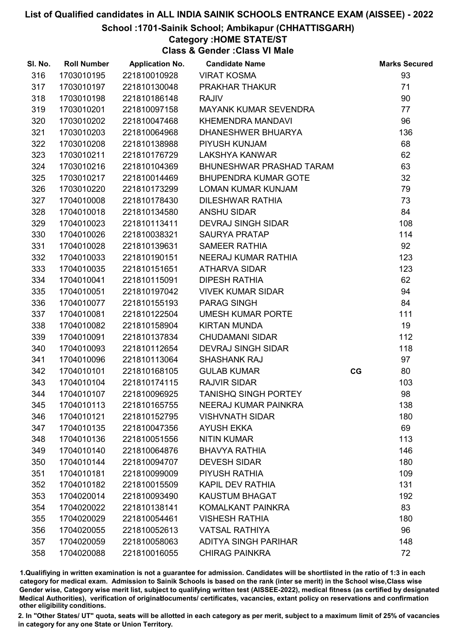#### School :1701-Sainik School; Ambikapur (CHHATTISGARH)

## Category :HOME STATE/ST

Class & Gender :Class VI Male

| SI. No. | <b>Roll Number</b> | <b>Application No.</b> | <b>Candidate Name</b>       |    | <b>Marks Secured</b> |
|---------|--------------------|------------------------|-----------------------------|----|----------------------|
| 316     | 1703010195         | 221810010928           | <b>VIRAT KOSMA</b>          |    | 93                   |
| 317     | 1703010197         | 221810130048           | PRAKHAR THAKUR              |    | 71                   |
| 318     | 1703010198         | 221810186148           | <b>RAJIV</b>                |    | 90                   |
| 319     | 1703010201         | 221810097158           | MAYANK KUMAR SEVENDRA       |    | 77                   |
| 320     | 1703010202         | 221810047468           | <b>KHEMENDRA MANDAVI</b>    |    | 96                   |
| 321     | 1703010203         | 221810064968           | <b>DHANESHWER BHUARYA</b>   |    | 136                  |
| 322     | 1703010208         | 221810138988           | PIYUSH KUNJAM               |    | 68                   |
| 323     | 1703010211         | 221810176729           | LAKSHYA KANWAR              |    | 62                   |
| 324     | 1703010216         | 221810104369           | BHUNESHWAR PRASHAD TARAM    |    | 63                   |
| 325     | 1703010217         | 221810014469           | <b>BHUPENDRA KUMAR GOTE</b> |    | 32                   |
| 326     | 1703010220         | 221810173299           | <b>LOMAN KUMAR KUNJAM</b>   |    | 79                   |
| 327     | 1704010008         | 221810178430           | DILESHWAR RATHIA            |    | 73                   |
| 328     | 1704010018         | 221810134580           | <b>ANSHU SIDAR</b>          |    | 84                   |
| 329     | 1704010023         | 221810113411           | <b>DEVRAJ SINGH SIDAR</b>   |    | 108                  |
| 330     | 1704010026         | 221810038321           | <b>SAURYA PRATAP</b>        |    | 114                  |
| 331     | 1704010028         | 221810139631           | <b>SAMEER RATHIA</b>        |    | 92                   |
| 332     | 1704010033         | 221810190151           | NEERAJ KUMAR RATHIA         |    | 123                  |
| 333     | 1704010035         | 221810151651           | <b>ATHARVA SIDAR</b>        |    | 123                  |
| 334     | 1704010041         | 221810115091           | <b>DIPESH RATHIA</b>        |    | 62                   |
| 335     | 1704010051         | 221810197042           | <b>VIVEK KUMAR SIDAR</b>    |    | 94                   |
| 336     | 1704010077         | 221810155193           | <b>PARAG SINGH</b>          |    | 84                   |
| 337     | 1704010081         | 221810122504           | <b>UMESH KUMAR PORTE</b>    |    | 111                  |
| 338     | 1704010082         | 221810158904           | <b>KIRTAN MUNDA</b>         |    | 19                   |
| 339     | 1704010091         | 221810137834           | <b>CHUDAMANI SIDAR</b>      |    | 112                  |
| 340     | 1704010093         | 221810112654           | <b>DEVRAJ SINGH SIDAR</b>   |    | 118                  |
| 341     | 1704010096         | 221810113064           | <b>SHASHANK RAJ</b>         |    | 97                   |
| 342     | 1704010101         | 221810168105           | <b>GULAB KUMAR</b>          | CG | 80                   |
| 343     | 1704010104         | 221810174115           | <b>RAJVIR SIDAR</b>         |    | 103                  |
| 344     | 1704010107         | 221810096925           | <b>TANISHQ SINGH PORTEY</b> |    | 98                   |
| 345     | 1704010113         | 221810165755           | NEERAJ KUMAR PAINKRA        |    | 138                  |
| 346     | 1704010121         | 221810152795           | <b>VISHVNATH SIDAR</b>      |    | 180                  |
| 347     | 1704010135         | 221810047356           | <b>AYUSH EKKA</b>           |    | 69                   |
| 348     | 1704010136         | 221810051556           | <b>NITIN KUMAR</b>          |    | 113                  |
| 349     | 1704010140         | 221810064876           | <b>BHAVYA RATHIA</b>        |    | 146                  |
| 350     | 1704010144         | 221810094707           | <b>DEVESH SIDAR</b>         |    | 180                  |
| 351     | 1704010181         | 221810099009           | PIYUSH RATHIA               |    | 109                  |
| 352     | 1704010182         | 221810015509           | <b>KAPIL DEV RATHIA</b>     |    | 131                  |
| 353     | 1704020014         | 221810093490           | <b>KAUSTUM BHAGAT</b>       |    | 192                  |
| 354     | 1704020022         | 221810138141           | KOMALKANT PAINKRA           |    | 83                   |
| 355     | 1704020029         | 221810054461           | <b>VISHESH RATHIA</b>       |    | 180                  |
| 356     | 1704020055         | 221810052613           | <b>VATSAL RATHIYA</b>       |    | 96                   |
| 357     | 1704020059         | 221810058063           | <b>ADITYA SINGH PARIHAR</b> |    | 148                  |
| 358     | 1704020088         | 221810016055           | <b>CHIRAG PAINKRA</b>       |    | 72                   |

1.Qualifiying in written examination is not a guarantee for admission. Candidates will be shortlisted in the ratio of 1:3 in each category for medical exam. Admission to Sainik Schools is based on the rank (inter se merit) in the School wise,Class wise Gender wise, Category wise merit list, subject to qualifying written test (AISSEE-2022), medical fitness (as certified by designated Medical Authorities), verification of originablocuments/ certificates, vacancies, extant policy on reservations and confirmation other eligibility conditions.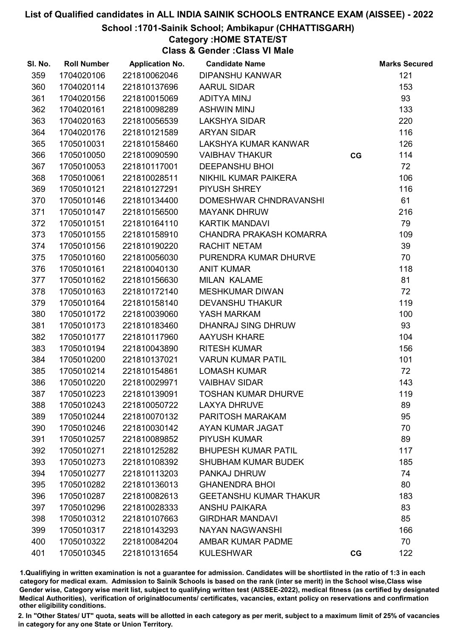School :1701-Sainik School; Ambikapur (CHHATTISGARH)

## Category :HOME STATE/ST

Class & Gender :Class VI Male

| SI. No. | <b>Roll Number</b> | <b>Application No.</b> | <b>Candidate Name</b>         |    | <b>Marks Secured</b> |
|---------|--------------------|------------------------|-------------------------------|----|----------------------|
| 359     | 1704020106         | 221810062046           | <b>DIPANSHU KANWAR</b>        |    | 121                  |
| 360     | 1704020114         | 221810137696           | <b>AARUL SIDAR</b>            |    | 153                  |
| 361     | 1704020156         | 221810015069           | ADITYA MINJ                   |    | 93                   |
| 362     | 1704020161         | 221810098289           | <b>ASHWIN MINJ</b>            |    | 133                  |
| 363     | 1704020163         | 221810056539           | <b>LAKSHYA SIDAR</b>          |    | 220                  |
| 364     | 1704020176         | 221810121589           | <b>ARYAN SIDAR</b>            |    | 116                  |
| 365     | 1705010031         | 221810158460           | LAKSHYA KUMAR KANWAR          |    | 126                  |
| 366     | 1705010050         | 221810090590           | <b>VAIBHAV THAKUR</b>         | CG | 114                  |
| 367     | 1705010053         | 221810117001           | <b>DEEPANSHU BHOI</b>         |    | 72                   |
| 368     | 1705010061         | 221810028511           | NIKHIL KUMAR PAIKERA          |    | 106                  |
| 369     | 1705010121         | 221810127291           | PIYUSH SHREY                  |    | 116                  |
| 370     | 1705010146         | 221810134400           | DOMESHWAR CHNDRAVANSHI        |    | 61                   |
| 371     | 1705010147         | 221810156500           | <b>MAYANK DHRUW</b>           |    | 216                  |
| 372     | 1705010151         | 221810164110           | <b>KARTIK MANDAVI</b>         |    | 79                   |
| 373     | 1705010155         | 221810158910           | CHANDRA PRAKASH KOMARRA       |    | 109                  |
| 374     | 1705010156         | 221810190220           | <b>RACHIT NETAM</b>           |    | 39                   |
| 375     | 1705010160         | 221810056030           | PURENDRA KUMAR DHURVE         |    | 70                   |
| 376     | 1705010161         | 221810040130           | <b>ANIT KUMAR</b>             |    | 118                  |
| 377     | 1705010162         | 221810156630           | <b>MILAN KALAME</b>           |    | 81                   |
| 378     | 1705010163         | 221810172140           | <b>MESHKUMAR DIWAN</b>        |    | 72                   |
| 379     | 1705010164         | 221810158140           | <b>DEVANSHU THAKUR</b>        |    | 119                  |
| 380     | 1705010172         | 221810039060           | YASH MARKAM                   |    | 100                  |
| 381     | 1705010173         | 221810183460           | DHANRAJ SING DHRUW            |    | 93                   |
| 382     | 1705010177         | 221810117960           | <b>AAYUSH KHARE</b>           |    | 104                  |
| 383     | 1705010194         | 221810043890           | <b>RITESH KUMAR</b>           |    | 156                  |
| 384     | 1705010200         | 221810137021           | <b>VARUN KUMAR PATIL</b>      |    | 101                  |
| 385     | 1705010214         | 221810154861           | <b>LOMASH KUMAR</b>           |    | 72                   |
| 386     | 1705010220         | 221810029971           | <b>VAIBHAV SIDAR</b>          |    | 143                  |
| 387     | 1705010223         | 221810139091           | <b>TOSHAN KUMAR DHURVE</b>    |    | 119                  |
| 388     | 1705010243         | 221810050722           | <b>LAXYA DHRUVE</b>           |    | 89                   |
| 389     | 1705010244         | 221810070132           | PARITOSH MARAKAM              |    | 95                   |
| 390     | 1705010246         | 221810030142           | AYAN KUMAR JAGAT              |    | 70                   |
| 391     | 1705010257         | 221810089852           | <b>PIYUSH KUMAR</b>           |    | 89                   |
| 392     | 1705010271         | 221810125282           | <b>BHUPESH KUMAR PATIL</b>    |    | 117                  |
| 393     | 1705010273         | 221810108392           | <b>SHUBHAM KUMAR BUDEK</b>    |    | 185                  |
| 394     | 1705010277         | 221810113203           | PANKAJ DHRUW                  |    | 74                   |
| 395     | 1705010282         | 221810136013           | <b>GHANENDRA BHOI</b>         |    | 80                   |
| 396     | 1705010287         | 221810082613           | <b>GEETANSHU KUMAR THAKUR</b> |    | 183                  |
| 397     | 1705010296         | 221810028333           | <b>ANSHU PAIKARA</b>          |    | 83                   |
| 398     | 1705010312         | 221810107663           | <b>GIRDHAR MANDAVI</b>        |    | 85                   |
| 399     | 1705010317         | 221810143293           | NAYAN NAGWANSHI               |    | 166                  |
| 400     | 1705010322         | 221810084204           | AMBAR KUMAR PADME             |    | 70                   |
| 401     | 1705010345         | 221810131654           | <b>KULESHWAR</b>              | CG | 122                  |

1.Qualifiying in written examination is not a guarantee for admission. Candidates will be shortlisted in the ratio of 1:3 in each category for medical exam. Admission to Sainik Schools is based on the rank (inter se merit) in the School wise,Class wise Gender wise, Category wise merit list, subject to qualifying written test (AISSEE-2022), medical fitness (as certified by designated Medical Authorities), verification of originablocuments/ certificates, vacancies, extant policy on reservations and confirmation other eligibility conditions.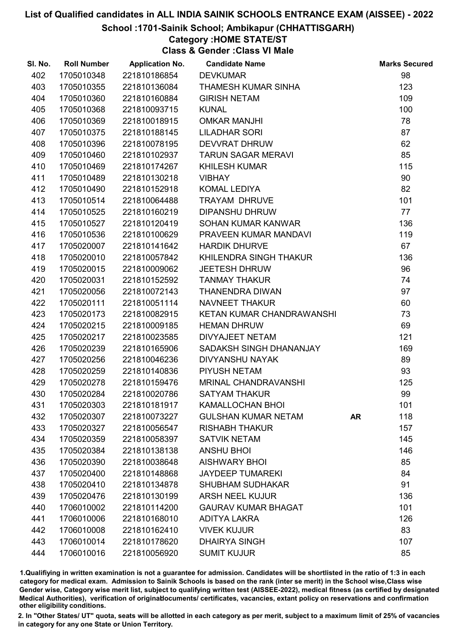#### School :1701-Sainik School; Ambikapur (CHHATTISGARH)

## Category :HOME STATE/ST

Class & Gender :Class VI Male

| SI. No. | <b>Roll Number</b> | <b>Application No.</b> | <b>Candidate Name</b>      |           | <b>Marks Secured</b> |
|---------|--------------------|------------------------|----------------------------|-----------|----------------------|
| 402     | 1705010348         | 221810186854           | <b>DEVKUMAR</b>            |           | 98                   |
| 403     | 1705010355         | 221810136084           | <b>THAMESH KUMAR SINHA</b> |           | 123                  |
| 404     | 1705010360         | 221810160884           | <b>GIRISH NETAM</b>        |           | 109                  |
| 405     | 1705010368         | 221810093715           | <b>KUNAL</b>               |           | 100                  |
| 406     | 1705010369         | 221810018915           | <b>OMKAR MANJHI</b>        |           | 78                   |
| 407     | 1705010375         | 221810188145           | <b>LILADHAR SORI</b>       |           | 87                   |
| 408     | 1705010396         | 221810078195           | <b>DEVVRAT DHRUW</b>       |           | 62                   |
| 409     | 1705010460         | 221810102937           | <b>TARUN SAGAR MERAVI</b>  |           | 85                   |
| 410     | 1705010469         | 221810174267           | <b>KHILESH KUMAR</b>       |           | 115                  |
| 411     | 1705010489         | 221810130218           | <b>VIBHAY</b>              |           | 90                   |
| 412     | 1705010490         | 221810152918           | KOMAL LEDIYA               |           | 82                   |
| 413     | 1705010514         | 221810064488           | TRAYAM DHRUVE              |           | 101                  |
| 414     | 1705010525         | 221810160219           | <b>DIPANSHU DHRUW</b>      |           | 77                   |
| 415     | 1705010527         | 221810120419           | SOHAN KUMAR KANWAR         |           | 136                  |
| 416     | 1705010536         | 221810100629           | PRAVEEN KUMAR MANDAVI      |           | 119                  |
| 417     | 1705020007         | 221810141642           | <b>HARDIK DHURVE</b>       |           | 67                   |
| 418     | 1705020010         | 221810057842           | KHILENDRA SINGH THAKUR     |           | 136                  |
| 419     | 1705020015         | 221810009062           | <b>JEETESH DHRUW</b>       |           | 96                   |
| 420     | 1705020031         | 221810152592           | <b>TANMAY THAKUR</b>       |           | 74                   |
| 421     | 1705020056         | 221810072143           | THANENDRA DIWAN            |           | 97                   |
| 422     | 1705020111         | 221810051114           | NAVNEET THAKUR             |           | 60                   |
| 423     | 1705020173         | 221810082915           | KETAN KUMAR CHANDRAWANSHI  |           | 73                   |
| 424     | 1705020215         | 221810009185           | <b>HEMAN DHRUW</b>         |           | 69                   |
| 425     | 1705020217         | 221810023585           | DIVYAJEET NETAM            |           | 121                  |
| 426     | 1705020239         | 221810165906           | SADAKSH SINGH DHANANJAY    |           | 169                  |
| 427     | 1705020256         | 221810046236           | <b>DIVYANSHU NAYAK</b>     |           | 89                   |
| 428     | 1705020259         | 221810140836           | PIYUSH NETAM               |           | 93                   |
| 429     | 1705020278         | 221810159476           | MRINAL CHANDRAVANSHI       |           | 125                  |
| 430     | 1705020284         | 221810020786           | <b>SATYAM THAKUR</b>       |           | 99                   |
| 431     | 1705020303         | 221810181917           | <b>KAMALLOCHAN BHOI</b>    |           | 101                  |
| 432     | 1705020307         | 221810073227           | <b>GULSHAN KUMAR NETAM</b> | <b>AR</b> | 118                  |
| 433     | 1705020327         | 221810056547           | <b>RISHABH THAKUR</b>      |           | 157                  |
| 434     | 1705020359         | 221810058397           | <b>SATVIK NETAM</b>        |           | 145                  |
| 435     | 1705020384         | 221810138138           | <b>ANSHU BHOI</b>          |           | 146                  |
| 436     | 1705020390         | 221810038648           | <b>AISHWARY BHOI</b>       |           | 85                   |
| 437     | 1705020400         | 221810148868           | <b>JAYDEEP TUMAREKI</b>    |           | 84                   |
| 438     | 1705020410         | 221810134878           | <b>SHUBHAM SUDHAKAR</b>    |           | 91                   |
| 439     | 1705020476         | 221810130199           | <b>ARSH NEEL KUJUR</b>     |           | 136                  |
| 440     | 1706010002         | 221810114200           | <b>GAURAV KUMAR BHAGAT</b> |           | 101                  |
| 441     | 1706010006         | 221810168010           | <b>ADITYA LAKRA</b>        |           | 126                  |
| 442     | 1706010008         | 221810162410           | <b>VIVEK KUJUR</b>         |           | 83                   |
| 443     | 1706010014         | 221810178620           | <b>DHAIRYA SINGH</b>       |           | 107                  |
| 444     | 1706010016         | 221810056920           | <b>SUMIT KUJUR</b>         |           | 85                   |

1.Qualifiying in written examination is not a guarantee for admission. Candidates will be shortlisted in the ratio of 1:3 in each category for medical exam. Admission to Sainik Schools is based on the rank (inter se merit) in the School wise,Class wise Gender wise, Category wise merit list, subject to qualifying written test (AISSEE-2022), medical fitness (as certified by designated Medical Authorities), verification of originablocuments/ certificates, vacancies, extant policy on reservations and confirmation other eligibility conditions.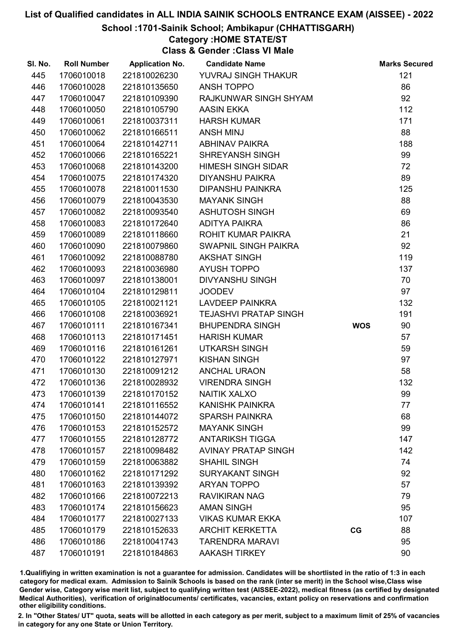#### School :1701-Sainik School; Ambikapur (CHHATTISGARH)

## Category :HOME STATE/ST

Class & Gender :Class VI Male

| SI. No. | <b>Roll Number</b> | <b>Application No.</b> | <b>Candidate Name</b>        |            | <b>Marks Secured</b> |
|---------|--------------------|------------------------|------------------------------|------------|----------------------|
| 445     | 1706010018         | 221810026230           | YUVRAJ SINGH THAKUR          |            | 121                  |
| 446     | 1706010028         | 221810135650           | <b>ANSH TOPPO</b>            |            | 86                   |
| 447     | 1706010047         | 221810109390           | RAJKUNWAR SINGH SHYAM        |            | 92                   |
| 448     | 1706010050         | 221810105790           | <b>AASIN EKKA</b>            |            | 112                  |
| 449     | 1706010061         | 221810037311           | <b>HARSH KUMAR</b>           |            | 171                  |
| 450     | 1706010062         | 221810166511           | <b>ANSH MINJ</b>             |            | 88                   |
| 451     | 1706010064         | 221810142711           | <b>ABHINAV PAIKRA</b>        |            | 188                  |
| 452     | 1706010066         | 221810165221           | <b>SHREYANSH SINGH</b>       |            | 99                   |
| 453     | 1706010068         | 221810143200           | <b>HIMESH SINGH SIDAR</b>    |            | 72                   |
| 454     | 1706010075         | 221810174320           | <b>DIYANSHU PAIKRA</b>       |            | 89                   |
| 455     | 1706010078         | 221810011530           | <b>DIPANSHU PAINKRA</b>      |            | 125                  |
| 456     | 1706010079         | 221810043530           | <b>MAYANK SINGH</b>          |            | 88                   |
| 457     | 1706010082         | 221810093540           | ASHUTOSH SINGH               |            | 69                   |
| 458     | 1706010083         | 221810172640           | <b>ADITYA PAIKRA</b>         |            | 86                   |
| 459     | 1706010089         | 221810118660           | <b>ROHIT KUMAR PAIKRA</b>    |            | 21                   |
| 460     | 1706010090         | 221810079860           | SWAPNIL SINGH PAIKRA         |            | 92                   |
| 461     | 1706010092         | 221810088780           | <b>AKSHAT SINGH</b>          |            | 119                  |
| 462     | 1706010093         | 221810036980           | <b>AYUSH TOPPO</b>           |            | 137                  |
| 463     | 1706010097         | 221810138001           | <b>DIVYANSHU SINGH</b>       |            | 70                   |
| 464     | 1706010104         | 221810129811           | <b>JOODEV</b>                |            | 97                   |
| 465     | 1706010105         | 221810021121           | LAVDEEP PAINKRA              |            | 132                  |
| 466     | 1706010108         | 221810036921           | <b>TEJASHVI PRATAP SINGH</b> |            | 191                  |
| 467     | 1706010111         | 221810167341           | <b>BHUPENDRA SINGH</b>       | <b>WOS</b> | 90                   |
| 468     | 1706010113         | 221810171451           | <b>HARISH KUMAR</b>          |            | 57                   |
| 469     | 1706010116         | 221810161261           | <b>UTKARSH SINGH</b>         |            | 59                   |
| 470     | 1706010122         | 221810127971           | <b>KISHAN SINGH</b>          |            | 97                   |
| 471     | 1706010130         | 221810091212           | <b>ANCHAL URAON</b>          |            | 58                   |
| 472     | 1706010136         | 221810028932           | <b>VIRENDRA SINGH</b>        |            | 132                  |
| 473     | 1706010139         | 221810170152           | <b>NAITIK XALXO</b>          |            | 99                   |
| 474     | 1706010141         | 221810116552           | <b>KANISHK PAINKRA</b>       |            | 77                   |
| 475     | 1706010150         | 221810144072           | <b>SPARSH PAINKRA</b>        |            | 68                   |
| 476     | 1706010153         | 221810152572           | <b>MAYANK SINGH</b>          |            | 99                   |
| 477     | 1706010155         | 221810128772           | <b>ANTARIKSH TIGGA</b>       |            | 147                  |
| 478     | 1706010157         | 221810098482           | <b>AVINAY PRATAP SINGH</b>   |            | 142                  |
| 479     | 1706010159         | 221810063882           | <b>SHAHIL SINGH</b>          |            | 74                   |
| 480     | 1706010162         | 221810171292           | <b>SURYAKANT SINGH</b>       |            | 92                   |
| 481     | 1706010163         | 221810139392           | <b>ARYAN TOPPO</b>           |            | 57                   |
| 482     | 1706010166         | 221810072213           | <b>RAVIKIRAN NAG</b>         |            | 79                   |
| 483     | 1706010174         | 221810156623           | <b>AMAN SINGH</b>            |            | 95                   |
| 484     | 1706010177         | 221810027133           | <b>VIKAS KUMAR EKKA</b>      |            | 107                  |
| 485     | 1706010179         | 221810152633           | <b>ARCHIT KERKETTA</b>       | CG         | 88                   |
| 486     | 1706010186         | 221810041743           | <b>TARENDRA MARAVI</b>       |            | 95                   |
| 487     | 1706010191         | 221810184863           | <b>AAKASH TIRKEY</b>         |            | 90                   |

1.Qualifiying in written examination is not a guarantee for admission. Candidates will be shortlisted in the ratio of 1:3 in each category for medical exam. Admission to Sainik Schools is based on the rank (inter se merit) in the School wise,Class wise Gender wise, Category wise merit list, subject to qualifying written test (AISSEE-2022), medical fitness (as certified by designated Medical Authorities), verification of originablocuments/ certificates, vacancies, extant policy on reservations and confirmation other eligibility conditions.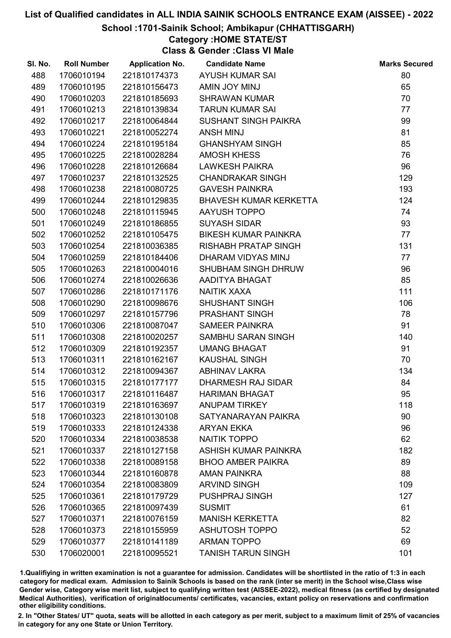#### School :1701-Sainik School; Ambikapur (CHHATTISGARH)

## Category :HOME STATE/ST

Class & Gender :Class VI Male

| SI. No. | <b>Roll Number</b> | <b>Application No.</b> | <b>Candidate Name</b>         | <b>Marks Secured</b> |
|---------|--------------------|------------------------|-------------------------------|----------------------|
| 488     | 1706010194         | 221810174373           | <b>AYUSH KUMAR SAI</b>        | 80                   |
| 489     | 1706010195         | 221810156473           | AMIN JOY MINJ                 | 65                   |
| 490     | 1706010203         | 221810185693           | <b>SHRAWAN KUMAR</b>          | 70                   |
| 491     | 1706010213         | 221810139834           | <b>TARUN KUMAR SAI</b>        | 77                   |
| 492     | 1706010217         | 221810064844           | SUSHANT SINGH PAIKRA          | 99                   |
| 493     | 1706010221         | 221810052274           | <b>ANSH MINJ</b>              | 81                   |
| 494     | 1706010224         | 221810195184           | <b>GHANSHYAM SINGH</b>        | 85                   |
| 495     | 1706010225         | 221810028284           | <b>AMOSH KHESS</b>            | 76                   |
| 496     | 1706010228         | 221810126684           | <b>LAWKESH PAIKRA</b>         | 96                   |
| 497     | 1706010237         | 221810132525           | <b>CHANDRAKAR SINGH</b>       | 129                  |
| 498     | 1706010238         | 221810080725           | <b>GAVESH PAINKRA</b>         | 193                  |
| 499     | 1706010244         | 221810129835           | <b>BHAVESH KUMAR KERKETTA</b> | 124                  |
| 500     | 1706010248         | 221810115945           | AAYUSH TOPPO                  | 74                   |
| 501     | 1706010249         | 221810186855           | <b>SUYASH SIDAR</b>           | 93                   |
| 502     | 1706010252         | 221810105475           | BIKESH KUMAR PAINKRA          | 77                   |
| 503     | 1706010254         | 221810036385           | RISHABH PRATAP SINGH          | 131                  |
| 504     | 1706010259         | 221810184406           | DHARAM VIDYAS MINJ            | 77                   |
| 505     | 1706010263         | 221810004016           | SHUBHAM SINGH DHRUW           | 96                   |
| 506     | 1706010274         | 221810026636           | AADITYA BHAGAT                | 85                   |
| 507     | 1706010286         | 221810171176           | NAITIK XAXA                   | 111                  |
| 508     | 1706010290         | 221810098676           | <b>SHUSHANT SINGH</b>         | 106                  |
| 509     | 1706010297         | 221810157796           | PRASHANT SINGH                | 78                   |
| 510     | 1706010306         | 221810087047           | <b>SAMEER PAINKRA</b>         | 91                   |
| 511     | 1706010308         | 221810020257           | SAMBHU SARAN SINGH            | 140                  |
| 512     | 1706010309         | 221810192357           | <b>UMANG BHAGAT</b>           | 91                   |
| 513     | 1706010311         | 221810162167           | <b>KAUSHAL SINGH</b>          | 70                   |
| 514     | 1706010312         | 221810094367           | <b>ABHINAV LAKRA</b>          | 134                  |
| 515     | 1706010315         | 221810177177           | <b>DHARMESH RAJ SIDAR</b>     | 84                   |
| 516     | 1706010317         | 221810116487           | <b>HARIMAN BHAGAT</b>         | 95                   |
| 517     | 1706010319         | 221810163697           | <b>ANUPAM TIRKEY</b>          | 118                  |
| 518     | 1706010323         | 221810130108           | SATYANARAYAN PAIKRA           | 90                   |
| 519     | 1706010333         | 221810124338           | <b>ARYAN EKKA</b>             | 96                   |
| 520     | 1706010334         | 221810038538           | <b>NAITIK TOPPO</b>           | 62                   |
| 521     | 1706010337         | 221810127158           | ASHISH KUMAR PAINKRA          | 182                  |
| 522     | 1706010338         | 221810089158           | <b>BHOO AMBER PAIKRA</b>      | 89                   |
| 523     | 1706010344         | 221810160878           | <b>AMAN PAINKRA</b>           | 88                   |
| 524     | 1706010354         | 221810083809           | <b>ARVIND SINGH</b>           | 109                  |
| 525     | 1706010361         | 221810179729           | PUSHPRAJ SINGH                | 127                  |
| 526     | 1706010365         | 221810097439           | <b>SUSMIT</b>                 | 61                   |
| 527     | 1706010371         | 221810076159           | <b>MANISH KERKETTA</b>        | 82                   |
| 528     | 1706010373         | 221810155959           | <b>ASHUTOSH TOPPO</b>         | 52                   |
| 529     | 1706010377         | 221810141189           | <b>ARMAN TOPPO</b>            | 69                   |
| 530     | 1706020001         | 221810095521           | <b>TANISH TARUN SINGH</b>     | 101                  |

1.Qualifiying in written examination is not a guarantee for admission. Candidates will be shortlisted in the ratio of 1:3 in each category for medical exam. Admission to Sainik Schools is based on the rank (inter se merit) in the School wise,Class wise Gender wise, Category wise merit list, subject to qualifying written test (AISSEE-2022), medical fitness (as certified by designated Medical Authorities), verification of originablocuments/ certificates, vacancies, extant policy on reservations and confirmation other eligibility conditions.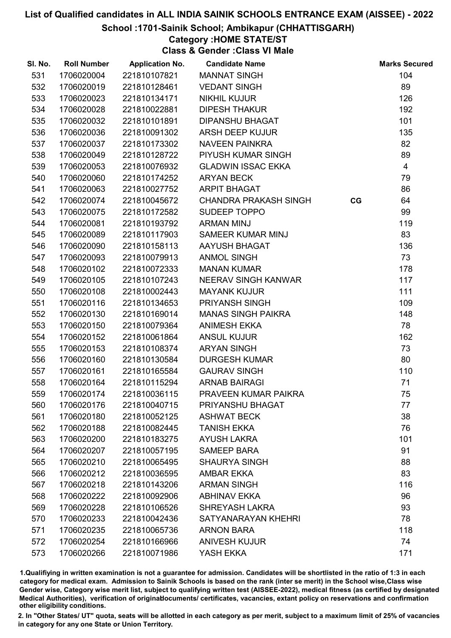School :1701-Sainik School; Ambikapur (CHHATTISGARH)

## Category :HOME STATE/ST

Class & Gender :Class VI Male

| SI. No. | <b>Roll Number</b> | <b>Application No.</b> | <b>Candidate Name</b>        |    | <b>Marks Secured</b> |
|---------|--------------------|------------------------|------------------------------|----|----------------------|
| 531     | 1706020004         | 221810107821           | <b>MANNAT SINGH</b>          |    | 104                  |
| 532     | 1706020019         | 221810128461           | <b>VEDANT SINGH</b>          |    | 89                   |
| 533     | 1706020023         | 221810134171           | <b>NIKHIL KUJUR</b>          |    | 126                  |
| 534     | 1706020028         | 221810022881           | <b>DIPESH THAKUR</b>         |    | 192                  |
| 535     | 1706020032         | 221810101891           | <b>DIPANSHU BHAGAT</b>       |    | 101                  |
| 536     | 1706020036         | 221810091302           | ARSH DEEP KUJUR              |    | 135                  |
| 537     | 1706020037         | 221810173302           | <b>NAVEEN PAINKRA</b>        |    | 82                   |
| 538     | 1706020049         | 221810128722           | PIYUSH KUMAR SINGH           |    | 89                   |
| 539     | 1706020053         | 221810076932           | <b>GLADWIN ISSAC EKKA</b>    |    | $\overline{4}$       |
| 540     | 1706020060         | 221810174252           | <b>ARYAN BECK</b>            |    | 79                   |
| 541     | 1706020063         | 221810027752           | <b>ARPIT BHAGAT</b>          |    | 86                   |
| 542     | 1706020074         | 221810045672           | <b>CHANDRA PRAKASH SINGH</b> | CG | 64                   |
| 543     | 1706020075         | 221810172582           | SUDEEP TOPPO                 |    | 99                   |
| 544     | 1706020081         | 221810193792           | <b>ARMAN MINJ</b>            |    | 119                  |
| 545     | 1706020089         | 221810117903           | <b>SAMEER KUMAR MINJ</b>     |    | 83                   |
| 546     | 1706020090         | 221810158113           | AAYUSH BHAGAT                |    | 136                  |
| 547     | 1706020093         | 221810079913           | <b>ANMOL SINGH</b>           |    | 73                   |
| 548     | 1706020102         | 221810072333           | <b>MANAN KUMAR</b>           |    | 178                  |
| 549     | 1706020105         | 221810107243           | NEERAV SINGH KANWAR          |    | 117                  |
| 550     | 1706020108         | 221810002443           | <b>MAYANK KUJUR</b>          |    | 111                  |
| 551     | 1706020116         | 221810134653           | PRIYANSH SINGH               |    | 109                  |
| 552     | 1706020130         | 221810169014           | <b>MANAS SINGH PAIKRA</b>    |    | 148                  |
| 553     | 1706020150         | 221810079364           | <b>ANIMESH EKKA</b>          |    | 78                   |
| 554     | 1706020152         | 221810061864           | <b>ANSUL KUJUR</b>           |    | 162                  |
| 555     | 1706020153         | 221810108374           | <b>ARYAN SINGH</b>           |    | 73                   |
| 556     | 1706020160         | 221810130584           | <b>DURGESH KUMAR</b>         |    | 80                   |
| 557     | 1706020161         | 221810165584           | <b>GAURAV SINGH</b>          |    | 110                  |
| 558     | 1706020164         | 221810115294           | <b>ARNAB BAIRAGI</b>         |    | 71                   |
| 559     | 1706020174         | 221810036115           | PRAVEEN KUMAR PAIKRA         |    | 75                   |
| 560     | 1706020176         | 221810040715           | PRIYANSHU BHAGAT             |    | 77                   |
| 561     | 1706020180         | 221810052125           | <b>ASHWAT BECK</b>           |    | 38                   |
| 562     | 1706020188         | 221810082445           | <b>TANISH EKKA</b>           |    | 76                   |
| 563     | 1706020200         | 221810183275           | <b>AYUSH LAKRA</b>           |    | 101                  |
| 564     | 1706020207         | 221810057195           | <b>SAMEEP BARA</b>           |    | 91                   |
| 565     | 1706020210         | 221810065495           | <b>SHAURYA SINGH</b>         |    | 88                   |
| 566     | 1706020212         | 221810036595           | <b>AMBAR EKKA</b>            |    | 83                   |
| 567     | 1706020218         | 221810143206           | <b>ARMAN SINGH</b>           |    | 116                  |
| 568     | 1706020222         | 221810092906           | <b>ABHINAV EKKA</b>          |    | 96                   |
| 569     | 1706020228         | 221810106526           | <b>SHREYASH LAKRA</b>        |    | 93                   |
| 570     | 1706020233         | 221810042436           | SATYANARAYAN KHEHRI          |    | 78                   |
| 571     | 1706020235         | 221810065736           | <b>ARNON BARA</b>            |    | 118                  |
| 572     | 1706020254         | 221810166966           | <b>ANIVESH KUJUR</b>         |    | 74                   |
| 573     | 1706020266         | 221810071986           | YASH EKKA                    |    | 171                  |

1.Qualifiying in written examination is not a guarantee for admission. Candidates will be shortlisted in the ratio of 1:3 in each category for medical exam. Admission to Sainik Schools is based on the rank (inter se merit) in the School wise,Class wise Gender wise, Category wise merit list, subject to qualifying written test (AISSEE-2022), medical fitness (as certified by designated Medical Authorities), verification of originablocuments/ certificates, vacancies, extant policy on reservations and confirmation other eligibility conditions.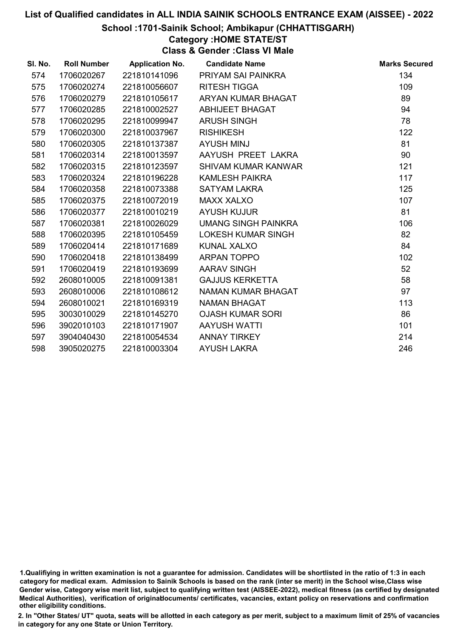#### School :1701-Sainik School; Ambikapur (CHHATTISGARH)

#### Category :HOME STATE/ST

Class & Gender :Class VI Male

| SI. No. | <b>Roll Number</b> | <b>Application No.</b> | <b>Candidate Name</b>     | <b>Marks Secured</b> |
|---------|--------------------|------------------------|---------------------------|----------------------|
| 574     | 1706020267         | 221810141096           | PRIYAM SAI PAINKRA        | 134                  |
| 575     | 1706020274         | 221810056607           | <b>RITESH TIGGA</b>       | 109                  |
| 576     | 1706020279         | 221810105617           | ARYAN KUMAR BHAGAT        | 89                   |
| 577     | 1706020285         | 221810002527           | ABHIJEET BHAGAT           | 94                   |
| 578     | 1706020295         | 221810099947           | <b>ARUSH SINGH</b>        | 78                   |
| 579     | 1706020300         | 221810037967           | <b>RISHIKESH</b>          | 122                  |
| 580     | 1706020305         | 221810137387           | <b>AYUSH MINJ</b>         | 81                   |
| 581     | 1706020314         | 221810013597           | AAYUSH PREET LAKRA        | 90                   |
| 582     | 1706020315         | 221810123597           | SHIVAM KUMAR KANWAR       | 121                  |
| 583     | 1706020324         | 221810196228           | <b>KAMLESH PAIKRA</b>     | 117                  |
| 584     | 1706020358         | 221810073388           | <b>SATYAM LAKRA</b>       | 125                  |
| 585     | 1706020375         | 221810072019           | <b>MAXX XALXO</b>         | 107                  |
| 586     | 1706020377         | 221810010219           | <b>AYUSH KUJUR</b>        | 81                   |
| 587     | 1706020381         | 221810026029           | UMANG SINGH PAINKRA       | 106                  |
| 588     | 1706020395         | 221810105459           | <b>LOKESH KUMAR SINGH</b> | 82                   |
| 589     | 1706020414         | 221810171689           | <b>KUNAL XALXO</b>        | 84                   |
| 590     | 1706020418         | 221810138499           | <b>ARPAN TOPPO</b>        | 102                  |
| 591     | 1706020419         | 221810193699           | <b>AARAV SINGH</b>        | 52                   |
| 592     | 2608010005         | 221810091381           | <b>GAJJUS KERKETTA</b>    | 58                   |
| 593     | 2608010006         | 221810108612           | NAMAN KUMAR BHAGAT        | 97                   |
| 594     | 2608010021         | 221810169319           | <b>NAMAN BHAGAT</b>       | 113                  |
| 595     | 3003010029         | 221810145270           | <b>OJASH KUMAR SORI</b>   | 86                   |
| 596     | 3902010103         | 221810171907           | <b>AAYUSH WATTI</b>       | 101                  |
| 597     | 3904040430         | 221810054534           | <b>ANNAY TIRKEY</b>       | 214                  |
| 598     | 3905020275         | 221810003304           | <b>AYUSH LAKRA</b>        | 246                  |

<sup>1.</sup>Qualifiying in written examination is not a guarantee for admission. Candidates will be shortlisted in the ratio of 1:3 in each category for medical exam. Admission to Sainik Schools is based on the rank (inter se merit) in the School wise,Class wise Gender wise, Category wise merit list, subject to qualifying written test (AISSEE-2022), medical fitness (as certified by designated Medical Authorities), verification of originablocuments/ certificates, vacancies, extant policy on reservations and confirmation other eligibility conditions.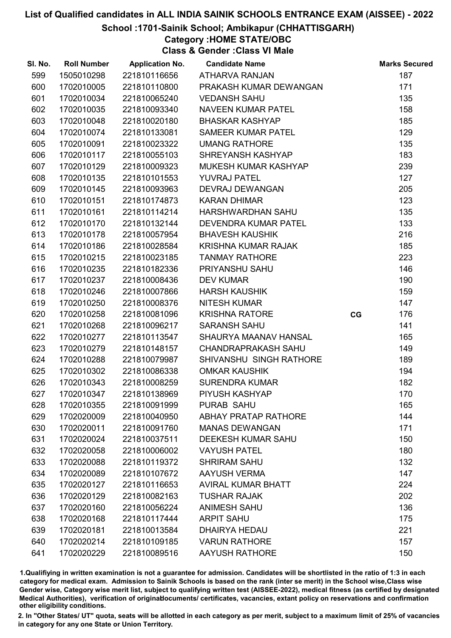#### School :1701-Sainik School; Ambikapur (CHHATTISGARH)

Category :HOME STATE/OBC

Class & Gender :Class VI Male

| SI. No. | <b>Roll Number</b> | <b>Application No.</b> | <b>Candidate Name</b>       |    | <b>Marks Secured</b> |
|---------|--------------------|------------------------|-----------------------------|----|----------------------|
| 599     | 1505010298         | 221810116656           | <b>ATHARVA RANJAN</b>       |    | 187                  |
| 600     | 1702010005         | 221810110800           | PRAKASH KUMAR DEWANGAN      |    | 171                  |
| 601     | 1702010034         | 221810065240           | <b>VEDANSH SAHU</b>         |    | 135                  |
| 602     | 1702010035         | 221810093340           | <b>NAVEEN KUMAR PATEL</b>   |    | 158                  |
| 603     | 1702010048         | 221810020180           | <b>BHASKAR KASHYAP</b>      |    | 185                  |
| 604     | 1702010074         | 221810133081           | <b>SAMEER KUMAR PATEL</b>   |    | 129                  |
| 605     | 1702010091         | 221810023322           | <b>UMANG RATHORE</b>        |    | 135                  |
| 606     | 1702010117         | 221810055103           | SHREYANSH KASHYAP           |    | 183                  |
| 607     | 1702010129         | 221810009323           | MUKESH KUMAR KASHYAP        |    | 239                  |
| 608     | 1702010135         | 221810101553           | <b>YUVRAJ PATEL</b>         |    | 127                  |
| 609     | 1702010145         | 221810093963           | <b>DEVRAJ DEWANGAN</b>      |    | 205                  |
| 610     | 1702010151         | 221810174873           | <b>KARAN DHIMAR</b>         |    | 123                  |
| 611     | 1702010161         | 221810114214           | HARSHWARDHAN SAHU           |    | 135                  |
| 612     | 1702010170         | 221810132144           | <b>DEVENDRA KUMAR PATEL</b> |    | 133                  |
| 613     | 1702010178         | 221810057954           | <b>BHAVESH KAUSHIK</b>      |    | 216                  |
| 614     | 1702010186         | 221810028584           | KRISHNA KUMAR RAJAK         |    | 185                  |
| 615     | 1702010215         | 221810023185           | <b>TANMAY RATHORE</b>       |    | 223                  |
| 616     | 1702010235         | 221810182336           | PRIYANSHU SAHU              |    | 146                  |
| 617     | 1702010237         | 221810008436           | <b>DEV KUMAR</b>            |    | 190                  |
| 618     | 1702010246         | 221810007866           | <b>HARSH KAUSHIK</b>        |    | 159                  |
| 619     | 1702010250         | 221810008376           | <b>NITESH KUMAR</b>         |    | 147                  |
| 620     | 1702010258         | 221810081096           | <b>KRISHNA RATORE</b>       | CG | 176                  |
| 621     | 1702010268         | 221810096217           | <b>SARANSH SAHU</b>         |    | 141                  |
| 622     | 1702010277         | 221810113547           | SHAURYA MAANAV HANSAL       |    | 165                  |
| 623     | 1702010279         | 221810148157           | <b>CHANDRAPRAKASH SAHU</b>  |    | 149                  |
| 624     | 1702010288         | 221810079987           | SHIVANSHU SINGH RATHORE     |    | 189                  |
| 625     | 1702010302         | 221810086338           | <b>OMKAR KAUSHIK</b>        |    | 194                  |
| 626     | 1702010343         | 221810008259           | <b>SURENDRA KUMAR</b>       |    | 182                  |
| 627     | 1702010347         | 221810138969           | PIYUSH KASHYAP              |    | 170                  |
| 628     | 1702010355         | 221810091999           | PURAB SAHU                  |    | 165                  |
| 629     | 1702020009         | 221810040950           | <b>ABHAY PRATAP RATHORE</b> |    | 144                  |
| 630     | 1702020011         | 221810091760           | <b>MANAS DEWANGAN</b>       |    | 171                  |
| 631     | 1702020024         | 221810037511           | DEEKESH KUMAR SAHU          |    | 150                  |
| 632     | 1702020058         | 221810006002           | <b>VAYUSH PATEL</b>         |    | 180                  |
| 633     | 1702020088         | 221810119372           | <b>SHRIRAM SAHU</b>         |    | 132                  |
| 634     | 1702020089         | 221810107672           | <b>AAYUSH VERMA</b>         |    | 147                  |
| 635     | 1702020127         | 221810116653           | <b>AVIRAL KUMAR BHATT</b>   |    | 224                  |
| 636     | 1702020129         | 221810082163           | <b>TUSHAR RAJAK</b>         |    | 202                  |
| 637     | 1702020160         | 221810056224           | <b>ANIMESH SAHU</b>         |    | 136                  |
| 638     | 1702020168         | 221810117444           | <b>ARPIT SAHU</b>           |    | 175                  |
| 639     | 1702020181         | 221810013584           | <b>DHAIRYA HEDAU</b>        |    | 221                  |
| 640     | 1702020214         | 221810109185           | <b>VARUN RATHORE</b>        |    | 157                  |
| 641     | 1702020229         | 221810089516           | <b>AAYUSH RATHORE</b>       |    | 150                  |

1.Qualifiying in written examination is not a guarantee for admission. Candidates will be shortlisted in the ratio of 1:3 in each category for medical exam. Admission to Sainik Schools is based on the rank (inter se merit) in the School wise,Class wise Gender wise, Category wise merit list, subject to qualifying written test (AISSEE-2022), medical fitness (as certified by designated Medical Authorities), verification of originablocuments/ certificates, vacancies, extant policy on reservations and confirmation other eligibility conditions.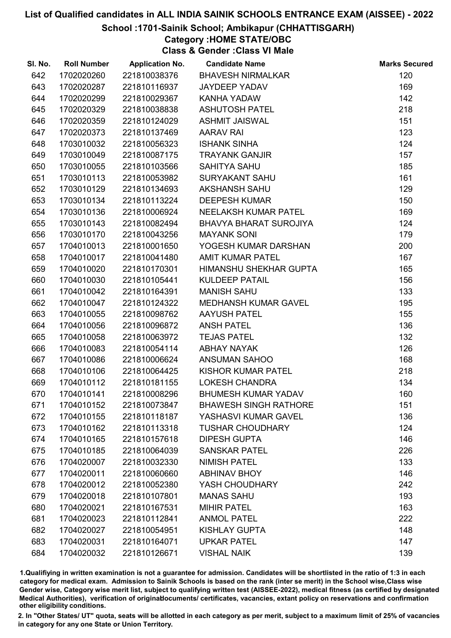#### School :1701-Sainik School; Ambikapur (CHHATTISGARH)

# Category :HOME STATE/OBC

Class & Gender :Class VI Male

| SI. No. | <b>Roll Number</b> | <b>Application No.</b> | <b>Candidate Name</b>         | <b>Marks Secured</b> |
|---------|--------------------|------------------------|-------------------------------|----------------------|
| 642     | 1702020260         | 221810038376           | <b>BHAVESH NIRMALKAR</b>      | 120                  |
| 643     | 1702020287         | 221810116937           | <b>JAYDEEP YADAV</b>          | 169                  |
| 644     | 1702020299         | 221810029367           | <b>KANHA YADAW</b>            | 142                  |
| 645     | 1702020329         | 221810038838           | <b>ASHUTOSH PATEL</b>         | 218                  |
| 646     | 1702020359         | 221810124029           | <b>ASHMIT JAISWAL</b>         | 151                  |
| 647     | 1702020373         | 221810137469           | <b>AARAV RAI</b>              | 123                  |
| 648     | 1703010032         | 221810056323           | <b>ISHANK SINHA</b>           | 124                  |
| 649     | 1703010049         | 221810087175           | <b>TRAYANK GANJIR</b>         | 157                  |
| 650     | 1703010055         | 221810103566           | <b>SAHITYA SAHU</b>           | 185                  |
| 651     | 1703010113         | 221810053982           | <b>SURYAKANT SAHU</b>         | 161                  |
| 652     | 1703010129         | 221810134693           | AKSHANSH SAHU                 | 129                  |
| 653     | 1703010134         | 221810113224           | <b>DEEPESH KUMAR</b>          | 150                  |
| 654     | 1703010136         | 221810006924           | NEELAKSH KUMAR PATEL          | 169                  |
| 655     | 1703010143         | 221810082494           | <b>BHAVYA BHARAT SUROJIYA</b> | 124                  |
| 656     | 1703010170         | 221810043256           | <b>MAYANK SONI</b>            | 179                  |
| 657     | 1704010013         | 221810001650           | YOGESH KUMAR DARSHAN          | 200                  |
| 658     | 1704010017         | 221810041480           | <b>AMIT KUMAR PATEL</b>       | 167                  |
| 659     | 1704010020         | 221810170301           | HIMANSHU SHEKHAR GUPTA        | 165                  |
| 660     | 1704010030         | 221810105441           | <b>KULDEEP PATAIL</b>         | 156                  |
| 661     | 1704010042         | 221810164391           | <b>MANISH SAHU</b>            | 133                  |
| 662     | 1704010047         | 221810124322           | <b>MEDHANSH KUMAR GAVEL</b>   | 195                  |
| 663     | 1704010055         | 221810098762           | <b>AAYUSH PATEL</b>           | 155                  |
| 664     | 1704010056         | 221810096872           | <b>ANSH PATEL</b>             | 136                  |
| 665     | 1704010058         | 221810063972           | <b>TEJAS PATEL</b>            | 132                  |
| 666     | 1704010083         | 221810054114           | <b>ABHAY NAYAK</b>            | 126                  |
| 667     | 1704010086         | 221810006624           | ANSUMAN SAHOO                 | 168                  |
| 668     | 1704010106         | 221810064425           | KISHOR KUMAR PATEL            | 218                  |
| 669     | 1704010112         | 221810181155           | <b>LOKESH CHANDRA</b>         | 134                  |
| 670     | 1704010141         | 221810008296           | <b>BHUMESH KUMAR YADAV</b>    | 160                  |
| 671     | 1704010152         | 221810073847           | <b>BHAWESH SINGH RATHORE</b>  | 151                  |
| 672     | 1704010155         | 221810118187           | YASHASVI KUMAR GAVEL          | 136                  |
| 673     | 1704010162         | 221810113318           | <b>TUSHAR CHOUDHARY</b>       | 124                  |
| 674     | 1704010165         | 221810157618           | <b>DIPESH GUPTA</b>           | 146                  |
| 675     | 1704010185         | 221810064039           | <b>SANSKAR PATEL</b>          | 226                  |
| 676     | 1704020007         | 221810032330           | <b>NIMISH PATEL</b>           | 133                  |
| 677     | 1704020011         | 221810060660           | <b>ABHINAV BHOY</b>           | 146                  |
| 678     | 1704020012         | 221810052380           | YASH CHOUDHARY                | 242                  |
| 679     | 1704020018         | 221810107801           | <b>MANAS SAHU</b>             | 193                  |
| 680     | 1704020021         | 221810167531           | <b>MIHIR PATEL</b>            | 163                  |
| 681     | 1704020023         | 221810112841           | <b>ANMOL PATEL</b>            | 222                  |
| 682     | 1704020027         | 221810054951           | <b>KISHLAY GUPTA</b>          | 148                  |
| 683     | 1704020031         | 221810164071           | <b>UPKAR PATEL</b>            | 147                  |
| 684     | 1704020032         | 221810126671           | <b>VISHAL NAIK</b>            | 139                  |

1.Qualifiying in written examination is not a guarantee for admission. Candidates will be shortlisted in the ratio of 1:3 in each category for medical exam. Admission to Sainik Schools is based on the rank (inter se merit) in the School wise,Class wise Gender wise, Category wise merit list, subject to qualifying written test (AISSEE-2022), medical fitness (as certified by designated Medical Authorities), verification of originablocuments/ certificates, vacancies, extant policy on reservations and confirmation other eligibility conditions.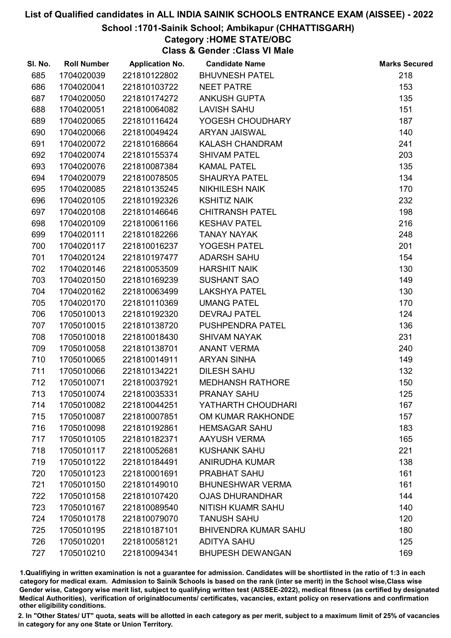#### School :1701-Sainik School; Ambikapur (CHHATTISGARH)

Category :HOME STATE/OBC

Class & Gender :Class VI Male

| SI. No. | <b>Roll Number</b> | <b>Application No.</b> | <b>Candidate Name</b>       | <b>Marks Secured</b> |
|---------|--------------------|------------------------|-----------------------------|----------------------|
| 685     | 1704020039         | 221810122802           | <b>BHUVNESH PATEL</b>       | 218                  |
| 686     | 1704020041         | 221810103722           | <b>NEET PATRE</b>           | 153                  |
| 687     | 1704020050         | 221810174272           | <b>ANKUSH GUPTA</b>         | 135                  |
| 688     | 1704020051         | 221810064082           | <b>LAVISH SAHU</b>          | 151                  |
| 689     | 1704020065         | 221810116424           | YOGESH CHOUDHARY            | 187                  |
| 690     | 1704020066         | 221810049424           | <b>ARYAN JAISWAL</b>        | 140                  |
| 691     | 1704020072         | 221810168664           | <b>KALASH CHANDRAM</b>      | 241                  |
| 692     | 1704020074         | 221810155374           | <b>SHIVAM PATEL</b>         | 203                  |
| 693     | 1704020076         | 221810087384           | <b>KAMAL PATEL</b>          | 135                  |
| 694     | 1704020079         | 221810078505           | <b>SHAURYA PATEL</b>        | 134                  |
| 695     | 1704020085         | 221810135245           | <b>NIKHILESH NAIK</b>       | 170                  |
| 696     | 1704020105         | 221810192326           | <b>KSHITIZ NAIK</b>         | 232                  |
| 697     | 1704020108         | 221810146646           | <b>CHITRANSH PATEL</b>      | 198                  |
| 698     | 1704020109         | 221810061166           | <b>KESHAV PATEL</b>         | 216                  |
| 699     | 1704020111         | 221810182266           | <b>TANAY NAYAK</b>          | 248                  |
| 700     | 1704020117         | 221810016237           | YOGESH PATEL                | 201                  |
| 701     | 1704020124         | 221810197477           | <b>ADARSH SAHU</b>          | 154                  |
| 702     | 1704020146         | 221810053509           | <b>HARSHIT NAIK</b>         | 130                  |
| 703     | 1704020150         | 221810169239           | <b>SUSHANT SAO</b>          | 149                  |
| 704     | 1704020162         | 221810063499           | <b>LAKSHYA PATEL</b>        | 130                  |
| 705     | 1704020170         | 221810110369           | <b>UMANG PATEL</b>          | 170                  |
| 706     | 1705010013         | 221810192320           | <b>DEVRAJ PATEL</b>         | 124                  |
| 707     | 1705010015         | 221810138720           | PUSHPENDRA PATEL            | 136                  |
| 708     | 1705010018         | 221810018430           | <b>SHIVAM NAYAK</b>         | 231                  |
| 709     | 1705010058         | 221810138701           | <b>ANANT VERMA</b>          | 240                  |
| 710     | 1705010065         | 221810014911           | <b>ARYAN SINHA</b>          | 149                  |
| 711     | 1705010066         | 221810134221           | <b>DILESH SAHU</b>          | 132                  |
| 712     | 1705010071         | 221810037921           | <b>MEDHANSH RATHORE</b>     | 150                  |
| 713     | 1705010074         | 221810035331           | <b>PRANAY SAHU</b>          | 125                  |
| 714     | 1705010082         | 221810044251           | YATHARTH CHOUDHARI          | 167                  |
| 715     | 1705010087         | 221810007851           | OM KUMAR RAKHONDE           | 157                  |
| 716     | 1705010098         | 221810192861           | <b>HEMSAGAR SAHU</b>        | 183                  |
| 717     | 1705010105         | 221810182371           | <b>AAYUSH VERMA</b>         | 165                  |
| 718     | 1705010117         | 221810052681           | <b>KUSHANK SAHU</b>         | 221                  |
| 719     | 1705010122         | 221810184491           | <b>ANIRUDHA KUMAR</b>       | 138                  |
| 720     | 1705010123         | 221810001691           | PRABHAT SAHU                | 161                  |
| 721     | 1705010150         | 221810149010           | <b>BHUNESHWAR VERMA</b>     | 161                  |
| 722     | 1705010158         | 221810107420           | <b>OJAS DHURANDHAR</b>      | 144                  |
| 723     | 1705010167         | 221810089540           | NITISH KUAMR SAHU           | 140                  |
| 724     | 1705010178         | 221810079070           | <b>TANUSH SAHU</b>          | 120                  |
| 725     | 1705010195         | 221810187101           | <b>BHIVENDRA KUMAR SAHU</b> | 180                  |
| 726     | 1705010201         | 221810058121           | <b>ADITYA SAHU</b>          | 125                  |
| 727     | 1705010210         | 221810094341           | <b>BHUPESH DEWANGAN</b>     | 169                  |

1.Qualifiying in written examination is not a guarantee for admission. Candidates will be shortlisted in the ratio of 1:3 in each category for medical exam. Admission to Sainik Schools is based on the rank (inter se merit) in the School wise,Class wise Gender wise, Category wise merit list, subject to qualifying written test (AISSEE-2022), medical fitness (as certified by designated Medical Authorities), verification of originablocuments/ certificates, vacancies, extant policy on reservations and confirmation other eligibility conditions.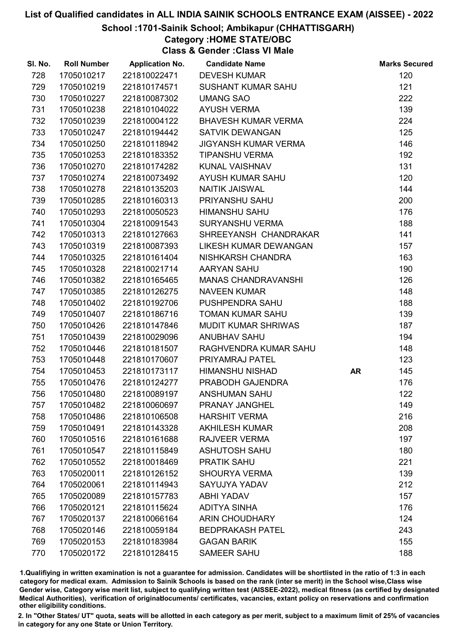#### School :1701-Sainik School; Ambikapur (CHHATTISGARH)

Category :HOME STATE/OBC

Class & Gender :Class VI Male

| SI. No. | <b>Roll Number</b> | <b>Application No.</b> | <b>Candidate Name</b>        |    | <b>Marks Secured</b> |
|---------|--------------------|------------------------|------------------------------|----|----------------------|
| 728     | 1705010217         | 221810022471           | <b>DEVESH KUMAR</b>          |    | 120                  |
| 729     | 1705010219         | 221810174571           | <b>SUSHANT KUMAR SAHU</b>    |    | 121                  |
| 730     | 1705010227         | 221810087302           | <b>UMANG SAO</b>             |    | 222                  |
| 731     | 1705010238         | 221810104022           | <b>AYUSH VERMA</b>           |    | 139                  |
| 732     | 1705010239         | 221810004122           | <b>BHAVESH KUMAR VERMA</b>   |    | 224                  |
| 733     | 1705010247         | 221810194442           | <b>SATVIK DEWANGAN</b>       |    | 125                  |
| 734     | 1705010250         | 221810118942           | <b>JIGYANSH KUMAR VERMA</b>  |    | 146                  |
| 735     | 1705010253         | 221810183352           | <b>TIPANSHU VERMA</b>        |    | 192                  |
| 736     | 1705010270         | 221810174282           | <b>KUNAL VAISHNAV</b>        |    | 131                  |
| 737     | 1705010274         | 221810073492           | <b>AYUSH KUMAR SAHU</b>      |    | 120                  |
| 738     | 1705010278         | 221810135203           | <b>NAITIK JAISWAL</b>        |    | 144                  |
| 739     | 1705010285         | 221810160313           | PRIYANSHU SAHU               |    | 200                  |
| 740     | 1705010293         | 221810050523           | <b>HIMANSHU SAHU</b>         |    | 176                  |
| 741     | 1705010304         | 221810091543           | <b>SURYANSHU VERMA</b>       |    | 188                  |
| 742     | 1705010313         | 221810127663           | SHREEYANSH CHANDRAKAR        |    | 141                  |
| 743     | 1705010319         | 221810087393           | <b>LIKESH KUMAR DEWANGAN</b> |    | 157                  |
| 744     | 1705010325         | 221810161404           | NISHKARSH CHANDRA            |    | 163                  |
| 745     | 1705010328         | 221810021714           | AARYAN SAHU                  |    | 190                  |
| 746     | 1705010382         | 221810165465           | <b>MANAS CHANDRAVANSHI</b>   |    | 126                  |
| 747     | 1705010385         | 221810126275           | <b>NAVEEN KUMAR</b>          |    | 148                  |
| 748     | 1705010402         | 221810192706           | PUSHPENDRA SAHU              |    | 188                  |
| 749     | 1705010407         | 221810186716           | <b>TOMAN KUMAR SAHU</b>      |    | 139                  |
| 750     | 1705010426         | 221810147846           | <b>MUDIT KUMAR SHRIWAS</b>   |    | 187                  |
| 751     | 1705010439         | 221810029096           | <b>ANUBHAV SAHU</b>          |    | 194                  |
| 752     | 1705010446         | 221810181507           | RAGHVENDRA KUMAR SAHU        |    | 148                  |
| 753     | 1705010448         | 221810170607           | PRIYAMRAJ PATEL              |    | 123                  |
| 754     | 1705010453         | 221810173117           | <b>HIMANSHU NISHAD</b>       | AR | 145                  |
| 755     | 1705010476         | 221810124277           | PRABODH GAJENDRA             |    | 176                  |
| 756     | 1705010480         | 221810089197           | <b>ANSHUMAN SAHU</b>         |    | 122                  |
| 757     | 1705010482         | 221810060697           | <b>PRANAY JANGHEL</b>        |    | 149                  |
| 758     | 1705010486         | 221810106508           | <b>HARSHIT VERMA</b>         |    | 216                  |
| 759     | 1705010491         | 221810143328           | <b>AKHILESH KUMAR</b>        |    | 208                  |
| 760     | 1705010516         | 221810161688           | <b>RAJVEER VERMA</b>         |    | 197                  |
| 761     | 1705010547         | 221810115849           | <b>ASHUTOSH SAHU</b>         |    | 180                  |
| 762     | 1705010552         | 221810018469           | <b>PRATIK SAHU</b>           |    | 221                  |
| 763     | 1705020011         | 221810126152           | <b>SHOURYA VERMA</b>         |    | 139                  |
| 764     | 1705020061         | 221810114943           | SAYUJYA YADAV                |    | 212                  |
| 765     | 1705020089         | 221810157783           | <b>ABHI YADAV</b>            |    | 157                  |
| 766     | 1705020121         | 221810115624           | <b>ADITYA SINHA</b>          |    | 176                  |
| 767     | 1705020137         | 221810066164           | <b>ARIN CHOUDHARY</b>        |    | 124                  |
| 768     | 1705020146         | 221810059184           | <b>BEDPRAKASH PATEL</b>      |    | 243                  |
| 769     | 1705020153         | 221810183984           | <b>GAGAN BARIK</b>           |    | 155                  |
| 770     | 1705020172         | 221810128415           | <b>SAMEER SAHU</b>           |    | 188                  |

1.Qualifiying in written examination is not a guarantee for admission. Candidates will be shortlisted in the ratio of 1:3 in each category for medical exam. Admission to Sainik Schools is based on the rank (inter se merit) in the School wise,Class wise Gender wise, Category wise merit list, subject to qualifying written test (AISSEE-2022), medical fitness (as certified by designated Medical Authorities), verification of originablocuments/ certificates, vacancies, extant policy on reservations and confirmation other eligibility conditions.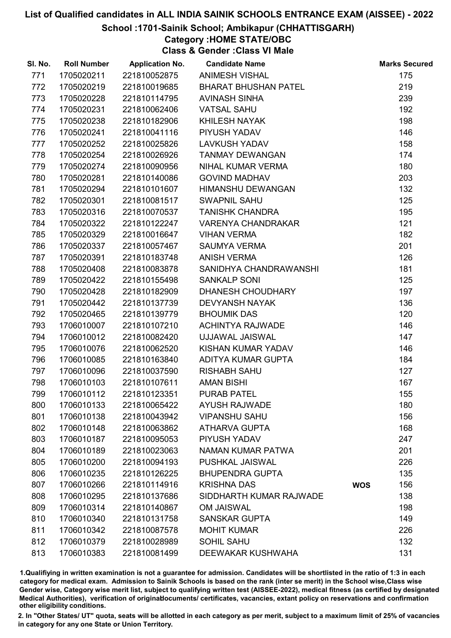#### School :1701-Sainik School; Ambikapur (CHHATTISGARH)

Category :HOME STATE/OBC

Class & Gender :Class VI Male

| SI. No. | <b>Roll Number</b> | <b>Application No.</b> | <b>Candidate Name</b>       |            | <b>Marks Secured</b> |
|---------|--------------------|------------------------|-----------------------------|------------|----------------------|
| 771     | 1705020211         | 221810052875           | <b>ANIMESH VISHAL</b>       |            | 175                  |
| 772     | 1705020219         | 221810019685           | <b>BHARAT BHUSHAN PATEL</b> |            | 219                  |
| 773     | 1705020228         | 221810114795           | <b>AVINASH SINHA</b>        |            | 239                  |
| 774     | 1705020231         | 221810062406           | <b>VATSAL SAHU</b>          |            | 192                  |
| 775     | 1705020238         | 221810182906           | KHILESH NAYAK               |            | 198                  |
| 776     | 1705020241         | 221810041116           | PIYUSH YADAV                |            | 146                  |
| 777     | 1705020252         | 221810025826           | <b>LAVKUSH YADAV</b>        |            | 158                  |
| 778     | 1705020254         | 221810026926           | <b>TANMAY DEWANGAN</b>      |            | 174                  |
| 779     | 1705020274         | 221810090956           | NIHAL KUMAR VERMA           |            | 180                  |
| 780     | 1705020281         | 221810140086           | <b>GOVIND MADHAV</b>        |            | 203                  |
| 781     | 1705020294         | 221810101607           | HIMANSHU DEWANGAN           |            | 132                  |
| 782     | 1705020301         | 221810081517           | <b>SWAPNIL SAHU</b>         |            | 125                  |
| 783     | 1705020316         | 221810070537           | <b>TANISHK CHANDRA</b>      |            | 195                  |
| 784     | 1705020322         | 221810122247           | <b>VARENYA CHANDRAKAR</b>   |            | 121                  |
| 785     | 1705020329         | 221810016647           | <b>VIHAN VERMA</b>          |            | 182                  |
| 786     | 1705020337         | 221810057467           | <b>SAUMYA VERMA</b>         |            | 201                  |
| 787     | 1705020391         | 221810183748           | <b>ANISH VERMA</b>          |            | 126                  |
| 788     | 1705020408         | 221810083878           | SANIDHYA CHANDRAWANSHI      |            | 181                  |
| 789     | 1705020422         | 221810155498           | <b>SANKALP SONI</b>         |            | 125                  |
| 790     | 1705020428         | 221810182909           | <b>DHANESH CHOUDHARY</b>    |            | 197                  |
| 791     | 1705020442         | 221810137739           | <b>DEVYANSH NAYAK</b>       |            | 136                  |
| 792     | 1705020465         | 221810139779           | <b>BHOUMIK DAS</b>          |            | 120                  |
| 793     | 1706010007         | 221810107210           | <b>ACHINTYA RAJWADE</b>     |            | 146                  |
| 794     | 1706010012         | 221810082420           | UJJAWAL JAISWAL             |            | 147                  |
| 795     | 1706010076         | 221810062520           | KISHAN KUMAR YADAV          |            | 146                  |
| 796     | 1706010085         | 221810163840           | ADITYA KUMAR GUPTA          |            | 184                  |
| 797     | 1706010096         | 221810037590           | <b>RISHABH SAHU</b>         |            | 127                  |
| 798     | 1706010103         | 221810107611           | <b>AMAN BISHI</b>           |            | 167                  |
| 799     | 1706010112         | 221810123351           | <b>PURAB PATEL</b>          |            | 155                  |
| 800     | 1706010133         | 221810065422           | <b>AYUSH RAJWADE</b>        |            | 180                  |
| 801     | 1706010138         | 221810043942           | <b>VIPANSHU SAHU</b>        |            | 156                  |
| 802     | 1706010148         | 221810063862           | <b>ATHARVA GUPTA</b>        |            | 168                  |
| 803     | 1706010187         | 221810095053           | PIYUSH YADAV                |            | 247                  |
| 804     | 1706010189         | 221810023063           | NAMAN KUMAR PATWA           |            | 201                  |
| 805     | 1706010200         | 221810094193           | <b>PUSHKAL JAISWAL</b>      |            | 226                  |
| 806     | 1706010235         | 221810126225           | <b>BHUPENDRA GUPTA</b>      |            | 135                  |
| 807     | 1706010266         | 221810114916           | <b>KRISHNA DAS</b>          | <b>WOS</b> | 156                  |
| 808     | 1706010295         | 221810137686           | SIDDHARTH KUMAR RAJWADE     |            | 138                  |
| 809     | 1706010314         | 221810140867           | <b>OM JAISWAL</b>           |            | 198                  |
| 810     | 1706010340         | 221810131758           | <b>SANSKAR GUPTA</b>        |            | 149                  |
| 811     | 1706010342         | 221810087578           | <b>MOHIT KUMAR</b>          |            | 226                  |
| 812     | 1706010379         | 221810028989           | <b>SOHIL SAHU</b>           |            | 132                  |
| 813     | 1706010383         | 221810081499           | DEEWAKAR KUSHWAHA           |            | 131                  |

1.Qualifiying in written examination is not a guarantee for admission. Candidates will be shortlisted in the ratio of 1:3 in each category for medical exam. Admission to Sainik Schools is based on the rank (inter se merit) in the School wise,Class wise Gender wise, Category wise merit list, subject to qualifying written test (AISSEE-2022), medical fitness (as certified by designated Medical Authorities), verification of originablocuments/ certificates, vacancies, extant policy on reservations and confirmation other eligibility conditions.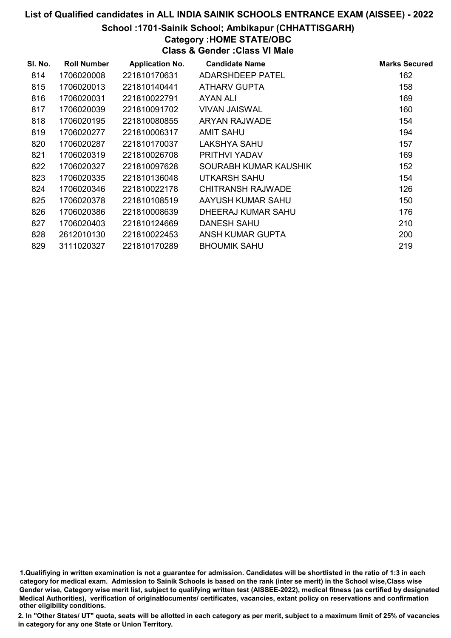#### School :1701-Sainik School; Ambikapur (CHHATTISGARH)

# Category :HOME STATE/OBC

Class & Gender :Class VI Male

| SI. No. | <b>Roll Number</b> | <b>Application No.</b> | <b>Candidate Name</b>    | <b>Marks Secured</b> |
|---------|--------------------|------------------------|--------------------------|----------------------|
| 814     | 1706020008         | 221810170631           | <b>ADARSHDEEP PATEL</b>  | 162                  |
| 815     | 1706020013         | 221810140441           | ATHARV GUPTA             | 158                  |
| 816     | 1706020031         | 221810022791           | AYAN ALI                 | 169                  |
| 817     | 1706020039         | 221810091702           | <b>VIVAN JAISWAL</b>     | 160                  |
| 818     | 1706020195         | 221810080855           | ARYAN RAJWADE            | 154                  |
| 819     | 1706020277         | 221810006317           | AMIT SAHU                | 194                  |
| 820     | 1706020287         | 221810170037           | LAKSHYA SAHU             | 157                  |
| 821     | 1706020319         | 221810026708           | PRITHVI YADAV            | 169                  |
| 822     | 1706020327         | 221810097628           | SOURABH KUMAR KAUSHIK    | 152                  |
| 823     | 1706020335         | 221810136048           | UTKARSH SAHU             | 154                  |
| 824     | 1706020346         | 221810022178           | <b>CHITRANSH RAJWADE</b> | 126                  |
| 825     | 1706020378         | 221810108519           | AAYUSH KUMAR SAHU        | 150                  |
| 826     | 1706020386         | 221810008639           | DHEERAJ KUMAR SAHU       | 176                  |
| 827     | 1706020403         | 221810124669           | <b>DANESH SAHU</b>       | 210                  |
| 828     | 2612010130         | 221810022453           | ANSH KUMAR GUPTA         | 200                  |
| 829     | 3111020327         | 221810170289           | <b>BHOUMIK SAHU</b>      | 219                  |

1.Qualifiying in written examination is not a guarantee for admission. Candidates will be shortlisted in the ratio of 1:3 in each category for medical exam. Admission to Sainik Schools is based on the rank (inter se merit) in the School wise,Class wise Gender wise, Category wise merit list, subject to qualifying written test (AISSEE-2022), medical fitness (as certified by designated Medical Authorities), verification of originablocuments/ certificates, vacancies, extant policy on reservations and confirmation other eligibility conditions.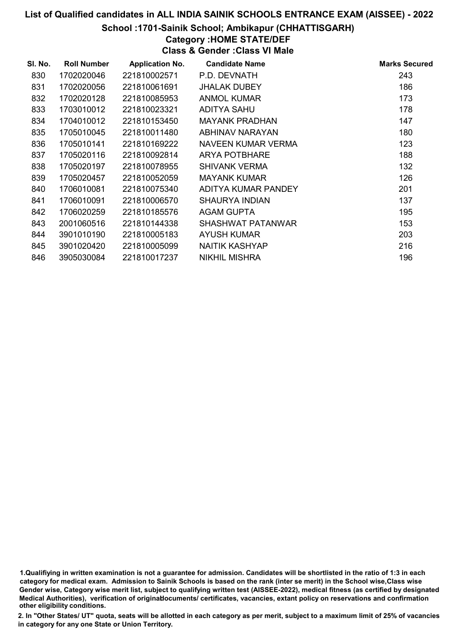#### School :1701-Sainik School; Ambikapur (CHHATTISGARH)

# Category :HOME STATE/DEF

Class & Gender :Class VI Male

| SI. No. | <b>Roll Number</b> | <b>Application No.</b> | <b>Candidate Name</b> | <b>Marks Secured</b> |
|---------|--------------------|------------------------|-----------------------|----------------------|
| 830     | 1702020046         | 221810002571           | P.D. DEVNATH          | 243                  |
| 831     | 1702020056         | 221810061691           | <b>JHALAK DUBEY</b>   | 186                  |
| 832     | 1702020128         | 221810085953           | <b>ANMOL KUMAR</b>    | 173                  |
| 833     | 1703010012         | 221810023321           | ADITYA SAHU           | 178                  |
| 834     | 1704010012         | 221810153450           | <b>MAYANK PRADHAN</b> | 147                  |
| 835     | 1705010045         | 221810011480           | ABHINAV NARAYAN       | 180                  |
| 836     | 1705010141         | 221810169222           | NAVEEN KUMAR VERMA    | 123                  |
| 837     | 1705020116         | 221810092814           | ARYA POTBHARE         | 188                  |
| 838     | 1705020197         | 221810078955           | <b>SHIVANK VERMA</b>  | 132                  |
| 839     | 1705020457         | 221810052059           | <b>MAYANK KUMAR</b>   | 126                  |
| 840     | 1706010081         | 221810075340           | ADITYA KUMAR PANDEY   | 201                  |
| 841     | 1706010091         | 221810006570           | <b>SHAURYA INDIAN</b> | 137                  |
| 842     | 1706020259         | 221810185576           | AGAM GUPTA            | 195                  |
| 843     | 2001060516         | 221810144338           | SHASHWAT PATANWAR     | 153                  |
| 844     | 3901010190         | 221810005183           | <b>AYUSH KUMAR</b>    | 203                  |
| 845     | 3901020420         | 221810005099           | NAITIK KASHYAP        | 216                  |
| 846     | 3905030084         | 221810017237           | <b>NIKHIL MISHRA</b>  | 196                  |

1.Qualifiying in written examination is not a guarantee for admission. Candidates will be shortlisted in the ratio of 1:3 in each category for medical exam. Admission to Sainik Schools is based on the rank (inter se merit) in the School wise,Class wise Gender wise, Category wise merit list, subject to qualifying written test (AISSEE-2022), medical fitness (as certified by designated Medical Authorities), verification of originablocuments/ certificates, vacancies, extant policy on reservations and confirmation other eligibility conditions.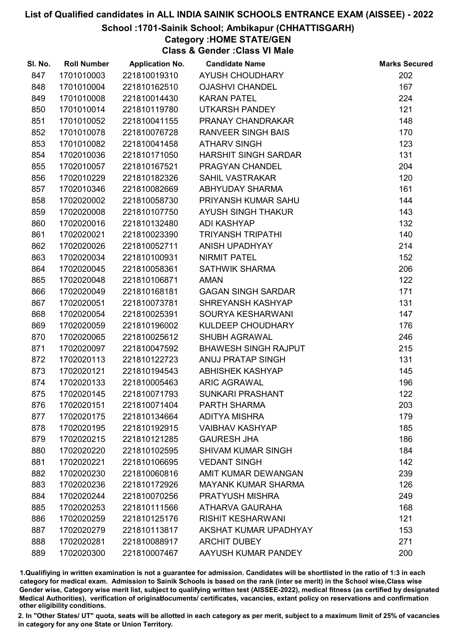#### School :1701-Sainik School; Ambikapur (CHHATTISGARH)

Category :HOME STATE/GEN

Class & Gender :Class VI Male

| SI. No. | <b>Roll Number</b> | <b>Application No.</b> | <b>Candidate Name</b>       | <b>Marks Secured</b> |
|---------|--------------------|------------------------|-----------------------------|----------------------|
| 847     | 1701010003         | 221810019310           | AYUSH CHOUDHARY             | 202                  |
| 848     | 1701010004         | 221810162510           | <b>OJASHVI CHANDEL</b>      | 167                  |
| 849     | 1701010008         | 221810014430           | <b>KARAN PATEL</b>          | 224                  |
| 850     | 1701010014         | 221810119780           | <b>UTKARSH PANDEY</b>       | 121                  |
| 851     | 1701010052         | 221810041155           | PRANAY CHANDRAKAR           | 148                  |
| 852     | 1701010078         | 221810076728           | <b>RANVEER SINGH BAIS</b>   | 170                  |
| 853     | 1701010082         | 221810041458           | <b>ATHARV SINGH</b>         | 123                  |
| 854     | 1702010036         | 221810171050           | <b>HARSHIT SINGH SARDAR</b> | 131                  |
| 855     | 1702010057         | 221810167521           | PRAGYAN CHANDEL             | 204                  |
| 856     | 1702010229         | 221810182326           | <b>SAHIL VASTRAKAR</b>      | 120                  |
| 857     | 1702010346         | 221810082669           | ABHYUDAY SHARMA             | 161                  |
| 858     | 1702020002         | 221810058730           | PRIYANSH KUMAR SAHU         | 144                  |
| 859     | 1702020008         | 221810107750           | AYUSH SINGH THAKUR          | 143                  |
| 860     | 1702020016         | 221810132480           | <b>ADI KASHYAP</b>          | 132                  |
| 861     | 1702020021         | 221810023390           | <b>TRIYANSH TRIPATHI</b>    | 140                  |
| 862     | 1702020026         | 221810052711           | <b>ANISH UPADHYAY</b>       | 214                  |
| 863     | 1702020034         | 221810100931           | <b>NIRMIT PATEL</b>         | 152                  |
| 864     | 1702020045         | 221810058361           | <b>SATHWIK SHARMA</b>       | 206                  |
| 865     | 1702020048         | 221810106871           | <b>AMAN</b>                 | 122                  |
| 866     | 1702020049         | 221810168181           | <b>GAGAN SINGH SARDAR</b>   | 171                  |
| 867     | 1702020051         | 221810073781           | SHREYANSH KASHYAP           | 131                  |
| 868     | 1702020054         | 221810025391           | SOURYA KESHARWANI           | 147                  |
| 869     | 1702020059         | 221810196002           | KULDEEP CHOUDHARY           | 176                  |
| 870     | 1702020065         | 221810025612           | <b>SHUBH AGRAWAL</b>        | 246                  |
| 871     | 1702020097         | 221810047592           | <b>BHAWESH SINGH RAJPUT</b> | 215                  |
| 872     | 1702020113         | 221810122723           | <b>ANUJ PRATAP SINGH</b>    | 131                  |
| 873     | 1702020121         | 221810194543           | <b>ABHISHEK KASHYAP</b>     | 145                  |
| 874     | 1702020133         | 221810005463           | <b>ARIC AGRAWAL</b>         | 196                  |
| 875     | 1702020145         | 221810071793           | <b>SUNKARI PRASHANT</b>     | 122                  |
| 876     | 1702020151         | 221810071404           | <b>PARTH SHARMA</b>         | 203                  |
| 877     | 1702020175         | 221810134664           | <b>ADITYA MISHRA</b>        | 179                  |
| 878     | 1702020195         | 221810192915           | <b>VAIBHAV KASHYAP</b>      | 185                  |
| 879     | 1702020215         | 221810121285           | <b>GAURESH JHA</b>          | 186                  |
| 880     | 1702020220         | 221810102595           | <b>SHIVAM KUMAR SINGH</b>   | 184                  |
| 881     | 1702020221         | 221810106695           | <b>VEDANT SINGH</b>         | 142                  |
| 882     | 1702020230         | 221810060816           | AMIT KUMAR DEWANGAN         | 239                  |
| 883     | 1702020236         | 221810172926           | <b>MAYANK KUMAR SHARMA</b>  | 126                  |
| 884     | 1702020244         | 221810070256           | <b>PRATYUSH MISHRA</b>      | 249                  |
| 885     | 1702020253         | 221810111566           | ATHARVA GAURAHA             | 168                  |
| 886     | 1702020259         | 221810125176           | <b>RISHIT KESHARWANI</b>    | 121                  |
| 887     | 1702020279         | 221810113817           | AKSHAT KUMAR UPADHYAY       | 153                  |
| 888     | 1702020281         | 221810088917           | <b>ARCHIT DUBEY</b>         | 271                  |
| 889     | 1702020300         | 221810007467           | AAYUSH KUMAR PANDEY         | 200                  |

1.Qualifiying in written examination is not a guarantee for admission. Candidates will be shortlisted in the ratio of 1:3 in each category for medical exam. Admission to Sainik Schools is based on the rank (inter se merit) in the School wise,Class wise Gender wise, Category wise merit list, subject to qualifying written test (AISSEE-2022), medical fitness (as certified by designated Medical Authorities), verification of originablocuments/ certificates, vacancies, extant policy on reservations and confirmation other eligibility conditions.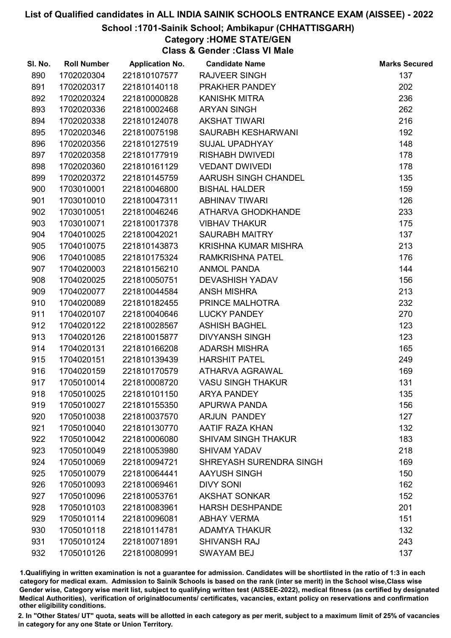#### School :1701-Sainik School; Ambikapur (CHHATTISGARH)

Category :HOME STATE/GEN

Class & Gender :Class VI Male

| SI. No. | <b>Roll Number</b> | <b>Application No.</b> | <b>Candidate Name</b>      | <b>Marks Secured</b> |
|---------|--------------------|------------------------|----------------------------|----------------------|
| 890     | 1702020304         | 221810107577           | <b>RAJVEER SINGH</b>       | 137                  |
| 891     | 1702020317         | 221810140118           | PRAKHER PANDEY             | 202                  |
| 892     | 1702020324         | 221810000828           | <b>KANISHK MITRA</b>       | 236                  |
| 893     | 1702020336         | 221810002468           | <b>ARYAN SINGH</b>         | 262                  |
| 894     | 1702020338         | 221810124078           | <b>AKSHAT TIWARI</b>       | 216                  |
| 895     | 1702020346         | 221810075198           | SAURABH KESHARWANI         | 192                  |
| 896     | 1702020356         | 221810127519           | <b>SUJAL UPADHYAY</b>      | 148                  |
| 897     | 1702020358         | 221810177919           | <b>RISHABH DWIVEDI</b>     | 178                  |
| 898     | 1702020360         | 221810161129           | <b>VEDANT DWIVEDI</b>      | 178                  |
| 899     | 1702020372         | 221810145759           | AARUSH SINGH CHANDEL       | 135                  |
| 900     | 1703010001         | 221810046800           | <b>BISHAL HALDER</b>       | 159                  |
| 901     | 1703010010         | 221810047311           | <b>ABHINAV TIWARI</b>      | 126                  |
| 902     | 1703010051         | 221810046246           | ATHARVA GHODKHANDE         | 233                  |
| 903     | 1703010071         | 221810017378           | <b>VIBHAV THAKUR</b>       | 175                  |
| 904     | 1704010025         | 221810042021           | <b>SAURABH MAITRY</b>      | 137                  |
| 905     | 1704010075         | 221810143873           | KRISHNA KUMAR MISHRA       | 213                  |
| 906     | 1704010085         | 221810175324           | <b>RAMKRISHNA PATEL</b>    | 176                  |
| 907     | 1704020003         | 221810156210           | <b>ANMOL PANDA</b>         | 144                  |
| 908     | 1704020025         | 221810050751           | <b>DEVASHISH YADAV</b>     | 156                  |
| 909     | 1704020077         | 221810044584           | <b>ANSH MISHRA</b>         | 213                  |
| 910     | 1704020089         | 221810182455           | PRINCE MALHOTRA            | 232                  |
| 911     | 1704020107         | 221810040646           | <b>LUCKY PANDEY</b>        | 270                  |
| 912     | 1704020122         | 221810028567           | <b>ASHISH BAGHEL</b>       | 123                  |
| 913     | 1704020126         | 221810015877           | <b>DIVYANSH SINGH</b>      | 123                  |
| 914     | 1704020131         | 221810166208           | <b>ADARSH MISHRA</b>       | 165                  |
| 915     | 1704020151         | 221810139439           | <b>HARSHIT PATEL</b>       | 249                  |
| 916     | 1704020159         | 221810170579           | ATHARVA AGRAWAL            | 169                  |
| 917     | 1705010014         | 221810008720           | <b>VASU SINGH THAKUR</b>   | 131                  |
| 918     | 1705010025         | 221810101150           | <b>ARYA PANDEY</b>         | 135                  |
| 919     | 1705010027         | 221810155350           | APURWA PANDA               | 156                  |
| 920     | 1705010038         | 221810037570           | <b>ARJUN PANDEY</b>        | 127                  |
| 921     | 1705010040         | 221810130770           | AATIF RAZA KHAN            | 132                  |
| 922     | 1705010042         | 221810006080           | <b>SHIVAM SINGH THAKUR</b> | 183                  |
| 923     | 1705010049         | 221810053980           | <b>SHIVAM YADAV</b>        | 218                  |
| 924     | 1705010069         | 221810094721           | SHREYASH SURENDRA SINGH    | 169                  |
| 925     | 1705010079         | 221810064441           | AAYUSH SINGH               | 150                  |
| 926     | 1705010093         | 221810069461           | <b>DIVY SONI</b>           | 162                  |
| 927     | 1705010096         | 221810053761           | <b>AKSHAT SONKAR</b>       | 152                  |
| 928     | 1705010103         | 221810083961           | <b>HARSH DESHPANDE</b>     | 201                  |
| 929     | 1705010114         | 221810096081           | <b>ABHAY VERMA</b>         | 151                  |
| 930     | 1705010118         | 221810114781           | <b>ADAMYA THAKUR</b>       | 132                  |
| 931     | 1705010124         | 221810071891           | <b>SHIVANSH RAJ</b>        | 243                  |
| 932     | 1705010126         | 221810080991           | <b>SWAYAM BEJ</b>          | 137                  |

1.Qualifiying in written examination is not a guarantee for admission. Candidates will be shortlisted in the ratio of 1:3 in each category for medical exam. Admission to Sainik Schools is based on the rank (inter se merit) in the School wise,Class wise Gender wise, Category wise merit list, subject to qualifying written test (AISSEE-2022), medical fitness (as certified by designated Medical Authorities), verification of originablocuments/ certificates, vacancies, extant policy on reservations and confirmation other eligibility conditions.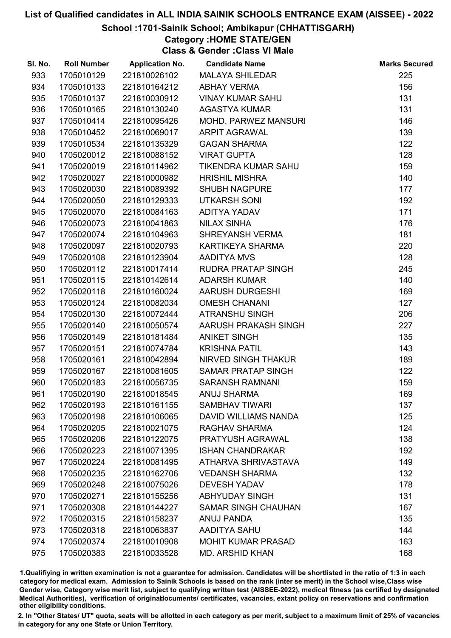#### School :1701-Sainik School; Ambikapur (CHHATTISGARH)

Category :HOME STATE/GEN

Class & Gender :Class VI Male

| SI. No. | <b>Roll Number</b> | <b>Application No.</b> | <b>Candidate Name</b>      | <b>Marks Secured</b> |
|---------|--------------------|------------------------|----------------------------|----------------------|
| 933     | 1705010129         | 221810026102           | <b>MALAYA SHILEDAR</b>     | 225                  |
| 934     | 1705010133         | 221810164212           | <b>ABHAY VERMA</b>         | 156                  |
| 935     | 1705010137         | 221810030912           | <b>VINAY KUMAR SAHU</b>    | 131                  |
| 936     | 1705010165         | 221810130240           | <b>AGASTYA KUMAR</b>       | 131                  |
| 937     | 1705010414         | 221810095426           | MOHD. PARWEZ MANSURI       | 146                  |
| 938     | 1705010452         | 221810069017           | <b>ARPIT AGRAWAL</b>       | 139                  |
| 939     | 1705010534         | 221810135329           | <b>GAGAN SHARMA</b>        | 122                  |
| 940     | 1705020012         | 221810088152           | <b>VIRAT GUPTA</b>         | 128                  |
| 941     | 1705020019         | 221810114962           | TIKENDRA KUMAR SAHU        | 159                  |
| 942     | 1705020027         | 221810000982           | <b>HRISHIL MISHRA</b>      | 140                  |
| 943     | 1705020030         | 221810089392           | <b>SHUBH NAGPURE</b>       | 177                  |
| 944     | 1705020050         | 221810129333           | <b>UTKARSH SONI</b>        | 192                  |
| 945     | 1705020070         | 221810084163           | ADITYA YADAV               | 171                  |
| 946     | 1705020073         | 221810041863           | <b>NILAX SINHA</b>         | 176                  |
| 947     | 1705020074         | 221810104963           | <b>SHREYANSH VERMA</b>     | 181                  |
| 948     | 1705020097         | 221810020793           | KARTIKEYA SHARMA           | 220                  |
| 949     | 1705020108         | 221810123904           | <b>AADITYA MVS</b>         | 128                  |
| 950     | 1705020112         | 221810017414           | <b>RUDRA PRATAP SINGH</b>  | 245                  |
| 951     | 1705020115         | 221810142614           | <b>ADARSH KUMAR</b>        | 140                  |
| 952     | 1705020118         | 221810160024           | AARUSH DURGESHI            | 169                  |
| 953     | 1705020124         | 221810082034           | <b>OMESH CHANANI</b>       | 127                  |
| 954     | 1705020130         | 221810072444           | <b>ATRANSHU SINGH</b>      | 206                  |
| 955     | 1705020140         | 221810050574           | AARUSH PRAKASH SINGH       | 227                  |
| 956     | 1705020149         | 221810181484           | <b>ANIKET SINGH</b>        | 135                  |
| 957     | 1705020151         | 221810074784           | <b>KRISHNA PATIL</b>       | 143                  |
| 958     | 1705020161         | 221810042894           | <b>NIRVED SINGH THAKUR</b> | 189                  |
| 959     | 1705020167         | 221810081605           | <b>SAMAR PRATAP SINGH</b>  | 122                  |
| 960     | 1705020183         | 221810056735           | <b>SARANSH RAMNANI</b>     | 159                  |
| 961     | 1705020190         | 221810018545           | <b>ANUJ SHARMA</b>         | 169                  |
| 962     | 1705020193         | 221810161155           | <b>SAMBHAV TIWARI</b>      | 137                  |
| 963     | 1705020198         | 221810106065           | DAVID WILLIAMS NANDA       | 125                  |
| 964     | 1705020205         | 221810021075           | <b>RAGHAV SHARMA</b>       | 124                  |
| 965     | 1705020206         | 221810122075           | PRATYUSH AGRAWAL           | 138                  |
| 966     | 1705020223         | 221810071395           | <b>ISHAN CHANDRAKAR</b>    | 192                  |
| 967     | 1705020224         | 221810081495           | ATHARVA SHRIVASTAVA        | 149                  |
| 968     | 1705020235         | 221810162706           | <b>VEDANSH SHARMA</b>      | 132                  |
| 969     | 1705020248         | 221810075026           | <b>DEVESH YADAV</b>        | 178                  |
| 970     | 1705020271         | 221810155256           | <b>ABHYUDAY SINGH</b>      | 131                  |
| 971     | 1705020308         | 221810144227           | <b>SAMAR SINGH CHAUHAN</b> | 167                  |
| 972     | 1705020315         | 221810158237           | <b>ANUJ PANDA</b>          | 135                  |
| 973     | 1705020318         | 221810063837           | <b>AADITYA SAHU</b>        | 144                  |
| 974     | 1705020374         | 221810010908           | <b>MOHIT KUMAR PRASAD</b>  | 163                  |
| 975     | 1705020383         | 221810033528           | <b>MD. ARSHID KHAN</b>     | 168                  |

1.Qualifiying in written examination is not a guarantee for admission. Candidates will be shortlisted in the ratio of 1:3 in each category for medical exam. Admission to Sainik Schools is based on the rank (inter se merit) in the School wise,Class wise Gender wise, Category wise merit list, subject to qualifying written test (AISSEE-2022), medical fitness (as certified by designated Medical Authorities), verification of originablocuments/ certificates, vacancies, extant policy on reservations and confirmation other eligibility conditions.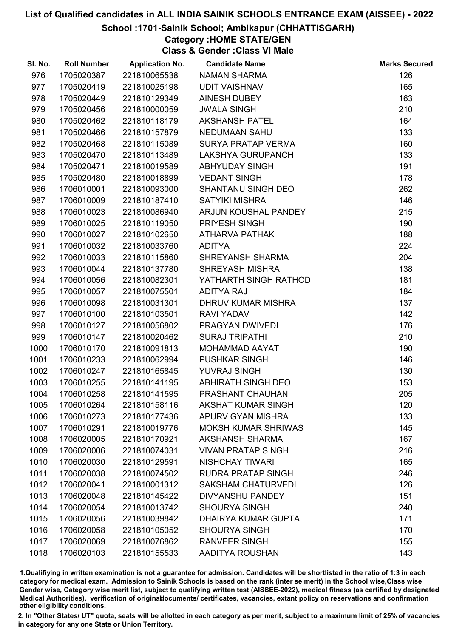#### School :1701-Sainik School; Ambikapur (CHHATTISGARH)

Category :HOME STATE/GEN

Class & Gender :Class VI Male

| SI. No. | <b>Roll Number</b> | <b>Application No.</b> | <b>Candidate Name</b>      | <b>Marks Secured</b> |
|---------|--------------------|------------------------|----------------------------|----------------------|
| 976     | 1705020387         | 221810065538           | <b>NAMAN SHARMA</b>        | 126                  |
| 977     | 1705020419         | 221810025198           | <b>UDIT VAISHNAV</b>       | 165                  |
| 978     | 1705020449         | 221810129349           | AINESH DUBEY               | 163                  |
| 979     | 1705020456         | 221810000059           | <b>JWALA SINGH</b>         | 210                  |
| 980     | 1705020462         | 221810118179           | <b>AKSHANSH PATEL</b>      | 164                  |
| 981     | 1705020466         | 221810157879           | <b>NEDUMAAN SAHU</b>       | 133                  |
| 982     | 1705020468         | 221810115089           | <b>SURYA PRATAP VERMA</b>  | 160                  |
| 983     | 1705020470         | 221810113489           | <b>LAKSHYA GURUPANCH</b>   | 133                  |
| 984     | 1705020471         | 221810019589           | <b>ABHYUDAY SINGH</b>      | 191                  |
| 985     | 1705020480         | 221810018899           | <b>VEDANT SINGH</b>        | 178                  |
| 986     | 1706010001         | 221810093000           | <b>SHANTANU SINGH DEO</b>  | 262                  |
| 987     | 1706010009         | 221810187410           | <b>SATYIKI MISHRA</b>      | 146                  |
| 988     | 1706010023         | 221810086940           | ARJUN KOUSHAL PANDEY       | 215                  |
| 989     | 1706010025         | 221810119050           | PRIYESH SINGH              | 190                  |
| 990     | 1706010027         | 221810102650           | ATHARVA PATHAK             | 188                  |
| 991     | 1706010032         | 221810033760           | <b>ADITYA</b>              | 224                  |
| 992     | 1706010033         | 221810115860           | <b>SHREYANSH SHARMA</b>    | 204                  |
| 993     | 1706010044         | 221810137780           | <b>SHREYASH MISHRA</b>     | 138                  |
| 994     | 1706010056         | 221810082301           | YATHARTH SINGH RATHOD      | 181                  |
| 995     | 1706010057         | 221810075501           | <b>ADITYA RAJ</b>          | 184                  |
| 996     | 1706010098         | 221810031301           | <b>DHRUV KUMAR MISHRA</b>  | 137                  |
| 997     | 1706010100         | 221810103501           | <b>RAVI YADAV</b>          | 142                  |
| 998     | 1706010127         | 221810056802           | PRAGYAN DWIVEDI            | 176                  |
| 999     | 1706010147         | 221810020462           | <b>SURAJ TRIPATHI</b>      | 210                  |
| 1000    | 1706010170         | 221810091813           | MOHAMMAD AAYAT             | 190                  |
| 1001    | 1706010233         | 221810062994           | <b>PUSHKAR SINGH</b>       | 146                  |
| 1002    | 1706010247         | 221810165845           | YUVRAJ SINGH               | 130                  |
| 1003    | 1706010255         | 221810141195           | <b>ABHIRATH SINGH DEO</b>  | 153                  |
| 1004    | 1706010258         | 221810141595           | PRASHANT CHAUHAN           | 205                  |
| 1005    | 1706010264         | 221810158116           | <b>AKSHAT KUMAR SINGH</b>  | 120                  |
| 1006    | 1706010273         | 221810177436           | APURV GYAN MISHRA          | 133                  |
| 1007    | 1706010291         | 221810019776           | <b>MOKSH KUMAR SHRIWAS</b> | 145                  |
| 1008    | 1706020005         | 221810170921           | <b>AKSHANSH SHARMA</b>     | 167                  |
| 1009    | 1706020006         | 221810074031           | <b>VIVAN PRATAP SINGH</b>  | 216                  |
| 1010    | 1706020030         | 221810129591           | <b>NISHCHAY TIWARI</b>     | 165                  |
| 1011    | 1706020038         | 221810074502           | <b>RUDRA PRATAP SINGH</b>  | 246                  |
| 1012    | 1706020041         | 221810001312           | <b>SAKSHAM CHATURVEDI</b>  | 126                  |
| 1013    | 1706020048         | 221810145422           | <b>DIVYANSHU PANDEY</b>    | 151                  |
| 1014    | 1706020054         | 221810013742           | <b>SHOURYA SINGH</b>       | 240                  |
| 1015    | 1706020056         | 221810039842           | <b>DHAIRYA KUMAR GUPTA</b> | 171                  |
| 1016    | 1706020058         | 221810105052           | <b>SHOURYA SINGH</b>       | 170                  |
| 1017    | 1706020069         | 221810076862           | <b>RANVEER SINGH</b>       | 155                  |
| 1018    | 1706020103         | 221810155533           | AADITYA ROUSHAN            | 143                  |

1.Qualifiying in written examination is not a guarantee for admission. Candidates will be shortlisted in the ratio of 1:3 in each category for medical exam. Admission to Sainik Schools is based on the rank (inter se merit) in the School wise,Class wise Gender wise, Category wise merit list, subject to qualifying written test (AISSEE-2022), medical fitness (as certified by designated Medical Authorities), verification of originablocuments/ certificates, vacancies, extant policy on reservations and confirmation other eligibility conditions.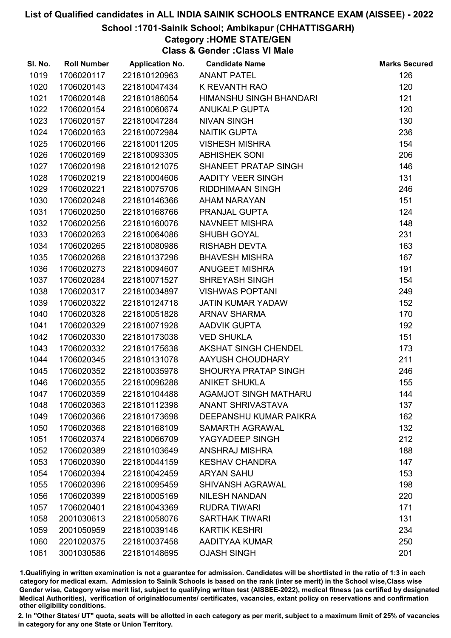#### School :1701-Sainik School; Ambikapur (CHHATTISGARH)

Category :HOME STATE/GEN

Class & Gender :Class VI Male

| SI. No. | <b>Roll Number</b> | <b>Application No.</b> | <b>Candidate Name</b>        | <b>Marks Secured</b> |
|---------|--------------------|------------------------|------------------------------|----------------------|
| 1019    | 1706020117         | 221810120963           | <b>ANANT PATEL</b>           | 126                  |
| 1020    | 1706020143         | 221810047434           | K REVANTH RAO                | 120                  |
| 1021    | 1706020148         | 221810186054           | HIMANSHU SINGH BHANDARI      | 121                  |
| 1022    | 1706020154         | 221810060674           | <b>ANUKALP GUPTA</b>         | 120                  |
| 1023    | 1706020157         | 221810047284           | <b>NIVAN SINGH</b>           | 130                  |
| 1024    | 1706020163         | 221810072984           | <b>NAITIK GUPTA</b>          | 236                  |
| 1025    | 1706020166         | 221810011205           | <b>VISHESH MISHRA</b>        | 154                  |
| 1026    | 1706020169         | 221810093305           | <b>ABHISHEK SONI</b>         | 206                  |
| 1027    | 1706020198         | 221810121075           | SHANEET PRATAP SINGH         | 146                  |
| 1028    | 1706020219         | 221810004606           | <b>AADITY VEER SINGH</b>     | 131                  |
| 1029    | 1706020221         | 221810075706           | RIDDHIMAAN SINGH             | 246                  |
| 1030    | 1706020248         | 221810146366           | AHAM NARAYAN                 | 151                  |
| 1031    | 1706020250         | 221810168766           | PRANJAL GUPTA                | 124                  |
| 1032    | 1706020256         | 221810160076           | NAVNEET MISHRA               | 148                  |
| 1033    | 1706020263         | 221810064086           | SHUBH GOYAL                  | 231                  |
| 1034    | 1706020265         | 221810080986           | <b>RISHABH DEVTA</b>         | 163                  |
| 1035    | 1706020268         | 221810137296           | <b>BHAVESH MISHRA</b>        | 167                  |
| 1036    | 1706020273         | 221810094607           | <b>ANUGEET MISHRA</b>        | 191                  |
| 1037    | 1706020284         | 221810071527           | <b>SHREYASH SINGH</b>        | 154                  |
| 1038    | 1706020317         | 221810034897           | <b>VISHWAS POPTANI</b>       | 249                  |
| 1039    | 1706020322         | 221810124718           | <b>JATIN KUMAR YADAW</b>     | 152                  |
| 1040    | 1706020328         | 221810051828           | <b>ARNAV SHARMA</b>          | 170                  |
| 1041    | 1706020329         | 221810071928           | AADVIK GUPTA                 | 192                  |
| 1042    | 1706020330         | 221810173038           | <b>VED SHUKLA</b>            | 151                  |
| 1043    | 1706020332         | 221810175638           | <b>AKSHAT SINGH CHENDEL</b>  | 173                  |
| 1044    | 1706020345         | 221810131078           | AAYUSH CHOUDHARY             | 211                  |
| 1045    | 1706020352         | 221810035978           | SHOURYA PRATAP SINGH         | 246                  |
| 1046    | 1706020355         | 221810096288           | <b>ANIKET SHUKLA</b>         | 155                  |
| 1047    | 1706020359         | 221810104488           | <b>AGAMJOT SINGH MATHARU</b> | 144                  |
| 1048    | 1706020363         | 221810112398           | <b>ANANT SHRIVASTAVA</b>     | 137                  |
| 1049    | 1706020366         | 221810173698           | DEEPANSHU KUMAR PAIKRA       | 162                  |
| 1050    | 1706020368         | 221810168109           | SAMARTH AGRAWAL              | 132                  |
| 1051    | 1706020374         | 221810066709           | YAGYADEEP SINGH              | 212                  |
| 1052    | 1706020389         | 221810103649           | <b>ANSHRAJ MISHRA</b>        | 188                  |
| 1053    | 1706020390         | 221810044159           | <b>KESHAV CHANDRA</b>        | 147                  |
| 1054    | 1706020394         | 221810042459           | <b>ARYAN SAHU</b>            | 153                  |
| 1055    | 1706020396         | 221810095459           | <b>SHIVANSH AGRAWAL</b>      | 198                  |
| 1056    | 1706020399         | 221810005169           | <b>NILESH NANDAN</b>         | 220                  |
| 1057    | 1706020401         | 221810043369           | <b>RUDRA TIWARI</b>          | 171                  |
| 1058    | 2001030613         | 221810058076           | <b>SARTHAK TIWARI</b>        | 131                  |
| 1059    | 2001050959         | 221810039146           | <b>KARTIK KESHRI</b>         | 234                  |
| 1060    | 2201020375         | 221810037458           | AADITYAA KUMAR               | 250                  |
| 1061    | 3001030586         | 221810148695           | <b>OJASH SINGH</b>           | 201                  |

1.Qualifiying in written examination is not a guarantee for admission. Candidates will be shortlisted in the ratio of 1:3 in each category for medical exam. Admission to Sainik Schools is based on the rank (inter se merit) in the School wise,Class wise Gender wise, Category wise merit list, subject to qualifying written test (AISSEE-2022), medical fitness (as certified by designated Medical Authorities), verification of originablocuments/ certificates, vacancies, extant policy on reservations and confirmation other eligibility conditions.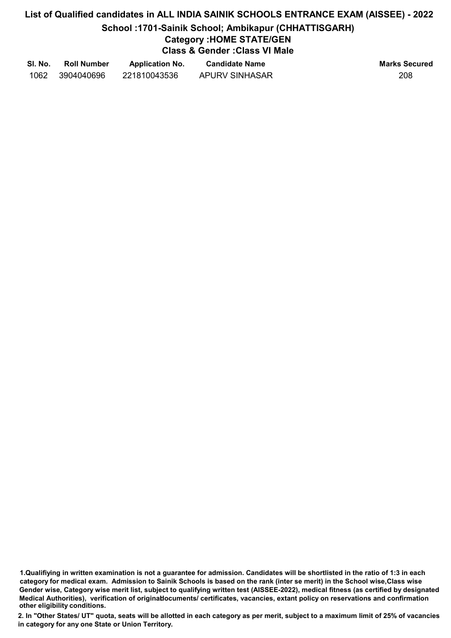## List of Qualified candidates in ALL INDIA SAINIK SCHOOLS ENTRANCE EXAM (AISSEE) - 2022 School :1701-Sainik School; Ambikapur (CHHATTISGARH) Category :HOME STATE/GEN Class & Gender :Class VI Male

| SI. No. | <b>Roll Number</b> | <b>Application No.</b> | <b>Candidate Name</b> | <b>Marks Secured</b> |
|---------|--------------------|------------------------|-----------------------|----------------------|
| 1062    | 3904040696         | 221810043536           | APURV SINHASAR        | 208                  |

1.Qualifiying in written examination is not a guarantee for admission. Candidates will be shortlisted in the ratio of 1:3 in each category for medical exam. Admission to Sainik Schools is based on the rank (inter se merit) in the School wise,Class wise Gender wise, Category wise merit list, subject to qualifying written test (AISSEE-2022), medical fitness (as certified by designated Medical Authorities), verification of originablocuments/ certificates, vacancies, extant policy on reservations and confirmation other eligibility conditions.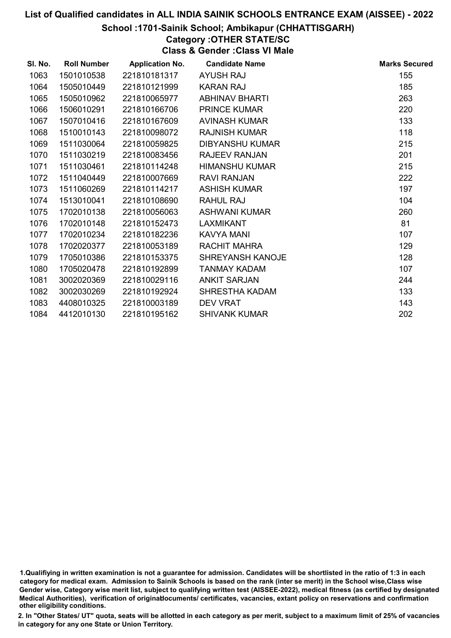#### School :1701-Sainik School; Ambikapur (CHHATTISGARH)

Category :OTHER STATE/SC

Class & Gender :Class VI Male

| SI. No. | <b>Roll Number</b> | <b>Application No.</b> | <b>Candidate Name</b>   | <b>Marks Secured</b> |
|---------|--------------------|------------------------|-------------------------|----------------------|
| 1063    | 1501010538         | 221810181317           | <b>AYUSH RAJ</b>        | 155                  |
| 1064    | 1505010449         | 221810121999           | <b>KARAN RAJ</b>        | 185                  |
| 1065    | 1505010962         | 221810065977           | <b>ABHINAV BHARTI</b>   | 263                  |
| 1066    | 1506010291         | 221810166706           | <b>PRINCE KUMAR</b>     | 220                  |
| 1067    | 1507010416         | 221810167609           | AVINASH KUMAR           | 133                  |
| 1068    | 1510010143         | 221810098072           | <b>RAJNISH KUMAR</b>    | 118                  |
| 1069    | 1511030064         | 221810059825           | <b>DIBYANSHU KUMAR</b>  | 215                  |
| 1070    | 1511030219         | 221810083456           | <b>RAJEEV RANJAN</b>    | 201                  |
| 1071    | 1511030461         | 221810114248           | <b>HIMANSHU KUMAR</b>   | 215                  |
| 1072    | 1511040449         | 221810007669           | <b>RAVI RANJAN</b>      | 222                  |
| 1073    | 1511060269         | 221810114217           | <b>ASHISH KUMAR</b>     | 197                  |
| 1074    | 1513010041         | 221810108690           | <b>RAHUL RAJ</b>        | 104                  |
| 1075    | 1702010138         | 221810056063           | <b>ASHWANI KUMAR</b>    | 260                  |
| 1076    | 1702010148         | 221810152473           | <b>LAXMIKANT</b>        | 81                   |
| 1077    | 1702010234         | 221810182236           | KAVYA MANI              | 107                  |
| 1078    | 1702020377         | 221810053189           | <b>RACHIT MAHRA</b>     | 129                  |
| 1079    | 1705010386         | 221810153375           | <b>SHREYANSH KANOJE</b> | 128                  |
| 1080    | 1705020478         | 221810192899           | <b>TANMAY KADAM</b>     | 107                  |
| 1081    | 3002020369         | 221810029116           | <b>ANKIT SARJAN</b>     | 244                  |
| 1082    | 3002030269         | 221810192924           | <b>SHRESTHA KADAM</b>   | 133                  |
| 1083    | 4408010325         | 221810003189           | <b>DEV VRAT</b>         | 143                  |
| 1084    | 4412010130         | 221810195162           | <b>SHIVANK KUMAR</b>    | 202                  |
|         |                    |                        |                         |                      |

1.Qualifiying in written examination is not a guarantee for admission. Candidates will be shortlisted in the ratio of 1:3 in each category for medical exam. Admission to Sainik Schools is based on the rank (inter se merit) in the School wise,Class wise Gender wise, Category wise merit list, subject to qualifying written test (AISSEE-2022), medical fitness (as certified by designated Medical Authorities), verification of originablocuments/ certificates, vacancies, extant policy on reservations and confirmation other eligibility conditions.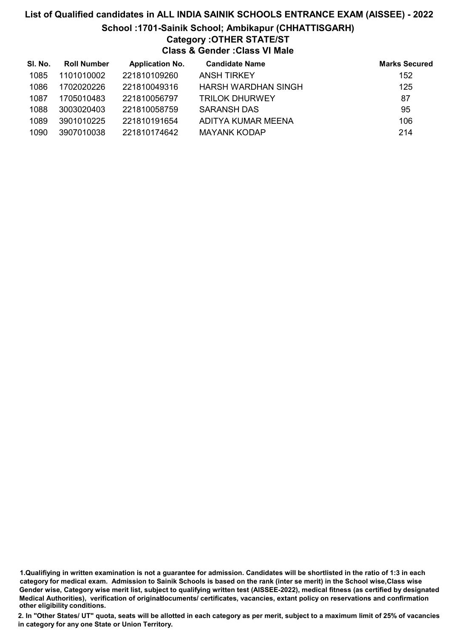# List of Qualified candidates in ALL INDIA SAINIK SCHOOLS ENTRANCE EXAM (AISSEE) - 2022 School :1701-Sainik School; Ambikapur (CHHATTISGARH) Category :OTHER STATE/ST Class & Gender :Class VI Male

| SI. No. | <b>Roll Number</b> | <b>Application No.</b> | <b>Candidate Name</b>      | <b>Marks Secured</b> |
|---------|--------------------|------------------------|----------------------------|----------------------|
| 1085    | 1101010002         | 221810109260           | <b>ANSH TIRKEY</b>         | 152                  |
| 1086    | 1702020226         | 221810049316           | <b>HARSH WARDHAN SINGH</b> | 125                  |
| 1087    | 1705010483         | 221810056797           | <b>TRILOK DHURWEY</b>      | 87                   |
| 1088    | 3003020403         | 221810058759           | <b>SARANSH DAS</b>         | 95                   |
| 1089    | 3901010225         | 221810191654           | ADITYA KUMAR MEENA         | 106                  |
| 1090    | 3907010038         | 221810174642           | <b>MAYANK KODAP</b>        | 214                  |

1.Qualifiying in written examination is not a guarantee for admission. Candidates will be shortlisted in the ratio of 1:3 in each category for medical exam. Admission to Sainik Schools is based on the rank (inter se merit) in the School wise,Class wise Gender wise, Category wise merit list, subject to qualifying written test (AISSEE-2022), medical fitness (as certified by designated Medical Authorities), verification of originablocuments/ certificates, vacancies, extant policy on reservations and confirmation other eligibility conditions.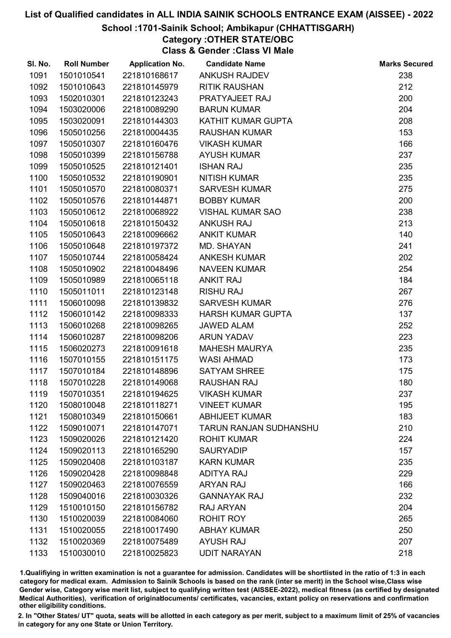#### School :1701-Sainik School; Ambikapur (CHHATTISGARH)

Category :OTHER STATE/OBC

Class & Gender :Class VI Male

| SI. No. | <b>Roll Number</b> | <b>Application No.</b> | <b>Candidate Name</b>    | <b>Marks Secured</b> |
|---------|--------------------|------------------------|--------------------------|----------------------|
| 1091    | 1501010541         | 221810168617           | <b>ANKUSH RAJDEV</b>     | 238                  |
| 1092    | 1501010643         | 221810145979           | <b>RITIK RAUSHAN</b>     | 212                  |
| 1093    | 1502010301         | 221810123243           | PRATYAJEET RAJ           | 200                  |
| 1094    | 1503020006         | 221810089290           | <b>BARUN KUMAR</b>       | 204                  |
| 1095    | 1503020091         | 221810144303           | KATHIT KUMAR GUPTA       | 208                  |
| 1096    | 1505010256         | 221810004435           | <b>RAUSHAN KUMAR</b>     | 153                  |
| 1097    | 1505010307         | 221810160476           | <b>VIKASH KUMAR</b>      | 166                  |
| 1098    | 1505010399         | 221810156788           | <b>AYUSH KUMAR</b>       | 237                  |
| 1099    | 1505010525         | 221810121401           | <b>ISHAN RAJ</b>         | 235                  |
| 1100    | 1505010532         | 221810190901           | <b>NITISH KUMAR</b>      | 235                  |
| 1101    | 1505010570         | 221810080371           | <b>SARVESH KUMAR</b>     | 275                  |
| 1102    | 1505010576         | 221810144871           | <b>BOBBY KUMAR</b>       | 200                  |
| 1103    | 1505010612         | 221810068922           | <b>VISHAL KUMAR SAO</b>  | 238                  |
| 1104    | 1505010618         | 221810150432           | <b>ANKUSH RAJ</b>        | 213                  |
| 1105    | 1505010643         | 221810096662           | <b>ANKIT KUMAR</b>       | 140                  |
| 1106    | 1505010648         | 221810197372           | MD. SHAYAN               | 241                  |
| 1107    | 1505010744         | 221810058424           | <b>ANKESH KUMAR</b>      | 202                  |
| 1108    | 1505010902         | 221810048496           | <b>NAVEEN KUMAR</b>      | 254                  |
| 1109    | 1505010989         | 221810065118           | <b>ANKIT RAJ</b>         | 184                  |
| 1110    | 1505011011         | 221810123148           | <b>RISHU RAJ</b>         | 267                  |
| 1111    | 1506010098         | 221810139832           | <b>SARVESH KUMAR</b>     | 276                  |
| 1112    | 1506010142         | 221810098333           | <b>HARSH KUMAR GUPTA</b> | 137                  |
| 1113    | 1506010268         | 221810098265           | <b>JAWED ALAM</b>        | 252                  |
| 1114    | 1506010287         | 221810098206           | <b>ARUN YADAV</b>        | 223                  |
| 1115    | 1506020273         | 221810091618           | <b>MAHESH MAURYA</b>     | 235                  |
| 1116    | 1507010155         | 221810151175           | <b>WASI AHMAD</b>        | 173                  |
| 1117    | 1507010184         | 221810148896           | <b>SATYAM SHREE</b>      | 175                  |
| 1118    | 1507010228         | 221810149068           | <b>RAUSHAN RAJ</b>       | 180                  |
| 1119    | 1507010351         | 221810194625           | <b>VIKASH KUMAR</b>      | 237                  |
| 1120    | 1508010048         | 221810118271           | <b>VINEET KUMAR</b>      | 195                  |
| 1121    | 1508010349         | 221810150661           | <b>ABHIJEET KUMAR</b>    | 183                  |
| 1122    | 1509010071         | 221810147071           | TARUN RANJAN SUDHANSHU   | 210                  |
| 1123    | 1509020026         | 221810121420           | <b>ROHIT KUMAR</b>       | 224                  |
| 1124    | 1509020113         | 221810165290           | <b>SAURYADIP</b>         | 157                  |
| 1125    | 1509020408         | 221810103187           | <b>KARN KUMAR</b>        | 235                  |
| 1126    | 1509020428         | 221810098848           | <b>ADITYA RAJ</b>        | 229                  |
| 1127    | 1509020463         | 221810076559           | <b>ARYAN RAJ</b>         | 166                  |
| 1128    | 1509040016         | 221810030326           | <b>GANNAYAK RAJ</b>      | 232                  |
| 1129    | 1510010150         | 221810156782           | RAJ ARYAN                | 204                  |
| 1130    | 1510020039         | 221810084060           | ROHIT ROY                | 265                  |
| 1131    | 1510020055         | 221810017490           | <b>ABHAY KUMAR</b>       | 250                  |
| 1132    | 1510020369         | 221810075489           | <b>AYUSH RAJ</b>         | 207                  |
| 1133    | 1510030010         | 221810025823           | <b>UDIT NARAYAN</b>      | 218                  |

1.Qualifiying in written examination is not a guarantee for admission. Candidates will be shortlisted in the ratio of 1:3 in each category for medical exam. Admission to Sainik Schools is based on the rank (inter se merit) in the School wise,Class wise Gender wise, Category wise merit list, subject to qualifying written test (AISSEE-2022), medical fitness (as certified by designated Medical Authorities), verification of originablocuments/ certificates, vacancies, extant policy on reservations and confirmation other eligibility conditions.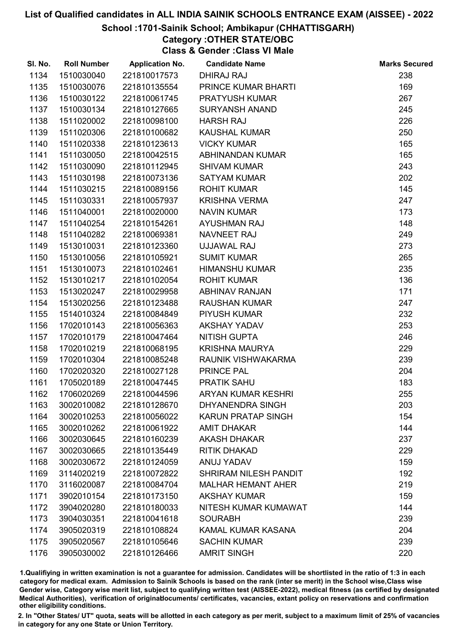#### School :1701-Sainik School; Ambikapur (CHHATTISGARH)

Category :OTHER STATE/OBC

Class & Gender :Class VI Male

| SI. No. | <b>Roll Number</b> | <b>Application No.</b> | <b>Candidate Name</b>        | <b>Marks Secured</b> |
|---------|--------------------|------------------------|------------------------------|----------------------|
| 1134    | 1510030040         | 221810017573           | <b>DHIRAJ RAJ</b>            | 238                  |
| 1135    | 1510030076         | 221810135554           | PRINCE KUMAR BHARTI          | 169                  |
| 1136    | 1510030122         | 221810061745           | PRATYUSH KUMAR               | 267                  |
| 1137    | 1510030134         | 221810127665           | <b>SURYANSH ANAND</b>        | 245                  |
| 1138    | 1511020002         | 221810098100           | <b>HARSH RAJ</b>             | 226                  |
| 1139    | 1511020306         | 221810100682           | <b>KAUSHAL KUMAR</b>         | 250                  |
| 1140    | 1511020338         | 221810123613           | <b>VICKY KUMAR</b>           | 165                  |
| 1141    | 1511030050         | 221810042515           | ABHINANDAN KUMAR             | 165                  |
| 1142    | 1511030090         | 221810112945           | <b>SHIVAM KUMAR</b>          | 243                  |
| 1143    | 1511030198         | 221810073136           | <b>SATYAM KUMAR</b>          | 202                  |
| 1144    | 1511030215         | 221810089156           | <b>ROHIT KUMAR</b>           | 145                  |
| 1145    | 1511030331         | 221810057937           | <b>KRISHNA VERMA</b>         | 247                  |
| 1146    | 1511040001         | 221810020000           | <b>NAVIN KUMAR</b>           | 173                  |
| 1147    | 1511040254         | 221810154261           | <b>AYUSHMAN RAJ</b>          | 148                  |
| 1148    | 1511040282         | 221810069381           | NAVNEET RAJ                  | 249                  |
| 1149    | 1513010031         | 221810123360           | UJJAWAL RAJ                  | 273                  |
| 1150    | 1513010056         | 221810105921           | <b>SUMIT KUMAR</b>           | 265                  |
| 1151    | 1513010073         | 221810102461           | <b>HIMANSHU KUMAR</b>        | 235                  |
| 1152    | 1513010217         | 221810102054           | <b>ROHIT KUMAR</b>           | 136                  |
| 1153    | 1513020247         | 221810029958           | <b>ABHINAV RANJAN</b>        | 171                  |
| 1154    | 1513020256         | 221810123488           | <b>RAUSHAN KUMAR</b>         | 247                  |
| 1155    | 1514010324         | 221810084849           | PIYUSH KUMAR                 | 232                  |
| 1156    | 1702010143         | 221810056363           | <b>AKSHAY YADAV</b>          | 253                  |
| 1157    | 1702010179         | 221810047464           | <b>NITISH GUPTA</b>          | 246                  |
| 1158    | 1702010219         | 221810068195           | <b>KRISHNA MAURYA</b>        | 229                  |
| 1159    | 1702010304         | 221810085248           | RAUNIK VISHWAKARMA           | 239                  |
| 1160    | 1702020320         | 221810027128           | PRINCE PAL                   | 204                  |
| 1161    | 1705020189         | 221810047445           | <b>PRATIK SAHU</b>           | 183                  |
| 1162    | 1706020269         | 221810044596           | <b>ARYAN KUMAR KESHRI</b>    | 255                  |
| 1163    | 3002010082         | 221810128670           | <b>DHYANENDRA SINGH</b>      | 203                  |
| 1164    | 3002010253         | 221810056022           | <b>KARUN PRATAP SINGH</b>    | 154                  |
| 1165    | 3002010262         | 221810061922           | <b>AMIT DHAKAR</b>           | 144                  |
| 1166    | 3002030645         | 221810160239           | <b>AKASH DHAKAR</b>          | 237                  |
| 1167    | 3002030665         | 221810135449           | <b>RITIK DHAKAD</b>          | 229                  |
| 1168    | 3002030672         | 221810124059           | ANUJ YADAV                   | 159                  |
| 1169    | 3114020219         | 221810072822           | <b>SHRIRAM NILESH PANDIT</b> | 192                  |
| 1170    | 3116020087         | 221810084704           | <b>MALHAR HEMANT AHER</b>    | 219                  |
| 1171    | 3902010154         | 221810173150           | <b>AKSHAY KUMAR</b>          | 159                  |
| 1172    | 3904020280         | 221810180033           | NITESH KUMAR KUMAWAT         | 144                  |
| 1173    | 3904030351         | 221810041618           | <b>SOURABH</b>               | 239                  |
| 1174    | 3905020319         | 221810108824           | KAMAL KUMAR KASANA           | 204                  |
| 1175    | 3905020567         | 221810105646           | <b>SACHIN KUMAR</b>          | 239                  |
| 1176    | 3905030002         | 221810126466           | <b>AMRIT SINGH</b>           | 220                  |

1.Qualifiying in written examination is not a guarantee for admission. Candidates will be shortlisted in the ratio of 1:3 in each category for medical exam. Admission to Sainik Schools is based on the rank (inter se merit) in the School wise,Class wise Gender wise, Category wise merit list, subject to qualifying written test (AISSEE-2022), medical fitness (as certified by designated Medical Authorities), verification of originablocuments/ certificates, vacancies, extant policy on reservations and confirmation other eligibility conditions.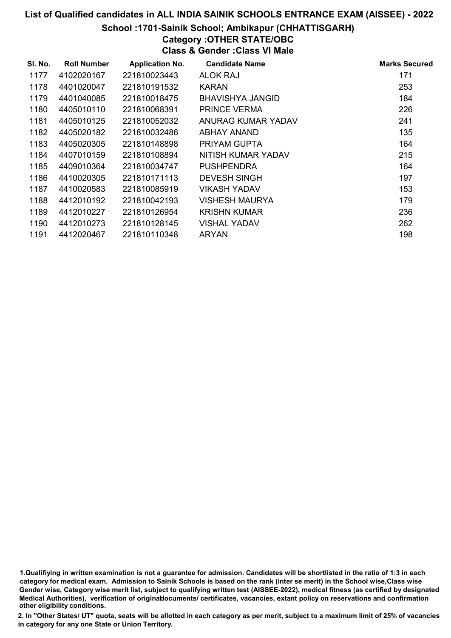#### School :1701-Sainik School; Ambikapur (CHHATTISGARH)

# Category :OTHER STATE/OBC

Class & Gender :Class VI Male

| SI. No. | <b>Roll Number</b> | <b>Application No.</b> | <b>Candidate Name</b> | <b>Marks Secured</b> |
|---------|--------------------|------------------------|-----------------------|----------------------|
| 1177    | 4102020167         | 221810023443           | <b>ALOK RAJ</b>       | 171                  |
| 1178    | 4401020047         | 221810191532           | <b>KARAN</b>          | 253                  |
| 1179    | 4401040085         | 221810018475           | BHAVISHYA JANGID      | 184                  |
| 1180    | 4405010110         | 221810068391           | <b>PRINCE VERMA</b>   | 226                  |
| 1181    | 4405010125         | 221810052032           | ANURAG KUMAR YADAV    | 241                  |
| 1182    | 4405020182         | 221810032486           | <b>ABHAY ANAND</b>    | 135                  |
| 1183    | 4405020305         | 221810148898           | PRIYAM GUPTA          | 164                  |
| 1184    | 4407010159         | 221810108894           | NITISH KUMAR YADAV    | 215                  |
| 1185    | 4409010364         | 221810034747           | <b>PUSHPENDRA</b>     | 164                  |
| 1186    | 4410020305         | 221810171113           | <b>DEVESH SINGH</b>   | 197                  |
| 1187    | 4410020583         | 221810085919           | VIKASH YADAV          | 153                  |
| 1188    | 4412010192         | 221810042193           | VISHESH MAURYA        | 179                  |
| 1189    | 4412010227         | 221810126954           | <b>KRISHN KUMAR</b>   | 236                  |
| 1190    | 4412010273         | 221810128145           | <b>VISHAL YADAV</b>   | 262                  |
| 1191    | 4412020467         | 221810110348           | <b>ARYAN</b>          | 198                  |

<sup>1.</sup>Qualifiying in written examination is not a guarantee for admission. Candidates will be shortlisted in the ratio of 1:3 in each category for medical exam. Admission to Sainik Schools is based on the rank (inter se merit) in the School wise,Class wise Gender wise, Category wise merit list, subject to qualifying written test (AISSEE-2022), medical fitness (as certified by designated Medical Authorities), verification of originablocuments/ certificates, vacancies, extant policy on reservations and confirmation other eligibility conditions.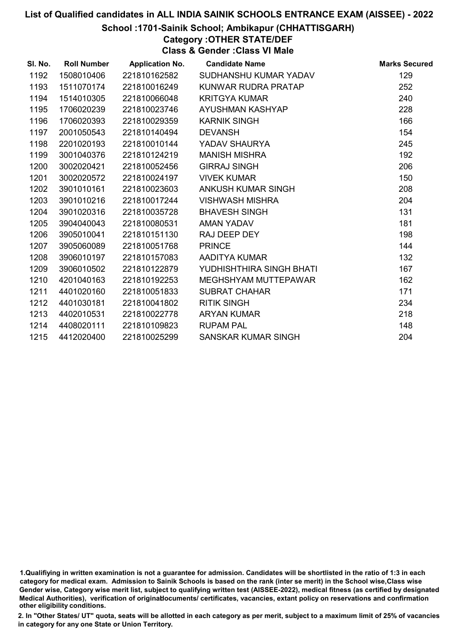#### School :1701-Sainik School; Ambikapur (CHHATTISGARH)

Category :OTHER STATE/DEF Class & Gender :Class VI Male

| SI. No. | <b>Roll Number</b> | <b>Application No.</b> | <b>Candidate Name</b>    | <b>Marks Secured</b> |
|---------|--------------------|------------------------|--------------------------|----------------------|
| 1192    | 1508010406         | 221810162582           | SUDHANSHU KUMAR YADAV    | 129                  |
| 1193    | 1511070174         | 221810016249           | KUNWAR RUDRA PRATAP      | 252                  |
| 1194    | 1514010305         | 221810066048           | <b>KRITGYA KUMAR</b>     | 240                  |
| 1195    | 1706020239         | 221810023746           | AYUSHMAN KASHYAP         | 228                  |
| 1196    | 1706020393         | 221810029359           | <b>KARNIK SINGH</b>      | 166                  |
| 1197    | 2001050543         | 221810140494           | <b>DEVANSH</b>           | 154                  |
| 1198    | 2201020193         | 221810010144           | YADAV SHAURYA            | 245                  |
| 1199    | 3001040376         | 221810124219           | <b>MANISH MISHRA</b>     | 192                  |
| 1200    | 3002020421         | 221810052456           | <b>GIRRAJ SINGH</b>      | 206                  |
| 1201    | 3002020572         | 221810024197           | <b>VIVEK KUMAR</b>       | 150                  |
| 1202    | 3901010161         | 221810023603           | ANKUSH KUMAR SINGH       | 208                  |
| 1203    | 3901010216         | 221810017244           | <b>VISHWASH MISHRA</b>   | 204                  |
| 1204    | 3901020316         | 221810035728           | <b>BHAVESH SINGH</b>     | 131                  |
| 1205    | 3904040043         | 221810080531           | AMAN YADAV               | 181                  |
| 1206    | 3905010041         | 221810151130           | RAJ DEEP DEY             | 198                  |
| 1207    | 3905060089         | 221810051768           | <b>PRINCE</b>            | 144                  |
| 1208    | 3906010197         | 221810157083           | AADITYA KUMAR            | 132                  |
| 1209    | 3906010502         | 221810122879           | YUDHISHTHIRA SINGH BHATI | 167                  |
| 1210    | 4201040163         | 221810192253           | MEGHSHYAM MUTTEPAWAR     | 162                  |
| 1211    | 4401020160         | 221810051833           | <b>SUBRAT CHAHAR</b>     | 171                  |
| 1212    | 4401030181         | 221810041802           | <b>RITIK SINGH</b>       | 234                  |
| 1213    | 4402010531         | 221810022778           | <b>ARYAN KUMAR</b>       | 218                  |
| 1214    | 4408020111         | 221810109823           | <b>RUPAM PAL</b>         | 148                  |
| 1215    | 4412020400         | 221810025299           | SANSKAR KUMAR SINGH      | 204                  |

<sup>1.</sup>Qualifiying in written examination is not a guarantee for admission. Candidates will be shortlisted in the ratio of 1:3 in each category for medical exam. Admission to Sainik Schools is based on the rank (inter se merit) in the School wise,Class wise Gender wise, Category wise merit list, subject to qualifying written test (AISSEE-2022), medical fitness (as certified by designated Medical Authorities), verification of originablocuments/ certificates, vacancies, extant policy on reservations and confirmation other eligibility conditions.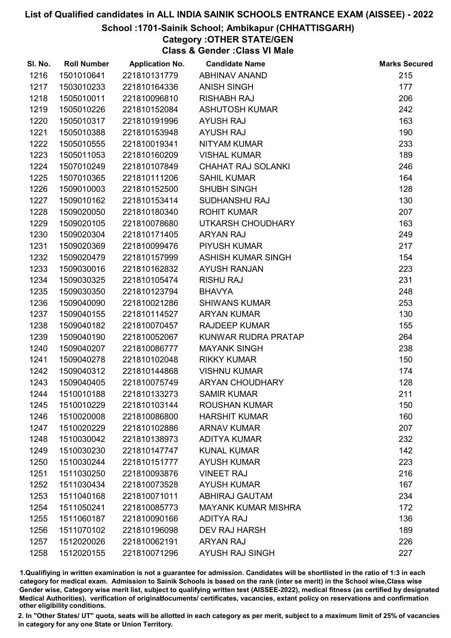#### School :1701-Sainik School; Ambikapur (CHHATTISGARH)

# Category :OTHER STATE/GEN

Class & Gender :Class VI Male

| SI. No. | <b>Roll Number</b> | <b>Application No.</b> | <b>Candidate Name</b>      | <b>Marks Secured</b> |
|---------|--------------------|------------------------|----------------------------|----------------------|
| 1216    | 1501010641         | 221810131779           | <b>ABHINAV ANAND</b>       | 215                  |
| 1217    | 1503010233         | 221810164336           | <b>ANISH SINGH</b>         | 177                  |
| 1218    | 1505010011         | 221810096810           | <b>RISHABH RAJ</b>         | 206                  |
| 1219    | 1505010226         | 221810152084           | <b>ASHUTOSH KUMAR</b>      | 242                  |
| 1220    | 1505010317         | 221810191996           | <b>AYUSH RAJ</b>           | 163                  |
| 1221    | 1505010388         | 221810153948           | <b>AYUSH RAJ</b>           | 190                  |
| 1222    | 1505010555         | 221810019341           | <b>NITYAM KUMAR</b>        | 233                  |
| 1223    | 1505011053         | 221810160209           | <b>VISHAL KUMAR</b>        | 189                  |
| 1224    | 1507010249         | 221810107849           | <b>CHAHAT RAJ SOLANKI</b>  | 246                  |
| 1225    | 1507010365         | 221810111206           | <b>SAHIL KUMAR</b>         | 164                  |
| 1226    | 1509010003         | 221810152500           | SHUBH SINGH                | 128                  |
| 1227    | 1509010162         | 221810153414           | SUDHANSHU RAJ              | 130                  |
| 1228    | 1509020050         | 221810180340           | <b>ROHIT KUMAR</b>         | 207                  |
| 1229    | 1509020105         | 221810078680           | UTKARSH CHOUDHARY          | 163                  |
| 1230    | 1509020304         | 221810171405           | <b>ARYAN RAJ</b>           | 249                  |
| 1231    | 1509020369         | 221810099476           | <b>PIYUSH KUMAR</b>        | 217                  |
| 1232    | 1509020479         | 221810157999           | <b>ASHISH KUMAR SINGH</b>  | 154                  |
| 1233    | 1509030016         | 221810162832           | <b>AYUSH RANJAN</b>        | 223                  |
| 1234    | 1509030325         | 221810105474           | <b>RISHU RAJ</b>           | 231                  |
| 1235    | 1509030350         | 221810123794           | <b>BHAVYA</b>              | 248                  |
| 1236    | 1509040090         | 221810021286           | <b>SHIWANS KUMAR</b>       | 253                  |
| 1237    | 1509040155         | 221810114527           | <b>ARYAN KUMAR</b>         | 130                  |
| 1238    | 1509040182         | 221810070457           | <b>RAJDEEP KUMAR</b>       | 155                  |
| 1239    | 1509040190         | 221810052067           | KUNWAR RUDRA PRATAP        | 264                  |
| 1240    | 1509040207         | 221810086777           | <b>MAYANK SINGH</b>        | 238                  |
| 1241    | 1509040278         | 221810102048           | <b>RIKKY KUMAR</b>         | 150                  |
| 1242    | 1509040312         | 221810144868           | <b>VISHNU KUMAR</b>        | 174                  |
| 1243    | 1509040405         | 221810075749           | <b>ARYAN CHOUDHARY</b>     | 128                  |
| 1244    | 1510010188         | 221810133273           | <b>SAMIR KUMAR</b>         | 211                  |
| 1245    | 1510010229         | 221810103144           | <b>ROUSHAN KUMAR</b>       | 150                  |
| 1246    | 1510020008         | 221810086800           | <b>HARSHIT KUMAR</b>       | 160                  |
| 1247    | 1510020229         | 221810102886           | <b>ARNAV KUMAR</b>         | 207                  |
| 1248    | 1510030042         | 221810138973           | <b>ADITYA KUMAR</b>        | 232                  |
| 1249    | 1510030230         | 221810147747           | <b>KUNAL KUMAR</b>         | 142                  |
| 1250    | 1510030244         | 221810151777           | <b>AYUSH KUMAR</b>         | 223                  |
| 1251    | 1511030250         | 221810093876           | <b>VINEET RAJ</b>          | 216                  |
| 1252    | 1511030434         | 221810073528           | <b>AYUSH KUMAR</b>         | 167                  |
| 1253    | 1511040168         | 221810071011           | <b>ABHIRAJ GAUTAM</b>      | 234                  |
| 1254    | 1511050241         | 221810085773           | <b>MAYANK KUMAR MISHRA</b> | 172                  |
| 1255    | 1511060187         | 221810090166           | <b>ADITYA RAJ</b>          | 136                  |
| 1256    | 1511070102         | 221810196098           | <b>DEV RAJ HARSH</b>       | 189                  |
| 1257    | 1512020026         | 221810062191           | <b>ARYAN RAJ</b>           | 226                  |
| 1258    | 1512020155         | 221810071296           | <b>AYUSH RAJ SINGH</b>     | 227                  |

1.Qualifiying in written examination is not a guarantee for admission. Candidates will be shortlisted in the ratio of 1:3 in each category for medical exam. Admission to Sainik Schools is based on the rank (inter se merit) in the School wise,Class wise Gender wise, Category wise merit list, subject to qualifying written test (AISSEE-2022), medical fitness (as certified by designated Medical Authorities), verification of originablocuments/ certificates, vacancies, extant policy on reservations and confirmation other eligibility conditions.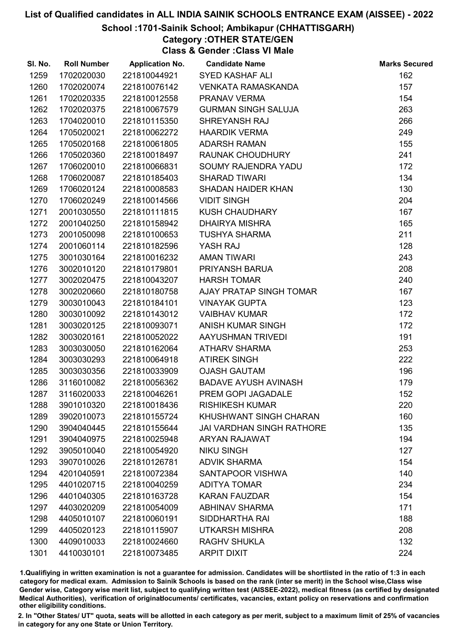#### School :1701-Sainik School; Ambikapur (CHHATTISGARH)

Category :OTHER STATE/GEN

Class & Gender :Class VI Male

| SI. No. | <b>Roll Number</b> | <b>Application No.</b> | <b>Candidate Name</b>            | <b>Marks Secured</b> |
|---------|--------------------|------------------------|----------------------------------|----------------------|
| 1259    | 1702020030         | 221810044921           | <b>SYED KASHAF ALI</b>           | 162                  |
| 1260    | 1702020074         | 221810076142           | <b>VENKATA RAMASKANDA</b>        | 157                  |
| 1261    | 1702020335         | 221810012558           | PRANAV VERMA                     | 154                  |
| 1262    | 1702020375         | 221810067579           | <b>GURMAN SINGH SALUJA</b>       | 263                  |
| 1263    | 1704020010         | 221810115350           | SHREYANSH RAJ                    | 266                  |
| 1264    | 1705020021         | 221810062272           | <b>HAARDIK VERMA</b>             | 249                  |
| 1265    | 1705020168         | 221810061805           | <b>ADARSH RAMAN</b>              | 155                  |
| 1266    | 1705020360         | 221810018497           | RAUNAK CHOUDHURY                 | 241                  |
| 1267    | 1706020010         | 221810066831           | SOUMY RAJENDRA YADU              | 172                  |
| 1268    | 1706020087         | 221810185403           | <b>SHARAD TIWARI</b>             | 134                  |
| 1269    | 1706020124         | 221810008583           | SHADAN HAIDER KHAN               | 130                  |
| 1270    | 1706020249         | 221810014566           | <b>VIDIT SINGH</b>               | 204                  |
| 1271    | 2001030550         | 221810111815           | <b>KUSH CHAUDHARY</b>            | 167                  |
| 1272    | 2001040250         | 221810158942           | <b>DHAIRYA MISHRA</b>            | 165                  |
| 1273    | 2001050098         | 221810100653           | <b>TUSHYA SHARMA</b>             | 211                  |
| 1274    | 2001060114         | 221810182596           | YASH RAJ                         | 128                  |
| 1275    | 3001030164         | 221810016232           | <b>AMAN TIWARI</b>               | 243                  |
| 1276    | 3002010120         | 221810179801           | PRIYANSH BARUA                   | 208                  |
| 1277    | 3002020475         | 221810043207           | <b>HARSH TOMAR</b>               | 240                  |
| 1278    | 3002020660         | 221810180758           | AJAY PRATAP SINGH TOMAR          | 167                  |
| 1279    | 3003010043         | 221810184101           | <b>VINAYAK GUPTA</b>             | 123                  |
| 1280    | 3003010092         | 221810143012           | <b>VAIBHAV KUMAR</b>             | 172                  |
| 1281    | 3003020125         | 221810093071           | ANISH KUMAR SINGH                | 172                  |
| 1282    | 3003020161         | 221810052022           | AAYUSHMAN TRIVEDI                | 191                  |
| 1283    | 3003030050         | 221810162064           | <b>ATHARV SHARMA</b>             | 253                  |
| 1284    | 3003030293         | 221810064918           | <b>ATIREK SINGH</b>              | 222                  |
| 1285    | 3003030356         | 221810033909           | <b>OJASH GAUTAM</b>              | 196                  |
| 1286    | 3116010082         | 221810056362           | <b>BADAVE AYUSH AVINASH</b>      | 179                  |
| 1287    | 3116020033         | 221810046261           | PREM GOPI JAGADALE               | 152                  |
| 1288    | 3901010320         | 221810018436           | <b>RISHIKESH KUMAR</b>           | 220                  |
| 1289    | 3902010073         | 221810155724           | KHUSHWANT SINGH CHARAN           | 160                  |
| 1290    | 3904040445         | 221810155644           | <b>JAI VARDHAN SINGH RATHORE</b> | 135                  |
| 1291    | 3904040975         | 221810025948           | ARYAN RAJAWAT                    | 194                  |
| 1292    | 3905010040         | 221810054920           | <b>NIKU SINGH</b>                | 127                  |
| 1293    | 3907010026         | 221810126781           | <b>ADVIK SHARMA</b>              | 154                  |
| 1294    | 4201040591         | 221810072384           | SANTAPOOR VISHWA                 | 140                  |
| 1295    | 4401020715         | 221810040259           | <b>ADITYA TOMAR</b>              | 234                  |
| 1296    | 4401040305         | 221810163728           | <b>KARAN FAUZDAR</b>             | 154                  |
| 1297    | 4403020209         | 221810054009           | <b>ABHINAV SHARMA</b>            | 171                  |
| 1298    | 4405010107         | 221810060191           | SIDDHARTHA RAI                   | 188                  |
| 1299    | 4405020123         | 221810115907           | <b>UTKARSH MISHRA</b>            | 208                  |
| 1300    | 4409010033         | 221810024660           | <b>RAGHV SHUKLA</b>              | 132                  |
| 1301    | 4410030101         | 221810073485           | <b>ARPIT DIXIT</b>               | 224                  |

1.Qualifiying in written examination is not a guarantee for admission. Candidates will be shortlisted in the ratio of 1:3 in each category for medical exam. Admission to Sainik Schools is based on the rank (inter se merit) in the School wise,Class wise Gender wise, Category wise merit list, subject to qualifying written test (AISSEE-2022), medical fitness (as certified by designated Medical Authorities), verification of originablocuments/ certificates, vacancies, extant policy on reservations and confirmation other eligibility conditions.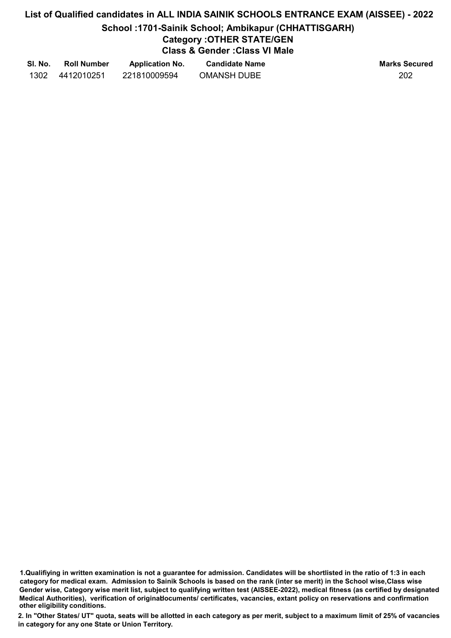# List of Qualified candidates in ALL INDIA SAINIK SCHOOLS ENTRANCE EXAM (AISSEE) - 2022 School :1701-Sainik School; Ambikapur (CHHATTISGARH) Category :OTHER STATE/GEN Class & Gender :Class VI Male

| SI. No. | <b>Roll Number</b> | <b>Application No.</b> | <b>Candidate Name</b> | <b>Marks Secured</b> |
|---------|--------------------|------------------------|-----------------------|----------------------|
| 1302    | 4412010251         | 221810009594           | <b>OMANSH DUBE</b>    | 202                  |

<sup>1.</sup>Qualifiying in written examination is not a guarantee for admission. Candidates will be shortlisted in the ratio of 1:3 in each category for medical exam. Admission to Sainik Schools is based on the rank (inter se merit) in the School wise,Class wise Gender wise, Category wise merit list, subject to qualifying written test (AISSEE-2022), medical fitness (as certified by designated Medical Authorities), verification of originablocuments/ certificates, vacancies, extant policy on reservations and confirmation other eligibility conditions.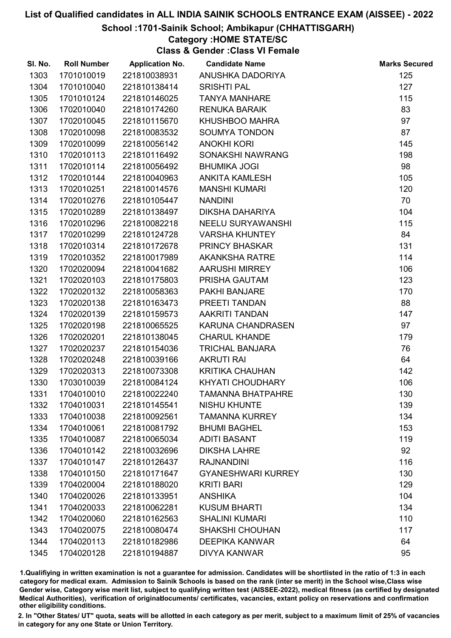#### School :1701-Sainik School; Ambikapur (CHHATTISGARH)

## Category :HOME STATE/SC

Class & Gender :Class VI Female

| SI. No. | <b>Roll Number</b> | <b>Application No.</b> | <b>Candidate Name</b>     | <b>Marks Secured</b> |
|---------|--------------------|------------------------|---------------------------|----------------------|
| 1303    | 1701010019         | 221810038931           | ANUSHKA DADORIYA          | 125                  |
| 1304    | 1701010040         | 221810138414           | <b>SRISHTI PAL</b>        | 127                  |
| 1305    | 1701010124         | 221810146025           | <b>TANYA MANHARE</b>      | 115                  |
| 1306    | 1702010040         | 221810174260           | <b>RENUKA BARAIK</b>      | 83                   |
| 1307    | 1702010045         | 221810115670           | KHUSHBOO MAHRA            | 97                   |
| 1308    | 1702010098         | 221810083532           | <b>SOUMYA TONDON</b>      | 87                   |
| 1309    | 1702010099         | 221810056142           | <b>ANOKHI KORI</b>        | 145                  |
| 1310    | 1702010113         | 221810116492           | SONAKSHI NAWRANG          | 198                  |
| 1311    | 1702010114         | 221810056492           | <b>BHUMIKA JOGI</b>       | 98                   |
| 1312    | 1702010144         | 221810040963           | <b>ANKITA KAMLESH</b>     | 105                  |
| 1313    | 1702010251         | 221810014576           | <b>MANSHI KUMARI</b>      | 120                  |
| 1314    | 1702010276         | 221810105447           | <b>NANDINI</b>            | 70                   |
| 1315    | 1702010289         | 221810138497           | DIKSHA DAHARIYA           | 104                  |
| 1316    | 1702010296         | 221810082218           | <b>NEELU SURYAWANSHI</b>  | 115                  |
| 1317    | 1702010299         | 221810124728           | <b>VARSHA KHUNTEY</b>     | 84                   |
| 1318    | 1702010314         | 221810172678           | <b>PRINCY BHASKAR</b>     | 131                  |
| 1319    | 1702010352         | 221810017989           | <b>AKANKSHA RATRE</b>     | 114                  |
| 1320    | 1702020094         | 221810041682           | <b>AARUSHI MIRREY</b>     | 106                  |
| 1321    | 1702020103         | 221810175803           | PRISHA GAUTAM             | 123                  |
| 1322    | 1702020132         | 221810058363           | <b>PAKHI BANJARE</b>      | 170                  |
| 1323    | 1702020138         | 221810163473           | PREETI TANDAN             | 88                   |
| 1324    | 1702020139         | 221810159573           | <b>AAKRITI TANDAN</b>     | 147                  |
| 1325    | 1702020198         | 221810065525           | KARUNA CHANDRASEN         | 97                   |
| 1326    | 1702020201         | 221810138045           | <b>CHARUL KHANDE</b>      | 179                  |
| 1327    | 1702020237         | 221810154036           | <b>TRICHAL BANJARA</b>    | 76                   |
| 1328    | 1702020248         | 221810039166           | <b>AKRUTI RAI</b>         | 64                   |
| 1329    | 1702020313         | 221810073308           | <b>KRITIKA CHAUHAN</b>    | 142                  |
| 1330    | 1703010039         | 221810084124           | KHYATI CHOUDHARY          | 106                  |
| 1331    | 1704010010         | 221810022240           | <b>TAMANNA BHATPAHRE</b>  | 130                  |
| 1332    | 1704010031         | 221810145541           | <b>NISHU KHUNTE</b>       | 139                  |
| 1333    | 1704010038         | 221810092561           | <b>TAMANNA KURREY</b>     | 134                  |
| 1334    | 1704010061         | 221810081792           | <b>BHUMI BAGHEL</b>       | 153                  |
| 1335    | 1704010087         | 221810065034           | <b>ADITI BASANT</b>       | 119                  |
| 1336    | 1704010142         | 221810032696           | <b>DIKSHA LAHRE</b>       | 92                   |
| 1337    | 1704010147         | 221810126437           | <b>RAJNANDINI</b>         | 116                  |
| 1338    | 1704010150         | 221810171647           | <b>GYANESHWARI KURREY</b> | 130                  |
| 1339    | 1704020004         | 221810188020           | <b>KRITI BARI</b>         | 129                  |
| 1340    | 1704020026         | 221810133951           | <b>ANSHIKA</b>            | 104                  |
| 1341    | 1704020033         | 221810062281           | <b>KUSUM BHARTI</b>       | 134                  |
| 1342    | 1704020060         | 221810162563           | <b>SHALINI KUMARI</b>     | 110                  |
| 1343    | 1704020075         | 221810080474           | <b>SHAKSHI CHOUHAN</b>    | 117                  |
| 1344    | 1704020113         | 221810182986           | <b>DEEPIKA KANWAR</b>     | 64                   |
| 1345    | 1704020128         | 221810194887           | <b>DIVYA KANWAR</b>       | 95                   |

1.Qualifiying in written examination is not a guarantee for admission. Candidates will be shortlisted in the ratio of 1:3 in each category for medical exam. Admission to Sainik Schools is based on the rank (inter se merit) in the School wise,Class wise Gender wise, Category wise merit list, subject to qualifying written test (AISSEE-2022), medical fitness (as certified by designated Medical Authorities), verification of originablocuments/ certificates, vacancies, extant policy on reservations and confirmation other eligibility conditions.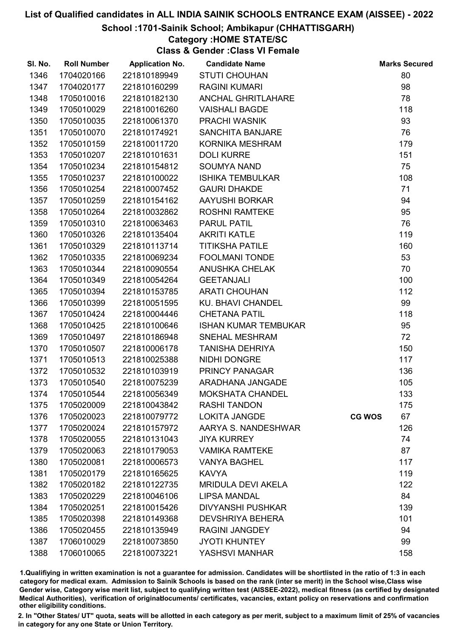#### School :1701-Sainik School; Ambikapur (CHHATTISGARH)

## Category :HOME STATE/SC

Class & Gender :Class VI Female

| SI. No. | <b>Roll Number</b> | <b>Application No.</b> | <b>Candidate Name</b>       |               | <b>Marks Secured</b> |
|---------|--------------------|------------------------|-----------------------------|---------------|----------------------|
| 1346    | 1704020166         | 221810189949           | <b>STUTI CHOUHAN</b>        |               | 80                   |
| 1347    | 1704020177         | 221810160299           | <b>RAGINI KUMARI</b>        |               | 98                   |
| 1348    | 1705010016         | 221810182130           | <b>ANCHAL GHRITLAHARE</b>   |               | 78                   |
| 1349    | 1705010029         | 221810016260           | <b>VAISHALI BAGDE</b>       |               | 118                  |
| 1350    | 1705010035         | 221810061370           | PRACHI WASNIK               |               | 93                   |
| 1351    | 1705010070         | 221810174921           | SANCHITA BANJARE            |               | 76                   |
| 1352    | 1705010159         | 221810011720           | KORNIKA MESHRAM             |               | 179                  |
| 1353    | 1705010207         | 221810101631           | <b>DOLI KURRE</b>           |               | 151                  |
| 1354    | 1705010234         | 221810154812           | <b>SOUMYA NAND</b>          |               | 75                   |
| 1355    | 1705010237         | 221810100022           | <b>ISHIKA TEMBULKAR</b>     |               | 108                  |
| 1356    | 1705010254         | 221810007452           | <b>GAURI DHAKDE</b>         |               | 71                   |
| 1357    | 1705010259         | 221810154162           | AAYUSHI BORKAR              |               | 94                   |
| 1358    | 1705010264         | 221810032862           | <b>ROSHNI RAMTEKE</b>       |               | 95                   |
| 1359    | 1705010310         | 221810063463           | <b>PARUL PATIL</b>          |               | 76                   |
| 1360    | 1705010326         | 221810135404           | <b>AKRITI KATLE</b>         |               | 119                  |
| 1361    | 1705010329         | 221810113714           | <b>TITIKSHA PATILE</b>      |               | 160                  |
| 1362    | 1705010335         | 221810069234           | <b>FOOLMANI TONDE</b>       |               | 53                   |
| 1363    | 1705010344         | 221810090554           | <b>ANUSHKA CHELAK</b>       |               | 70                   |
| 1364    | 1705010349         | 221810054264           | <b>GEETANJALI</b>           |               | 100                  |
| 1365    | 1705010394         | 221810153785           | <b>ARATI CHOUHAN</b>        |               | 112                  |
| 1366    | 1705010399         | 221810051595           | <b>KU. BHAVI CHANDEL</b>    |               | 99                   |
| 1367    | 1705010424         | 221810004446           | <b>CHETANA PATIL</b>        |               | 118                  |
| 1368    | 1705010425         | 221810100646           | <b>ISHAN KUMAR TEMBUKAR</b> |               | 95                   |
| 1369    | 1705010497         | 221810186948           | SNEHAL MESHRAM              |               | 72                   |
| 1370    | 1705010507         | 221810006178           | <b>TANISHA DEHRIYA</b>      |               | 150                  |
| 1371    | 1705010513         | 221810025388           | NIDHI DONGRE                |               | 117                  |
| 1372    | 1705010532         | 221810103919           | PRINCY PANAGAR              |               | 136                  |
| 1373    | 1705010540         | 221810075239           | ARADHANA JANGADE            |               | 105                  |
| 1374    | 1705010544         | 221810056349           | <b>MOKSHATA CHANDEL</b>     |               | 133                  |
| 1375    | 1705020009         | 221810043842           | <b>RASHI TANDON</b>         |               | 175                  |
| 1376    | 1705020023         | 221810079772           | <b>LOKITA JANGDE</b>        | <b>CG WOS</b> | 67                   |
| 1377    | 1705020024         | 221810157972           | AARYA S. NANDESHWAR         |               | 126                  |
| 1378    | 1705020055         | 221810131043           | <b>JIYA KURREY</b>          |               | 74                   |
| 1379    | 1705020063         | 221810179053           | <b>VAMIKA RAMTEKE</b>       |               | 87                   |
| 1380    | 1705020081         | 221810006573           | <b>VANYA BAGHEL</b>         |               | 117                  |
| 1381    | 1705020179         | 221810165625           | <b>KAVYA</b>                |               | 119                  |
| 1382    | 1705020182         | 221810122735           | <b>MRIDULA DEVI AKELA</b>   |               | 122                  |
| 1383    | 1705020229         | 221810046106           | <b>LIPSA MANDAL</b>         |               | 84                   |
| 1384    | 1705020251         | 221810015426           | <b>DIVYANSHI PUSHKAR</b>    |               | 139                  |
| 1385    | 1705020398         | 221810149368           | <b>DEVSHRIYA BEHERA</b>     |               | 101                  |
| 1386    | 1705020455         | 221810135949           | <b>RAGINI JANGDEY</b>       |               | 94                   |
| 1387    | 1706010029         | 221810073850           | <b>JYOTI KHUNTEY</b>        |               | 99                   |
| 1388    | 1706010065         | 221810073221           | YASHSVI MANHAR              |               | 158                  |

1.Qualifiying in written examination is not a guarantee for admission. Candidates will be shortlisted in the ratio of 1:3 in each category for medical exam. Admission to Sainik Schools is based on the rank (inter se merit) in the School wise,Class wise Gender wise, Category wise merit list, subject to qualifying written test (AISSEE-2022), medical fitness (as certified by designated Medical Authorities), verification of originablocuments/ certificates, vacancies, extant policy on reservations and confirmation other eligibility conditions.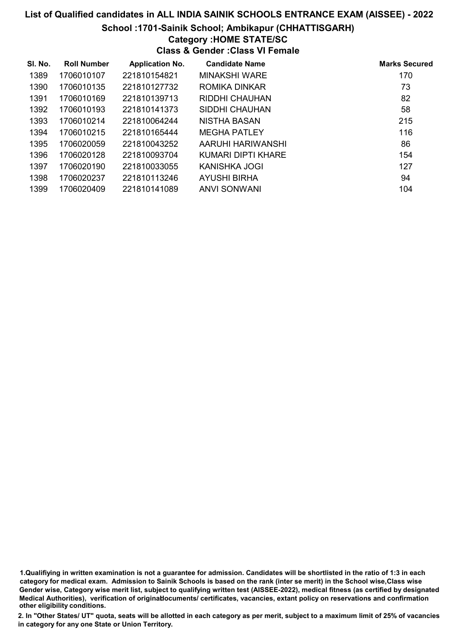#### School :1701-Sainik School; Ambikapur (CHHATTISGARH)

## Category :HOME STATE/SC

#### Class & Gender :Class VI Female

| SI. No. | <b>Roll Number</b> | <b>Application No.</b> | <b>Candidate Name</b> | <b>Marks Secured</b> |
|---------|--------------------|------------------------|-----------------------|----------------------|
| 1389    | 1706010107         | 221810154821           | MINAKSHI WARE         | 170                  |
| 1390    | 1706010135         | 221810127732           | <b>ROMIKA DINKAR</b>  | 73                   |
| 1391    | 1706010169         | 221810139713           | RIDDHI CHAUHAN        | 82                   |
| 1392    | 1706010193         | 221810141373           | SIDDHI CHAUHAN        | 58                   |
| 1393    | 1706010214         | 221810064244           | NISTHA BASAN          | 215                  |
| 1394    | 1706010215         | 221810165444           | <b>MEGHA PATLEY</b>   | 116                  |
| 1395    | 1706020059         | 221810043252           | AARUHI HARIWANSHI     | 86                   |
| 1396    | 1706020128         | 221810093704           | KUMARI DIPTI KHARE    | 154                  |
| 1397    | 1706020190         | 221810033055           | KANISHKA JOGI         | 127                  |
| 1398    | 1706020237         | 221810113246           | AYUSHI BIRHA          | 94                   |
| 1399    | 1706020409         | 221810141089           | ANVI SONWANI          | 104                  |

1.Qualifiying in written examination is not a guarantee for admission. Candidates will be shortlisted in the ratio of 1:3 in each category for medical exam. Admission to Sainik Schools is based on the rank (inter se merit) in the School wise,Class wise Gender wise, Category wise merit list, subject to qualifying written test (AISSEE-2022), medical fitness (as certified by designated Medical Authorities), verification of originablocuments/ certificates, vacancies, extant policy on reservations and confirmation other eligibility conditions.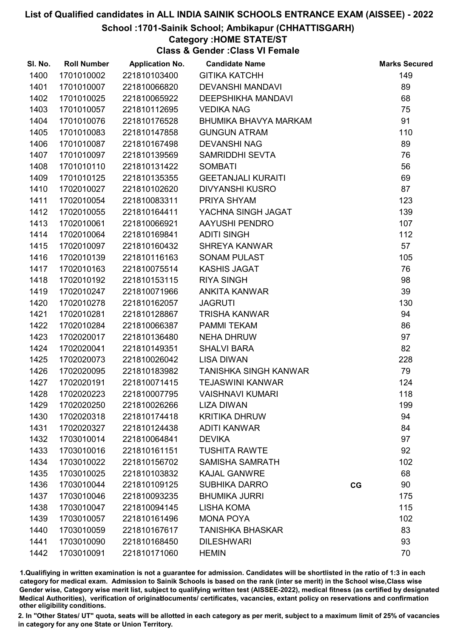#### School :1701-Sainik School; Ambikapur (CHHATTISGARH)

#### Category :HOME STATE/ST

Class & Gender :Class VI Female

| SI. No. | <b>Roll Number</b> | <b>Application No.</b> | <b>Candidate Name</b>        |    | <b>Marks Secured</b> |
|---------|--------------------|------------------------|------------------------------|----|----------------------|
| 1400    | 1701010002         | 221810103400           | <b>GITIKA KATCHH</b>         |    | 149                  |
| 1401    | 1701010007         | 221810066820           | <b>DEVANSHI MANDAVI</b>      |    | 89                   |
| 1402    | 1701010025         | 221810065922           | <b>DEEPSHIKHA MANDAVI</b>    |    | 68                   |
| 1403    | 1701010057         | 221810112695           | <b>VEDIKA NAG</b>            |    | 75                   |
| 1404    | 1701010076         | 221810176528           | BHUMIKA BHAVYA MARKAM        |    | 91                   |
| 1405    | 1701010083         | 221810147858           | <b>GUNGUN ATRAM</b>          |    | 110                  |
| 1406    | 1701010087         | 221810167498           | <b>DEVANSHI NAG</b>          |    | 89                   |
| 1407    | 1701010097         | 221810139569           | SAMRIDDHI SEVTA              |    | 76                   |
| 1408    | 1701010110         | 221810131422           | <b>SOMBATI</b>               |    | 56                   |
| 1409    | 1701010125         | 221810135355           | <b>GEETANJALI KURAITI</b>    |    | 69                   |
| 1410    | 1702010027         | 221810102620           | <b>DIVYANSHI KUSRO</b>       |    | 87                   |
| 1411    | 1702010054         | 221810083311           | PRIYA SHYAM                  |    | 123                  |
| 1412    | 1702010055         | 221810164411           | YACHNA SINGH JAGAT           |    | 139                  |
| 1413    | 1702010061         | 221810066921           | AAYUSHI PENDRO               |    | 107                  |
| 1414    | 1702010064         | 221810169841           | <b>ADITI SINGH</b>           |    | 112                  |
| 1415    | 1702010097         | 221810160432           | SHREYA KANWAR                |    | 57                   |
| 1416    | 1702010139         | 221810116163           | <b>SONAM PULAST</b>          |    | 105                  |
| 1417    | 1702010163         | 221810075514           | <b>KASHIS JAGAT</b>          |    | 76                   |
| 1418    | 1702010192         | 221810153115           | <b>RIYA SINGH</b>            |    | 98                   |
| 1419    | 1702010247         | 221810071966           | ANKITA KANWAR                |    | 39                   |
| 1420    | 1702010278         | 221810162057           | <b>JAGRUTI</b>               |    | 130                  |
| 1421    | 1702010281         | 221810128867           | <b>TRISHA KANWAR</b>         |    | 94                   |
| 1422    | 1702010284         | 221810066387           | <b>PAMMI TEKAM</b>           |    | 86                   |
| 1423    | 1702020017         | 221810136480           | <b>NEHA DHRUW</b>            |    | 97                   |
| 1424    | 1702020041         | 221810149351           | <b>SHALVI BARA</b>           |    | 82                   |
| 1425    | 1702020073         | 221810026042           | <b>LISA DIWAN</b>            |    | 228                  |
| 1426    | 1702020095         | 221810183982           | <b>TANISHKA SINGH KANWAR</b> |    | 79                   |
| 1427    | 1702020191         | 221810071415           | <b>TEJASWINI KANWAR</b>      |    | 124                  |
| 1428    | 1702020223         | 221810007795           | <b>VAISHNAVI KUMARI</b>      |    | 118                  |
| 1429    | 1702020250         | 221810026266           | <b>LIZA DIWAN</b>            |    | 199                  |
| 1430    | 1702020318         | 221810174418           | <b>KRITIKA DHRUW</b>         |    | 94                   |
| 1431    | 1702020327         | 221810124438           | <b>ADITI KANWAR</b>          |    | 84                   |
| 1432    | 1703010014         | 221810064841           | <b>DEVIKA</b>                |    | 97                   |
| 1433    | 1703010016         | 221810161151           | <b>TUSHITA RAWTE</b>         |    | 92                   |
| 1434    | 1703010022         | 221810156702           | <b>SAMISHA SAMRATH</b>       |    | 102                  |
| 1435    | 1703010025         | 221810103832           | <b>KAJAL GANWRE</b>          |    | 68                   |
| 1436    | 1703010044         | 221810109125           | <b>SUBHIKA DARRO</b>         | CG | 90                   |
| 1437    | 1703010046         | 221810093235           | <b>BHUMIKA JURRI</b>         |    | 175                  |
| 1438    | 1703010047         | 221810094145           | <b>LISHA KOMA</b>            |    | 115                  |
| 1439    | 1703010057         | 221810161496           | <b>MONA POYA</b>             |    | 102                  |
| 1440    | 1703010059         | 221810167617           | <b>TANISHKA BHASKAR</b>      |    | 83                   |
| 1441    | 1703010090         | 221810168450           | <b>DILESHWARI</b>            |    | 93                   |
| 1442    | 1703010091         | 221810171060           | <b>HEMIN</b>                 |    | 70                   |

1.Qualifiying in written examination is not a guarantee for admission. Candidates will be shortlisted in the ratio of 1:3 in each category for medical exam. Admission to Sainik Schools is based on the rank (inter se merit) in the School wise,Class wise Gender wise, Category wise merit list, subject to qualifying written test (AISSEE-2022), medical fitness (as certified by designated Medical Authorities), verification of originablocuments/ certificates, vacancies, extant policy on reservations and confirmation other eligibility conditions.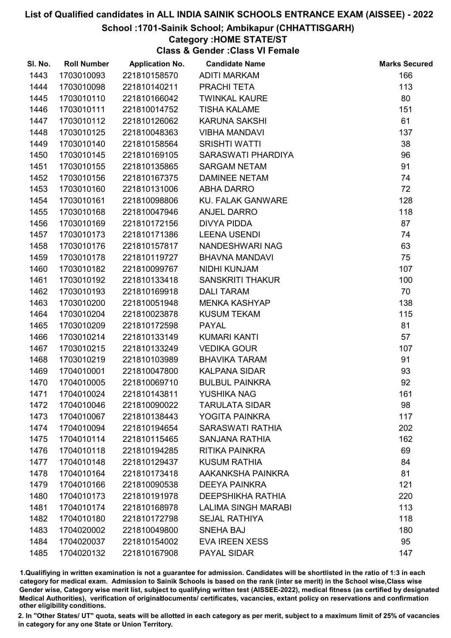#### School :1701-Sainik School; Ambikapur (CHHATTISGARH)

#### Category :HOME STATE/ST

Class & Gender :Class VI Female

| SI. No. | <b>Roll Number</b> | <b>Application No.</b> | <b>Candidate Name</b>      | <b>Marks Secured</b> |
|---------|--------------------|------------------------|----------------------------|----------------------|
| 1443    | 1703010093         | 221810158570           | <b>ADITI MARKAM</b>        | 166                  |
| 1444    | 1703010098         | 221810140211           | PRACHI TETA                | 113                  |
| 1445    | 1703010110         | 221810166042           | <b>TWINKAL KAURE</b>       | 80                   |
| 1446    | 1703010111         | 221810014752           | <b>TISHA KALAME</b>        | 151                  |
| 1447    | 1703010112         | 221810126062           | <b>KARUNA SAKSHI</b>       | 61                   |
| 1448    | 1703010125         | 221810048363           | <b>VIBHA MANDAVI</b>       | 137                  |
| 1449    | 1703010140         | 221810158564           | <b>SRISHTI WATTI</b>       | 38                   |
| 1450    | 1703010145         | 221810169105           | SARASWATI PHARDIYA         | 96                   |
| 1451    | 1703010155         | 221810135865           | <b>SARGAM NETAM</b>        | 91                   |
| 1452    | 1703010156         | 221810167375           | <b>DAMINEE NETAM</b>       | 74                   |
| 1453    | 1703010160         | 221810131006           | <b>ABHA DARRO</b>          | 72                   |
| 1454    | 1703010161         | 221810098806           | <b>KU. FALAK GANWARE</b>   | 128                  |
| 1455    | 1703010168         | 221810047946           | <b>ANJEL DARRO</b>         | 118                  |
| 1456    | 1703010169         | 221810172156           | <b>DIVYA PIDDA</b>         | 87                   |
| 1457    | 1703010173         | 221810171386           | <b>LEENA USENDI</b>        | 74                   |
| 1458    | 1703010176         | 221810157817           | NANDESHWARI NAG            | 63                   |
| 1459    | 1703010178         | 221810119727           | <b>BHAVNA MANDAVI</b>      | 75                   |
| 1460    | 1703010182         | 221810099767           | NIDHI KUNJAM               | 107                  |
| 1461    | 1703010192         | 221810133418           | <b>SANSKRITI THAKUR</b>    | 100                  |
| 1462    | 1703010193         | 221810169918           | <b>DALI TARAM</b>          | 70                   |
| 1463    | 1703010200         | 221810051948           | <b>MENKA KASHYAP</b>       | 138                  |
| 1464    | 1703010204         | 221810023878           | <b>KUSUM TEKAM</b>         | 115                  |
| 1465    | 1703010209         | 221810172598           | <b>PAYAL</b>               | 81                   |
| 1466    | 1703010214         | 221810133149           | <b>KUMARI KANTI</b>        | 57                   |
| 1467    | 1703010215         | 221810133249           | <b>VEDIKA GOUR</b>         | 107                  |
| 1468    | 1703010219         | 221810103989           | <b>BHAVIKA TARAM</b>       | 91                   |
| 1469    | 1704010001         | 221810047800           | <b>KALPANA SIDAR</b>       | 93                   |
| 1470    | 1704010005         | 221810069710           | <b>BULBUL PAINKRA</b>      | 92                   |
| 1471    | 1704010024         | 221810143811           | YUSHIKA NAG                | 161                  |
| 1472    | 1704010046         | 221810090022           | <b>TARULATA SIDAR</b>      | 98                   |
| 1473    | 1704010067         | 221810138443           | YOGITA PAINKRA             | 117                  |
| 1474    | 1704010094         | 221810194654           | <b>SARASWATI RATHIA</b>    | 202                  |
| 1475    | 1704010114         | 221810115465           | <b>SANJANA RATHIA</b>      | 162                  |
| 1476    | 1704010118         | 221810194285           | RITIKA PAINKRA             | 69                   |
| 1477    | 1704010148         | 221810129437           | <b>KUSUM RATHIA</b>        | 84                   |
| 1478    | 1704010164         | 221810173418           | AAKANKSHA PAINKRA          | 81                   |
| 1479    | 1704010166         | 221810090538           | <b>DEEYA PAINKRA</b>       | 121                  |
| 1480    | 1704010173         | 221810191978           | <b>DEEPSHIKHA RATHIA</b>   | 220                  |
| 1481    | 1704010174         | 221810168978           | <b>LALIMA SINGH MARABI</b> | 113                  |
| 1482    | 1704010180         | 221810172798           | <b>SEJAL RATHIYA</b>       | 118                  |
| 1483    | 1704020002         | 221810049800           | <b>SNEHA BAJ</b>           | 180                  |
| 1484    | 1704020037         | 221810154002           | <b>EVA IREEN XESS</b>      | 95                   |
| 1485    | 1704020132         | 221810167908           | PAYAL SIDAR                | 147                  |

1.Qualifiying in written examination is not a guarantee for admission. Candidates will be shortlisted in the ratio of 1:3 in each category for medical exam. Admission to Sainik Schools is based on the rank (inter se merit) in the School wise,Class wise Gender wise, Category wise merit list, subject to qualifying written test (AISSEE-2022), medical fitness (as certified by designated Medical Authorities), verification of originablocuments/ certificates, vacancies, extant policy on reservations and confirmation other eligibility conditions.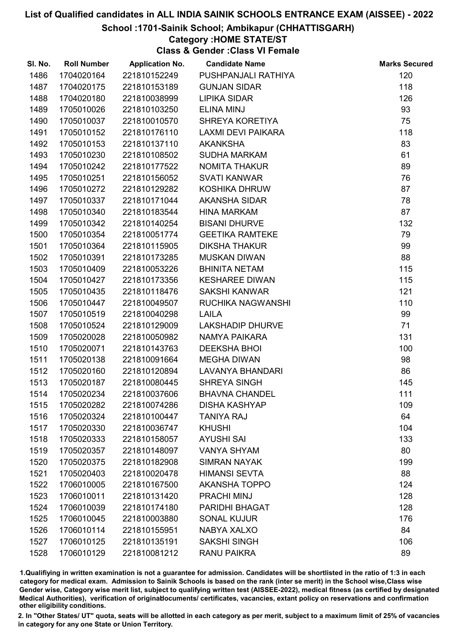#### School :1701-Sainik School; Ambikapur (CHHATTISGARH)

#### Category :HOME STATE/ST

Class & Gender :Class VI Female

| SI. No. | <b>Roll Number</b> | <b>Application No.</b> | <b>Candidate Name</b>   | <b>Marks Secured</b> |
|---------|--------------------|------------------------|-------------------------|----------------------|
| 1486    | 1704020164         | 221810152249           | PUSHPANJALI RATHIYA     | 120                  |
| 1487    | 1704020175         | 221810153189           | <b>GUNJAN SIDAR</b>     | 118                  |
| 1488    | 1704020180         | 221810038999           | <b>LIPIKA SIDAR</b>     | 126                  |
| 1489    | 1705010026         | 221810103250           | <b>ELINA MINJ</b>       | 93                   |
| 1490    | 1705010037         | 221810010570           | SHREYA KORETIYA         | 75                   |
| 1491    | 1705010152         | 221810176110           | LAXMI DEVI PAIKARA      | 118                  |
| 1492    | 1705010153         | 221810137110           | <b>AKANKSHA</b>         | 83                   |
| 1493    | 1705010230         | 221810108502           | <b>SUDHA MARKAM</b>     | 61                   |
| 1494    | 1705010242         | 221810177522           | <b>NOMITA THAKUR</b>    | 89                   |
| 1495    | 1705010251         | 221810156052           | <b>SVATI KANWAR</b>     | 76                   |
| 1496    | 1705010272         | 221810129282           | <b>KOSHIKA DHRUW</b>    | 87                   |
| 1497    | 1705010337         | 221810171044           | AKANSHA SIDAR           | 78                   |
| 1498    | 1705010340         | 221810183544           | <b>HINA MARKAM</b>      | 87                   |
| 1499    | 1705010342         | 221810140254           | <b>BISANI DHURVE</b>    | 132                  |
| 1500    | 1705010354         | 221810051774           | <b>GEETIKA RAMTEKE</b>  | 79                   |
| 1501    | 1705010364         | 221810115905           | <b>DIKSHA THAKUR</b>    | 99                   |
| 1502    | 1705010391         | 221810173285           | <b>MUSKAN DIWAN</b>     | 88                   |
| 1503    | 1705010409         | 221810053226           | <b>BHINITA NETAM</b>    | 115                  |
| 1504    | 1705010427         | 221810173356           | <b>KESHAREE DIWAN</b>   | 115                  |
| 1505    | 1705010435         | 221810118476           | <b>SAKSHI KANWAR</b>    | 121                  |
| 1506    | 1705010447         | 221810049507           | RUCHIKA NAGWANSHI       | 110                  |
| 1507    | 1705010519         | 221810040298           | <b>LAILA</b>            | 99                   |
| 1508    | 1705010524         | 221810129009           | <b>LAKSHADIP DHURVE</b> | 71                   |
| 1509    | 1705020028         | 221810050982           | NAMYA PAIKARA           | 131                  |
| 1510    | 1705020071         | 221810143763           | <b>DEEKSHA BHOI</b>     | 100                  |
| 1511    | 1705020138         | 221810091664           | <b>MEGHA DIWAN</b>      | 98                   |
| 1512    | 1705020160         | 221810120894           | <b>LAVANYA BHANDARI</b> | 86                   |
| 1513    | 1705020187         | 221810080445           | <b>SHREYA SINGH</b>     | 145                  |
| 1514    | 1705020234         | 221810037606           | <b>BHAVNA CHANDEL</b>   | 111                  |
| 1515    | 1705020282         | 221810074286           | <b>DISHA KASHYAP</b>    | 109                  |
| 1516    | 1705020324         | 221810100447           | <b>TANIYA RAJ</b>       | 64                   |
| 1517    | 1705020330         | 221810036747           | <b>KHUSHI</b>           | 104                  |
| 1518    | 1705020333         | 221810158057           | <b>AYUSHI SAI</b>       | 133                  |
| 1519    | 1705020357         | 221810148097           | <b>VANYA SHYAM</b>      | 80                   |
| 1520    | 1705020375         | 221810182908           | <b>SIMRAN NAYAK</b>     | 199                  |
| 1521    | 1705020403         | 221810020478           | <b>HIMANSI SEVTA</b>    | 88                   |
| 1522    | 1706010005         | 221810167500           | <b>AKANSHA TOPPO</b>    | 124                  |
| 1523    | 1706010011         | 221810131420           | <b>PRACHI MINJ</b>      | 128                  |
| 1524    | 1706010039         | 221810174180           | <b>PARIDHI BHAGAT</b>   | 128                  |
| 1525    | 1706010045         | 221810003880           | <b>SONAL KUJUR</b>      | 176                  |
| 1526    | 1706010114         | 221810155951           | <b>NABYA XALXO</b>      | 84                   |
| 1527    | 1706010125         | 221810135191           | <b>SAKSHI SINGH</b>     | 106                  |
| 1528    | 1706010129         | 221810081212           | <b>RANU PAIKRA</b>      | 89                   |

1.Qualifiying in written examination is not a guarantee for admission. Candidates will be shortlisted in the ratio of 1:3 in each category for medical exam. Admission to Sainik Schools is based on the rank (inter se merit) in the School wise,Class wise Gender wise, Category wise merit list, subject to qualifying written test (AISSEE-2022), medical fitness (as certified by designated Medical Authorities), verification of originablocuments/ certificates, vacancies, extant policy on reservations and confirmation other eligibility conditions.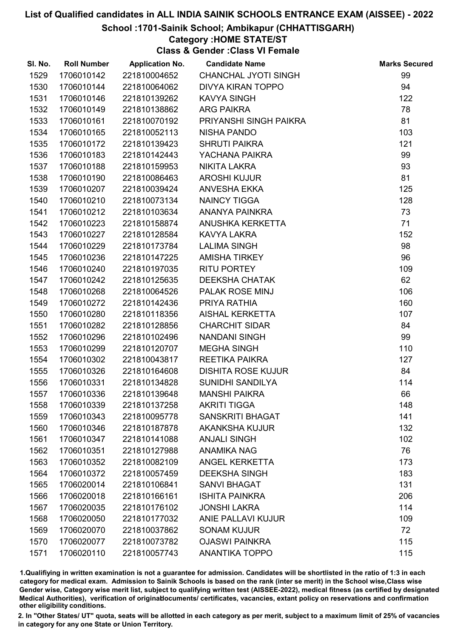#### School :1701-Sainik School; Ambikapur (CHHATTISGARH)

#### Category :HOME STATE/ST

Class & Gender :Class VI Female

| SI. No. | <b>Roll Number</b> | <b>Application No.</b> | <b>Candidate Name</b>       | <b>Marks Secured</b> |
|---------|--------------------|------------------------|-----------------------------|----------------------|
| 1529    | 1706010142         | 221810004652           | <b>CHANCHAL JYOTI SINGH</b> | 99                   |
| 1530    | 1706010144         | 221810064062           | <b>DIVYA KIRAN TOPPO</b>    | 94                   |
| 1531    | 1706010146         | 221810139262           | <b>KAVYA SINGH</b>          | 122                  |
| 1532    | 1706010149         | 221810138862           | <b>ARG PAIKRA</b>           | 78                   |
| 1533    | 1706010161         | 221810070192           | PRIYANSHI SINGH PAIKRA      | 81                   |
| 1534    | 1706010165         | 221810052113           | <b>NISHA PANDO</b>          | 103                  |
| 1535    | 1706010172         | 221810139423           | <b>SHRUTI PAIKRA</b>        | 121                  |
| 1536    | 1706010183         | 221810142443           | YACHANA PAIKRA              | 99                   |
| 1537    | 1706010188         | 221810159953           | <b>NIKITA LAKRA</b>         | 93                   |
| 1538    | 1706010190         | 221810086463           | <b>AROSHI KUJUR</b>         | 81                   |
| 1539    | 1706010207         | 221810039424           | <b>ANVESHA EKKA</b>         | 125                  |
| 1540    | 1706010210         | 221810073134           | <b>NAINCY TIGGA</b>         | 128                  |
| 1541    | 1706010212         | 221810103634           | ANANYA PAINKRA              | 73                   |
| 1542    | 1706010223         | 221810158874           | ANUSHKA KERKETTA            | 71                   |
| 1543    | 1706010227         | 221810128584           | <b>KAVYA LAKRA</b>          | 152                  |
| 1544    | 1706010229         | 221810173784           | <b>LALIMA SINGH</b>         | 98                   |
| 1545    | 1706010236         | 221810147225           | <b>AMISHA TIRKEY</b>        | 96                   |
| 1546    | 1706010240         | 221810197035           | <b>RITU PORTEY</b>          | 109                  |
| 1547    | 1706010242         | 221810125635           | <b>DEEKSHA CHATAK</b>       | 62                   |
| 1548    | 1706010268         | 221810064526           | PALAK ROSE MINJ             | 106                  |
| 1549    | 1706010272         | 221810142436           | PRIYA RATHIA                | 160                  |
| 1550    | 1706010280         | 221810118356           | AISHAL KERKETTA             | 107                  |
| 1551    | 1706010282         | 221810128856           | <b>CHARCHIT SIDAR</b>       | 84                   |
| 1552    | 1706010296         | 221810102496           | <b>NANDANI SINGH</b>        | 99                   |
| 1553    | 1706010299         | 221810120707           | <b>MEGHA SINGH</b>          | 110                  |
| 1554    | 1706010302         | 221810043817           | <b>REETIKA PAIKRA</b>       | 127                  |
| 1555    | 1706010326         | 221810164608           | <b>DISHITA ROSE KUJUR</b>   | 84                   |
| 1556    | 1706010331         | 221810134828           | <b>SUNIDHI SANDILYA</b>     | 114                  |
| 1557    | 1706010336         | 221810139648           | <b>MANSHI PAIKRA</b>        | 66                   |
| 1558    | 1706010339         | 221810137258           | <b>AKRITI TIGGA</b>         | 148                  |
| 1559    | 1706010343         | 221810095778           | <b>SANSKRITI BHAGAT</b>     | 141                  |
| 1560    | 1706010346         | 221810187878           | <b>AKANKSHA KUJUR</b>       | 132                  |
| 1561    | 1706010347         | 221810141088           | <b>ANJALI SINGH</b>         | 102                  |
| 1562    | 1706010351         | 221810127988           | <b>ANAMIKA NAG</b>          | 76                   |
| 1563    | 1706010352         | 221810082109           | <b>ANGEL KERKETTA</b>       | 173                  |
| 1564    | 1706010372         | 221810057459           | <b>DEEKSHA SINGH</b>        | 183                  |
| 1565    | 1706020014         | 221810106841           | <b>SANVI BHAGAT</b>         | 131                  |
| 1566    | 1706020018         | 221810166161           | <b>ISHITA PAINKRA</b>       | 206                  |
| 1567    | 1706020035         | 221810176102           | <b>JONSHI LAKRA</b>         | 114                  |
| 1568    | 1706020050         | 221810177032           | <b>ANIE PALLAVI KUJUR</b>   | 109                  |
| 1569    | 1706020070         | 221810037862           | <b>SONAM KUJUR</b>          | 72                   |
| 1570    | 1706020077         | 221810073782           | <b>OJASWI PAINKRA</b>       | 115                  |
| 1571    | 1706020110         | 221810057743           | <b>ANANTIKA TOPPO</b>       | 115                  |

1.Qualifiying in written examination is not a guarantee for admission. Candidates will be shortlisted in the ratio of 1:3 in each category for medical exam. Admission to Sainik Schools is based on the rank (inter se merit) in the School wise,Class wise Gender wise, Category wise merit list, subject to qualifying written test (AISSEE-2022), medical fitness (as certified by designated Medical Authorities), verification of originablocuments/ certificates, vacancies, extant policy on reservations and confirmation other eligibility conditions.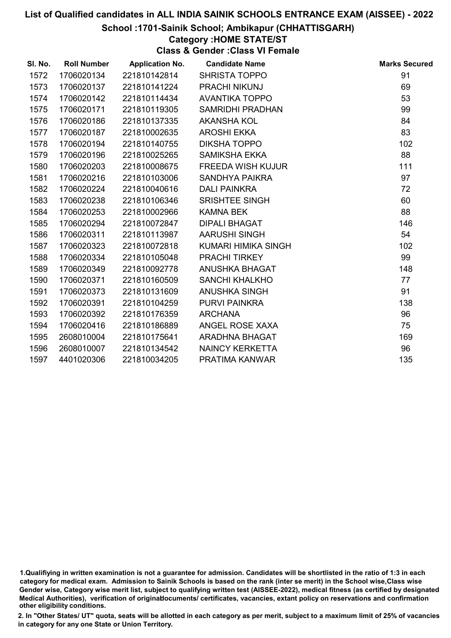#### School :1701-Sainik School; Ambikapur (CHHATTISGARH)

#### Category :HOME STATE/ST

Class & Gender :Class VI Female

| SI. No. | <b>Roll Number</b> | <b>Application No.</b> | <b>Candidate Name</b>    | <b>Marks Secured</b> |
|---------|--------------------|------------------------|--------------------------|----------------------|
| 1572    | 1706020134         | 221810142814           | <b>SHRISTA TOPPO</b>     | 91                   |
| 1573    | 1706020137         | 221810141224           | PRACHI NIKUNJ            | 69                   |
| 1574    | 1706020142         | 221810114434           | <b>AVANTIKA TOPPO</b>    | 53                   |
| 1575    | 1706020171         | 221810119305           | <b>SAMRIDHI PRADHAN</b>  | 99                   |
| 1576    | 1706020186         | 221810137335           | <b>AKANSHA KOL</b>       | 84                   |
| 1577    | 1706020187         | 221810002635           | <b>AROSHI EKKA</b>       | 83                   |
| 1578    | 1706020194         | 221810140755           | <b>DIKSHA TOPPO</b>      | 102                  |
| 1579    | 1706020196         | 221810025265           | SAMIKSHA EKKA            | 88                   |
| 1580    | 1706020203         | 221810008675           | <b>FREEDA WISH KUJUR</b> | 111                  |
| 1581    | 1706020216         | 221810103006           | <b>SANDHYA PAIKRA</b>    | 97                   |
| 1582    | 1706020224         | 221810040616           | <b>DALI PAINKRA</b>      | 72                   |
| 1583    | 1706020238         | 221810106346           | SRISHTEE SINGH           | 60                   |
| 1584    | 1706020253         | 221810002966           | <b>KAMNA BEK</b>         | 88                   |
| 1585    | 1706020294         | 221810072847           | <b>DIPALI BHAGAT</b>     | 146                  |
| 1586    | 1706020311         | 221810113987           | AARUSHI SINGH            | 54                   |
| 1587    | 1706020323         | 221810072818           | KUMARI HIMIKA SINGH      | 102                  |
| 1588    | 1706020334         | 221810105048           | <b>PRACHI TIRKEY</b>     | 99                   |
| 1589    | 1706020349         | 221810092778           | ANUSHKA BHAGAT           | 148                  |
| 1590    | 1706020371         | 221810160509           | <b>SANCHI KHALKHO</b>    | 77                   |
| 1591    | 1706020373         | 221810131609           | ANUSHKA SINGH            | 91                   |
| 1592    | 1706020391         | 221810104259           | <b>PURVI PAINKRA</b>     | 138                  |
| 1593    | 1706020392         | 221810176359           | <b>ARCHANA</b>           | 96                   |
| 1594    | 1706020416         | 221810186889           | ANGEL ROSE XAXA          | 75                   |
| 1595    | 2608010004         | 221810175641           | ARADHNA BHAGAT           | 169                  |
| 1596    | 2608010007         | 221810134542           | <b>NAINCY KERKETTA</b>   | 96                   |
| 1597    | 4401020306         | 221810034205           | PRATIMA KANWAR           | 135                  |

<sup>1.</sup>Qualifiying in written examination is not a guarantee for admission. Candidates will be shortlisted in the ratio of 1:3 in each category for medical exam. Admission to Sainik Schools is based on the rank (inter se merit) in the School wise,Class wise Gender wise, Category wise merit list, subject to qualifying written test (AISSEE-2022), medical fitness (as certified by designated Medical Authorities), verification of originablocuments/ certificates, vacancies, extant policy on reservations and confirmation other eligibility conditions.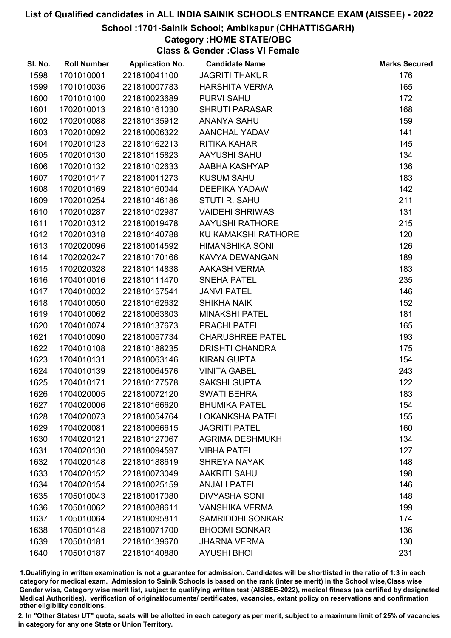#### School :1701-Sainik School; Ambikapur (CHHATTISGARH)

# Category :HOME STATE/OBC

Class & Gender :Class VI Female

| SI. No. | <b>Roll Number</b> | <b>Application No.</b> | <b>Candidate Name</b>   | <b>Marks Secured</b> |
|---------|--------------------|------------------------|-------------------------|----------------------|
| 1598    | 1701010001         | 221810041100           | <b>JAGRITI THAKUR</b>   | 176                  |
| 1599    | 1701010036         | 221810007783           | <b>HARSHITA VERMA</b>   | 165                  |
| 1600    | 1701010100         | 221810023689           | <b>PURVI SAHU</b>       | 172                  |
| 1601    | 1702010013         | 221810161030           | <b>SHRUTI PARASAR</b>   | 168                  |
| 1602    | 1702010088         | 221810135912           | <b>ANANYA SAHU</b>      | 159                  |
| 1603    | 1702010092         | 221810006322           | AANCHAL YADAV           | 141                  |
| 1604    | 1702010123         | 221810162213           | RITIKA KAHAR            | 145                  |
| 1605    | 1702010130         | 221810115823           | AAYUSHI SAHU            | 134                  |
| 1606    | 1702010132         | 221810102633           | AABHA KASHYAP           | 136                  |
| 1607    | 1702010147         | 221810011273           | <b>KUSUM SAHU</b>       | 183                  |
| 1608    | 1702010169         | 221810160044           | <b>DEEPIKA YADAW</b>    | 142                  |
| 1609    | 1702010254         | 221810146186           | <b>STUTI R. SAHU</b>    | 211                  |
| 1610    | 1702010287         | 221810102987           | <b>VAIDEHI SHRIWAS</b>  | 131                  |
| 1611    | 1702010312         | 221810019478           | <b>AAYUSHI RATHORE</b>  | 215                  |
| 1612    | 1702010318         | 221810140788           | KU KAMAKSHI RATHORE     | 120                  |
| 1613    | 1702020096         | 221810014592           | <b>HIMANSHIKA SONI</b>  | 126                  |
| 1614    | 1702020247         | 221810170166           | KAVYA DEWANGAN          | 189                  |
| 1615    | 1702020328         | 221810114838           | <b>AAKASH VERMA</b>     | 183                  |
| 1616    | 1704010016         | 221810111470           | <b>SNEHA PATEL</b>      | 235                  |
| 1617    | 1704010032         | 221810157541           | <b>JANVI PATEL</b>      | 146                  |
| 1618    | 1704010050         | 221810162632           | <b>SHIKHA NAIK</b>      | 152                  |
| 1619    | 1704010062         | 221810063803           | <b>MINAKSHI PATEL</b>   | 181                  |
| 1620    | 1704010074         | 221810137673           | <b>PRACHI PATEL</b>     | 165                  |
| 1621    | 1704010090         | 221810057734           | <b>CHARUSHREE PATEL</b> | 193                  |
| 1622    | 1704010108         | 221810188235           | <b>DRISHTI CHANDRA</b>  | 175                  |
| 1623    | 1704010131         | 221810063146           | <b>KIRAN GUPTA</b>      | 154                  |
| 1624    | 1704010139         | 221810064576           | <b>VINITA GABEL</b>     | 243                  |
| 1625    | 1704010171         | 221810177578           | <b>SAKSHI GUPTA</b>     | 122                  |
| 1626    | 1704020005         | 221810072120           | <b>SWATI BEHRA</b>      | 183                  |
| 1627    | 1704020006         | 221810166620           | <b>BHUMIKA PATEL</b>    | 154                  |
| 1628    | 1704020073         | 221810054764           | <b>LOKANKSHA PATEL</b>  | 155                  |
| 1629    | 1704020081         | 221810066615           | <b>JAGRITI PATEL</b>    | 160                  |
| 1630    | 1704020121         | 221810127067           | <b>AGRIMA DESHMUKH</b>  | 134                  |
| 1631    | 1704020130         | 221810094597           | <b>VIBHA PATEL</b>      | 127                  |
| 1632    | 1704020148         | 221810188619           | <b>SHREYA NAYAK</b>     | 148                  |
| 1633    | 1704020152         | 221810073049           | <b>AAKRITI SAHU</b>     | 198                  |
| 1634    | 1704020154         | 221810025159           | <b>ANJALI PATEL</b>     | 146                  |
| 1635    | 1705010043         | 221810017080           | <b>DIVYASHA SONI</b>    | 148                  |
| 1636    | 1705010062         | 221810088611           | <b>VANSHIKA VERMA</b>   | 199                  |
| 1637    | 1705010064         | 221810095811           | <b>SAMRIDDHI SONKAR</b> | 174                  |
| 1638    | 1705010148         | 221810071700           | <b>BHOOMI SONKAR</b>    | 136                  |
| 1639    | 1705010181         | 221810139670           | <b>JHARNA VERMA</b>     | 130                  |
| 1640    | 1705010187         | 221810140880           | <b>AYUSHI BHOI</b>      | 231                  |

1.Qualifiying in written examination is not a guarantee for admission. Candidates will be shortlisted in the ratio of 1:3 in each category for medical exam. Admission to Sainik Schools is based on the rank (inter se merit) in the School wise,Class wise Gender wise, Category wise merit list, subject to qualifying written test (AISSEE-2022), medical fitness (as certified by designated Medical Authorities), verification of originablocuments/ certificates, vacancies, extant policy on reservations and confirmation other eligibility conditions.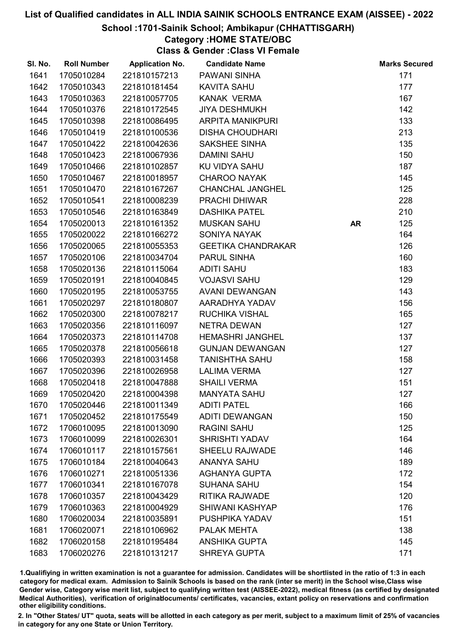#### School :1701-Sainik School; Ambikapur (CHHATTISGARH)

# Category :HOME STATE/OBC

Class & Gender :Class VI Female

| SI. No. | <b>Roll Number</b> | <b>Application No.</b> | <b>Candidate Name</b>     |           | <b>Marks Secured</b> |
|---------|--------------------|------------------------|---------------------------|-----------|----------------------|
| 1641    | 1705010284         | 221810157213           | <b>PAWANI SINHA</b>       |           | 171                  |
| 1642    | 1705010343         | 221810181454           | <b>KAVITA SAHU</b>        |           | 177                  |
| 1643    | 1705010363         | 221810057705           | KANAK VERMA               |           | 167                  |
| 1644    | 1705010376         | 221810172545           | <b>JIYA DESHMUKH</b>      |           | 142                  |
| 1645    | 1705010398         | 221810086495           | <b>ARPITA MANIKPURI</b>   |           | 133                  |
| 1646    | 1705010419         | 221810100536           | <b>DISHA CHOUDHARI</b>    |           | 213                  |
| 1647    | 1705010422         | 221810042636           | <b>SAKSHEE SINHA</b>      |           | 135                  |
| 1648    | 1705010423         | 221810067936           | <b>DAMINI SAHU</b>        |           | 150                  |
| 1649    | 1705010466         | 221810102857           | KU VIDYA SAHU             |           | 187                  |
| 1650    | 1705010467         | 221810018957           | <b>CHAROO NAYAK</b>       |           | 145                  |
| 1651    | 1705010470         | 221810167267           | <b>CHANCHAL JANGHEL</b>   |           | 125                  |
| 1652    | 1705010541         | 221810008239           | <b>PRACHI DHIWAR</b>      |           | 228                  |
| 1653    | 1705010546         | 221810163849           | <b>DASHIKA PATEL</b>      |           | 210                  |
| 1654    | 1705020013         | 221810161352           | <b>MUSKAN SAHU</b>        | <b>AR</b> | 125                  |
| 1655    | 1705020022         | 221810166272           | <b>SONIYA NAYAK</b>       |           | 164                  |
| 1656    | 1705020065         | 221810055353           | <b>GEETIKA CHANDRAKAR</b> |           | 126                  |
| 1657    | 1705020106         | 221810034704           | PARUL SINHA               |           | 160                  |
| 1658    | 1705020136         | 221810115064           | <b>ADITI SAHU</b>         |           | 183                  |
| 1659    | 1705020191         | 221810040845           | <b>VOJASVI SAHU</b>       |           | 129                  |
| 1660    | 1705020195         | 221810053755           | AVANI DEWANGAN            |           | 143                  |
| 1661    | 1705020297         | 221810180807           | AARADHYA YADAV            |           | 156                  |
| 1662    | 1705020300         | 221810078217           | RUCHIKA VISHAL            |           | 165                  |
| 1663    | 1705020356         | 221810116097           | <b>NETRA DEWAN</b>        |           | 127                  |
| 1664    | 1705020373         | 221810114708           | <b>HEMASHRI JANGHEL</b>   |           | 137                  |
| 1665    | 1705020378         | 221810056618           | <b>GUNJAN DEWANGAN</b>    |           | 127                  |
| 1666    | 1705020393         | 221810031458           | <b>TANISHTHA SAHU</b>     |           | 158                  |
| 1667    | 1705020396         | 221810026958           | <b>LALIMA VERMA</b>       |           | 127                  |
| 1668    | 1705020418         | 221810047888           | <b>SHAILI VERMA</b>       |           | 151                  |
| 1669    | 1705020420         | 221810004398           | <b>MANYATA SAHU</b>       |           | 127                  |
| 1670    | 1705020446         | 221810011349           | <b>ADITI PATEL</b>        |           | 166                  |
| 1671    | 1705020452         | 221810175549           | <b>ADITI DEWANGAN</b>     |           | 150                  |
| 1672    | 1706010095         | 221810013090           | <b>RAGINI SAHU</b>        |           | 125                  |
| 1673    | 1706010099         | 221810026301           | <b>SHRISHTI YADAV</b>     |           | 164                  |
| 1674    | 1706010117         | 221810157561           | <b>SHEELU RAJWADE</b>     |           | 146                  |
| 1675    | 1706010184         | 221810040643           | <b>ANANYA SAHU</b>        |           | 189                  |
| 1676    | 1706010271         | 221810051336           | <b>AGHANYA GUPTA</b>      |           | 172                  |
| 1677    | 1706010341         | 221810167078           | <b>SUHANA SAHU</b>        |           | 154                  |
| 1678    | 1706010357         | 221810043429           | <b>RITIKA RAJWADE</b>     |           | 120                  |
| 1679    | 1706010363         | 221810004929           | SHIWANI KASHYAP           |           | 176                  |
| 1680    | 1706020034         | 221810035891           | PUSHPIKA YADAV            |           | 151                  |
| 1681    | 1706020071         | 221810106962           | PALAK MEHTA               |           | 138                  |
| 1682    | 1706020158         | 221810195484           | <b>ANSHIKA GUPTA</b>      |           | 145                  |
| 1683    | 1706020276         | 221810131217           | <b>SHREYA GUPTA</b>       |           | 171                  |

1.Qualifiying in written examination is not a guarantee for admission. Candidates will be shortlisted in the ratio of 1:3 in each category for medical exam. Admission to Sainik Schools is based on the rank (inter se merit) in the School wise,Class wise Gender wise, Category wise merit list, subject to qualifying written test (AISSEE-2022), medical fitness (as certified by designated Medical Authorities), verification of originablocuments/ certificates, vacancies, extant policy on reservations and confirmation other eligibility conditions.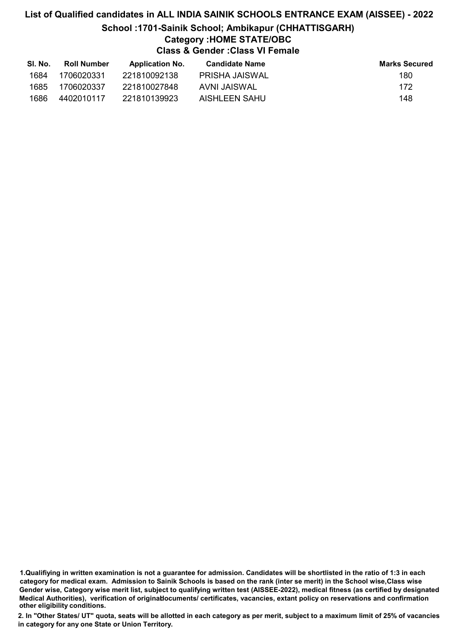# List of Qualified candidates in ALL INDIA SAINIK SCHOOLS ENTRANCE EXAM (AISSEE) - 2022 School :1701-Sainik School; Ambikapur (CHHATTISGARH) Category :HOME STATE/OBC Class & Gender :Class VI Female

| SI. No. | <b>Roll Number</b> | <b>Application No.</b> | <b>Candidate Name</b> | <b>Marks Secured</b> |
|---------|--------------------|------------------------|-----------------------|----------------------|
| 1684    | 1706020331         | 221810092138           | PRISHA JAISWAL        | 180                  |
| 1685    | 1706020337         | 221810027848           | AVNI JAISWAL          | 172                  |
| 1686    | 4402010117         | 221810139923           | AISHLEEN SAHU         | 148                  |

1.Qualifiying in written examination is not a guarantee for admission. Candidates will be shortlisted in the ratio of 1:3 in each category for medical exam. Admission to Sainik Schools is based on the rank (inter se merit) in the School wise,Class wise Gender wise, Category wise merit list, subject to qualifying written test (AISSEE-2022), medical fitness (as certified by designated Medical Authorities), verification of originablocuments/ certificates, vacancies, extant policy on reservations and confirmation other eligibility conditions.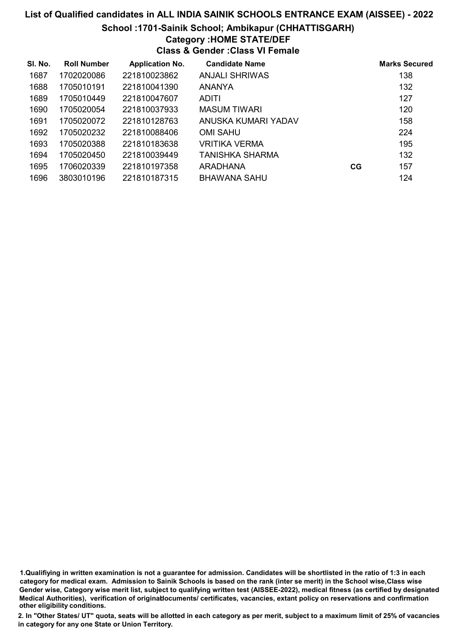#### School :1701-Sainik School; Ambikapur (CHHATTISGARH)

# Category :HOME STATE/DEF

Class & Gender :Class VI Female

| SI. No. | <b>Roll Number</b> | <b>Application No.</b> | <b>Candidate Name</b> |    | <b>Marks Secured</b> |
|---------|--------------------|------------------------|-----------------------|----|----------------------|
| 1687    | 1702020086         | 221810023862           | <b>ANJALI SHRIWAS</b> |    | 138                  |
| 1688    | 1705010191         | 221810041390           | <b>ANANYA</b>         |    | 132                  |
| 1689    | 1705010449         | 221810047607           | ADITI                 |    | 127                  |
| 1690    | 1705020054         | 221810037933           | <b>MASUM TIWARI</b>   |    | 120                  |
| 1691    | 1705020072         | 221810128763           | ANUSKA KUMARI YADAV   |    | 158                  |
| 1692    | 1705020232         | 221810088406           | OMI SAHU              |    | 224                  |
| 1693    | 1705020388         | 221810183638           | VRITIKA VERMA         |    | 195                  |
| 1694    | 1705020450         | 221810039449           | TANISHKA SHARMA       |    | 132                  |
| 1695    | 1706020339         | 221810197358           | <b>ARADHANA</b>       | CG | 157                  |
| 1696    | 3803010196         | 221810187315           | BHAWANA SAHU          |    | 124                  |

1.Qualifiying in written examination is not a guarantee for admission. Candidates will be shortlisted in the ratio of 1:3 in each category for medical exam. Admission to Sainik Schools is based on the rank (inter se merit) in the School wise,Class wise Gender wise, Category wise merit list, subject to qualifying written test (AISSEE-2022), medical fitness (as certified by designated Medical Authorities), verification of originablocuments/ certificates, vacancies, extant policy on reservations and confirmation other eligibility conditions.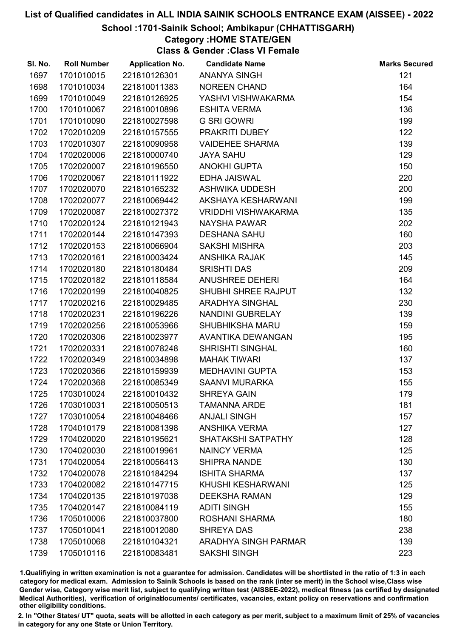#### School :1701-Sainik School; Ambikapur (CHHATTISGARH)

# Category :HOME STATE/GEN

Class & Gender :Class VI Female

| SI. No. | <b>Roll Number</b> | <b>Application No.</b> | <b>Candidate Name</b>       | <b>Marks Secured</b> |
|---------|--------------------|------------------------|-----------------------------|----------------------|
| 1697    | 1701010015         | 221810126301           | <b>ANANYA SINGH</b>         | 121                  |
| 1698    | 1701010034         | 221810011383           | <b>NOREEN CHAND</b>         | 164                  |
| 1699    | 1701010049         | 221810126925           | YASHVI VISHWAKARMA          | 154                  |
| 1700    | 1701010067         | 221810010896           | <b>ESHITA VERMA</b>         | 136                  |
| 1701    | 1701010090         | 221810027598           | <b>G SRI GOWRI</b>          | 199                  |
| 1702    | 1702010209         | 221810157555           | PRAKRITI DUBEY              | 122                  |
| 1703    | 1702010307         | 221810090958           | <b>VAIDEHEE SHARMA</b>      | 139                  |
| 1704    | 1702020006         | 221810000740           | <b>JAYA SAHU</b>            | 129                  |
| 1705    | 1702020007         | 221810196550           | <b>ANOKHI GUPTA</b>         | 150                  |
| 1706    | 1702020067         | 221810111922           | <b>EDHA JAISWAL</b>         | 220                  |
| 1707    | 1702020070         | 221810165232           | ASHWIKA UDDESH              | 200                  |
| 1708    | 1702020077         | 221810069442           | AKSHAYA KESHARWANI          | 199                  |
| 1709    | 1702020087         | 221810027372           | <b>VRIDDHI VISHWAKARMA</b>  | 135                  |
| 1710    | 1702020124         | 221810121943           | <b>NAYSHA PAWAR</b>         | 202                  |
| 1711    | 1702020144         | 221810147393           | <b>DESHANA SAHU</b>         | 160                  |
| 1712    | 1702020153         | 221810066904           | <b>SAKSHI MISHRA</b>        | 203                  |
| 1713    | 1702020161         | 221810003424           | <b>ANSHIKA RAJAK</b>        | 145                  |
| 1714    | 1702020180         | 221810180484           | <b>SRISHTI DAS</b>          | 209                  |
| 1715    | 1702020182         | 221810118584           | <b>ANUSHREE DEHERI</b>      | 164                  |
| 1716    | 1702020199         | 221810040825           | SHUBHI SHREE RAJPUT         | 132                  |
| 1717    | 1702020216         | 221810029485           | ARADHYA SINGHAL             | 230                  |
| 1718    | 1702020231         | 221810196226           | NANDINI GUBRELAY            | 139                  |
| 1719    | 1702020256         | 221810053966           | <b>SHUBHIKSHA MARU</b>      | 159                  |
| 1720    | 1702020306         | 221810023977           | AVANTIKA DEWANGAN           | 195                  |
| 1721    | 1702020331         | 221810078248           | <b>SHRISHTI SINGHAL</b>     | 160                  |
| 1722    | 1702020349         | 221810034898           | <b>MAHAK TIWARI</b>         | 137                  |
| 1723    | 1702020366         | 221810159939           | <b>MEDHAVINI GUPTA</b>      | 153                  |
| 1724    | 1702020368         | 221810085349           | SAANVI MURARKA              | 155                  |
| 1725    | 1703010024         | 221810010432           | <b>SHREYA GAIN</b>          | 179                  |
| 1726    | 1703010031         | 221810050513           | <b>TAMANNA ARDE</b>         | 181                  |
| 1727    | 1703010054         | 221810048466           | <b>ANJALI SINGH</b>         | 157                  |
| 1728    | 1704010179         | 221810081398           | <b>ANSHIKA VERMA</b>        | 127                  |
| 1729    | 1704020020         | 221810195621           | SHATAKSHI SATPATHY          | 128                  |
| 1730    | 1704020030         | 221810019961           | <b>NAINCY VERMA</b>         | 125                  |
| 1731    | 1704020054         | 221810056413           | <b>SHIPRA NANDE</b>         | 130                  |
| 1732    | 1704020078         | 221810184294           | <b>ISHITA SHARMA</b>        | 137                  |
| 1733    | 1704020082         | 221810147715           | KHUSHI KESHARWANI           | 125                  |
| 1734    | 1704020135         | 221810197038           | <b>DEEKSHA RAMAN</b>        | 129                  |
| 1735    | 1704020147         | 221810084119           | <b>ADITI SINGH</b>          | 155                  |
| 1736    | 1705010006         | 221810037800           | <b>ROSHANI SHARMA</b>       | 180                  |
| 1737    | 1705010041         | 221810012080           | <b>SHREYA DAS</b>           | 238                  |
| 1738    | 1705010068         | 221810104321           | <b>ARADHYA SINGH PARMAR</b> | 139                  |
| 1739    | 1705010116         | 221810083481           | <b>SAKSHI SINGH</b>         | 223                  |

1.Qualifiying in written examination is not a guarantee for admission. Candidates will be shortlisted in the ratio of 1:3 in each category for medical exam. Admission to Sainik Schools is based on the rank (inter se merit) in the School wise,Class wise Gender wise, Category wise merit list, subject to qualifying written test (AISSEE-2022), medical fitness (as certified by designated Medical Authorities), verification of originablocuments/ certificates, vacancies, extant policy on reservations and confirmation other eligibility conditions.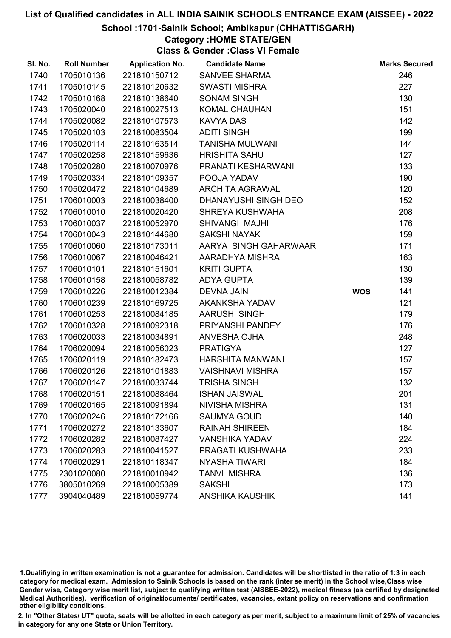#### School :1701-Sainik School; Ambikapur (CHHATTISGARH)

# Category :HOME STATE/GEN

Class & Gender :Class VI Female

| SI. No. | <b>Roll Number</b> | <b>Application No.</b> | <b>Candidate Name</b>   |            | <b>Marks Secured</b> |
|---------|--------------------|------------------------|-------------------------|------------|----------------------|
| 1740    | 1705010136         | 221810150712           | <b>SANVEE SHARMA</b>    |            | 246                  |
| 1741    | 1705010145         | 221810120632           | <b>SWASTI MISHRA</b>    |            | 227                  |
| 1742    | 1705010168         | 221810138640           | <b>SONAM SINGH</b>      |            | 130                  |
| 1743    | 1705020040         | 221810027513           | <b>KOMAL CHAUHAN</b>    |            | 151                  |
| 1744    | 1705020082         | 221810107573           | <b>KAVYA DAS</b>        |            | 142                  |
| 1745    | 1705020103         | 221810083504           | <b>ADITI SINGH</b>      |            | 199                  |
| 1746    | 1705020114         | 221810163514           | <b>TANISHA MULWANI</b>  |            | 144                  |
| 1747    | 1705020258         | 221810159636           | <b>HRISHITA SAHU</b>    |            | 127                  |
| 1748    | 1705020280         | 221810070976           | PRANATI KESHARWANI      |            | 133                  |
| 1749    | 1705020334         | 221810109357           | POOJA YADAV             |            | 190                  |
| 1750    | 1705020472         | 221810104689           | <b>ARCHITA AGRAWAL</b>  |            | 120                  |
| 1751    | 1706010003         | 221810038400           | DHANAYUSHI SINGH DEO    |            | 152                  |
| 1752    | 1706010010         | 221810020420           | SHREYA KUSHWAHA         |            | 208                  |
| 1753    | 1706010037         | 221810052970           | SHIVANGI MAJHI          |            | 176                  |
| 1754    | 1706010043         | 221810144680           | <b>SAKSHI NAYAK</b>     |            | 159                  |
| 1755    | 1706010060         | 221810173011           | AARYA SINGH GAHARWAAR   |            | 171                  |
| 1756    | 1706010067         | 221810046421           | AARADHYA MISHRA         |            | 163                  |
| 1757    | 1706010101         | 221810151601           | <b>KRITI GUPTA</b>      |            | 130                  |
| 1758    | 1706010158         | 221810058782           | <b>ADYA GUPTA</b>       |            | 139                  |
| 1759    | 1706010226         | 221810012384           | <b>DEVNA JAIN</b>       | <b>WOS</b> | 141                  |
| 1760    | 1706010239         | 221810169725           | AKANKSHA YADAV          |            | 121                  |
| 1761    | 1706010253         | 221810084185           | <b>AARUSHI SINGH</b>    |            | 179                  |
| 1762    | 1706010328         | 221810092318           | PRIYANSHI PANDEY        |            | 176                  |
| 1763    | 1706020033         | 221810034891           | ANVESHA OJHA            |            | 248                  |
| 1764    | 1706020094         | 221810056023           | <b>PRATIGYA</b>         |            | 127                  |
| 1765    | 1706020119         | 221810182473           | HARSHITA MANWANI        |            | 157                  |
| 1766    | 1706020126         | 221810101883           | <b>VAISHNAVI MISHRA</b> |            | 157                  |
| 1767    | 1706020147         | 221810033744           | <b>TRISHA SINGH</b>     |            | 132                  |
| 1768    | 1706020151         | 221810088464           | <b>ISHAN JAISWAL</b>    |            | 201                  |
| 1769    | 1706020165         | 221810091894           | NIVISHA MISHRA          |            | 131                  |
| 1770    | 1706020246         | 221810172166           | <b>SAUMYA GOUD</b>      |            | 140                  |
| 1771    | 1706020272         | 221810133607           | <b>RAINAH SHIREEN</b>   |            | 184                  |
| 1772    | 1706020282         | 221810087427           | <b>VANSHIKA YADAV</b>   |            | 224                  |
| 1773    | 1706020283         | 221810041527           | PRAGATI KUSHWAHA        |            | 233                  |
| 1774    | 1706020291         | 221810118347           | <b>NYASHA TIWARI</b>    |            | 184                  |
| 1775    | 2301020080         | 221810010942           | <b>TANVI MISHRA</b>     |            | 136                  |
| 1776    | 3805010269         | 221810005389           | <b>SAKSHI</b>           |            | 173                  |
| 1777    | 3904040489         | 221810059774           | <b>ANSHIKA KAUSHIK</b>  |            | 141                  |

1.Qualifiying in written examination is not a guarantee for admission. Candidates will be shortlisted in the ratio of 1:3 in each category for medical exam. Admission to Sainik Schools is based on the rank (inter se merit) in the School wise,Class wise Gender wise, Category wise merit list, subject to qualifying written test (AISSEE-2022), medical fitness (as certified by designated Medical Authorities), verification of originablocuments/ certificates, vacancies, extant policy on reservations and confirmation other eligibility conditions.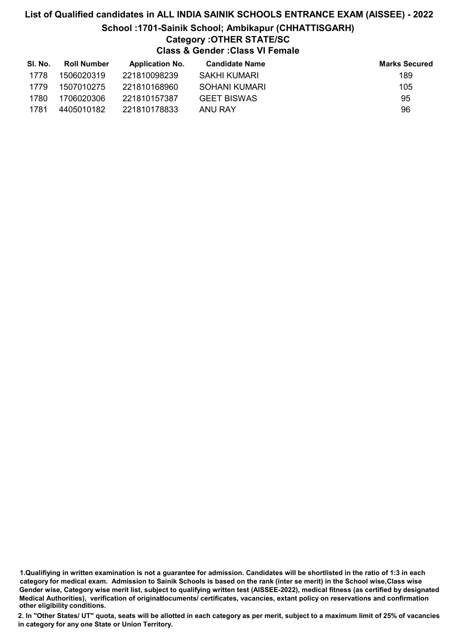## List of Qualified candidates in ALL INDIA SAINIK SCHOOLS ENTRANCE EXAM (AISSEE) - 2022 School :1701-Sainik School; Ambikapur (CHHATTISGARH) Category :OTHER STATE/SC Class & Gender :Class VI Female

| SI. No. | <b>Roll Number</b> | <b>Application No.</b> | <b>Candidate Name</b> | <b>Marks Secured</b> |
|---------|--------------------|------------------------|-----------------------|----------------------|
| 1778    | 1506020319         | 221810098239           | SAKHI KUMARI          | 189                  |
| 1779    | 1507010275         | 221810168960           | SOHANI KUMARI         | 105                  |
| 1780    | 1706020306         | 221810157387           | <b>GEET BISWAS</b>    | 95                   |
| 1781    | 4405010182         | 221810178833           | ANU RAY               | 96                   |

1.Qualifiying in written examination is not a guarantee for admission. Candidates will be shortlisted in the ratio of 1:3 in each category for medical exam. Admission to Sainik Schools is based on the rank (inter se merit) in the School wise,Class wise Gender wise, Category wise merit list, subject to qualifying written test (AISSEE-2022), medical fitness (as certified by designated Medical Authorities), verification of originablocuments/ certificates, vacancies, extant policy on reservations and confirmation other eligibility conditions.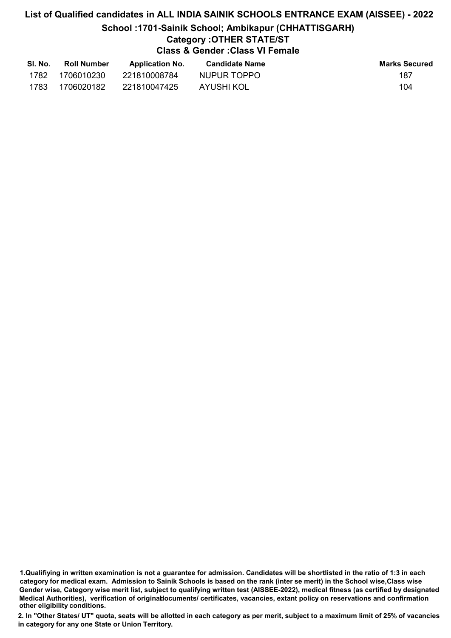# List of Qualified candidates in ALL INDIA SAINIK SCHOOLS ENTRANCE EXAM (AISSEE) - 2022 School :1701-Sainik School; Ambikapur (CHHATTISGARH) Category :OTHER STATE/ST Class & Gender :Class VI Female

| SI. No. | <b>Roll Number</b> | <b>Application No.</b> | <b>Candidate Name</b> | <b>Marks Secured</b> |
|---------|--------------------|------------------------|-----------------------|----------------------|
| 1782    | 1706010230         | 221810008784           | NUPUR TOPPO           | 187                  |
| 1783    | 1706020182         | 221810047425           | AYUSHI KOL            | 104                  |

<sup>1.</sup>Qualifiying in written examination is not a guarantee for admission. Candidates will be shortlisted in the ratio of 1:3 in each category for medical exam. Admission to Sainik Schools is based on the rank (inter se merit) in the School wise,Class wise Gender wise, Category wise merit list, subject to qualifying written test (AISSEE-2022), medical fitness (as certified by designated Medical Authorities), verification of originablocuments/ certificates, vacancies, extant policy on reservations and confirmation other eligibility conditions.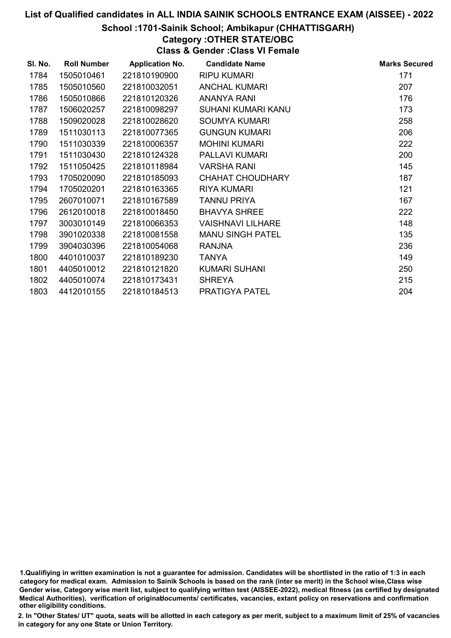#### School :1701-Sainik School; Ambikapur (CHHATTISGARH)

Category :OTHER STATE/OBC

Class & Gender :Class VI Female

| SI. No. | <b>Roll Number</b> | <b>Application No.</b> | <b>Candidate Name</b>    | <b>Marks Secured</b> |
|---------|--------------------|------------------------|--------------------------|----------------------|
| 1784    | 1505010461         | 221810190900           | <b>RIPU KUMARI</b>       | 171                  |
| 1785    | 1505010560         | 221810032051           | <b>ANCHAL KUMARI</b>     | 207                  |
| 1786    | 1505010866         | 221810120326           | <b>ANANYA RANI</b>       | 176                  |
| 1787    | 1506020257         | 221810098297           | SUHANI KUMARI KANU       | 173                  |
| 1788    | 1509020028         | 221810028620           | <b>SOUMYA KUMARI</b>     | 258                  |
| 1789    | 1511030113         | 221810077365           | <b>GUNGUN KUMARI</b>     | 206                  |
| 1790    | 1511030339         | 221810006357           | <b>MOHINI KUMARI</b>     | 222                  |
| 1791    | 1511030430         | 221810124328           | <b>PALLAVI KUMARI</b>    | 200                  |
| 1792    | 1511050425         | 221810118984           | <b>VARSHA RANI</b>       | 145                  |
| 1793    | 1705020090         | 221810185093           | <b>CHAHAT CHOUDHARY</b>  | 187                  |
| 1794    | 1705020201         | 221810163365           | <b>RIYA KUMARI</b>       | 121                  |
| 1795    | 2607010071         | 221810167589           | <b>TANNU PRIYA</b>       | 167                  |
| 1796    | 2612010018         | 221810018450           | <b>BHAVYA SHREE</b>      | 222                  |
| 1797    | 3003010149         | 221810066353           | <b>VAISHNAVI LILHARE</b> | 148                  |
| 1798    | 3901020338         | 221810081558           | <b>MANU SINGH PATEL</b>  | 135                  |
| 1799    | 3904030396         | 221810054068           | <b>RANJNA</b>            | 236                  |
| 1800    | 4401010037         | 221810189230           | <b>TANYA</b>             | 149                  |
| 1801    | 4405010012         | 221810121820           | KUMARI SUHANI            | 250                  |
| 1802    | 4405010074         | 221810173431           | <b>SHREYA</b>            | 215                  |
| 1803    | 4412010155         | 221810184513           | PRATIGYA PATEL           | 204                  |

1.Qualifiying in written examination is not a guarantee for admission. Candidates will be shortlisted in the ratio of 1:3 in each category for medical exam. Admission to Sainik Schools is based on the rank (inter se merit) in the School wise,Class wise Gender wise, Category wise merit list, subject to qualifying written test (AISSEE-2022), medical fitness (as certified by designated Medical Authorities), verification of originablocuments/ certificates, vacancies, extant policy on reservations and confirmation other eligibility conditions.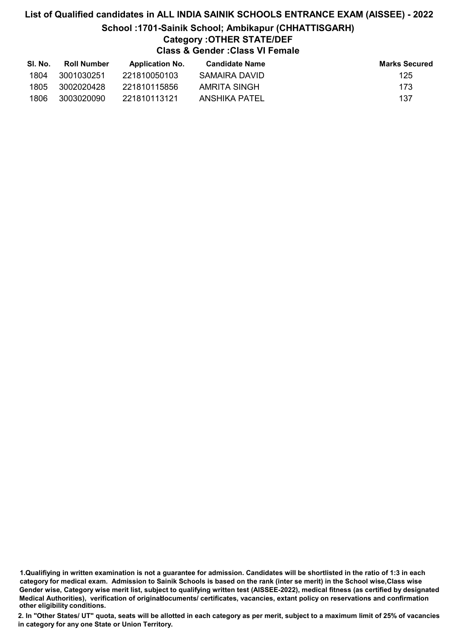## List of Qualified candidates in ALL INDIA SAINIK SCHOOLS ENTRANCE EXAM (AISSEE) - 2022 School :1701-Sainik School; Ambikapur (CHHATTISGARH) Category :OTHER STATE/DEF Class & Gender :Class VI Female

| SI. No. | Roll Number | <b>Application No.</b> | Candidate Name | <b>Marks Secured</b> |
|---------|-------------|------------------------|----------------|----------------------|
| 1804    | 3001030251  | 221810050103           | SAMAIRA DAVID  | 125                  |
| 1805    | 3002020428  | 221810115856           | AMRITA SINGH   | 173                  |
| 1806    | 3003020090  | 221810113121           | ANSHIKA PATEL  | 137                  |

<sup>1.</sup>Qualifiying in written examination is not a guarantee for admission. Candidates will be shortlisted in the ratio of 1:3 in each category for medical exam. Admission to Sainik Schools is based on the rank (inter se merit) in the School wise,Class wise Gender wise, Category wise merit list, subject to qualifying written test (AISSEE-2022), medical fitness (as certified by designated Medical Authorities), verification of originablocuments/ certificates, vacancies, extant policy on reservations and confirmation other eligibility conditions.